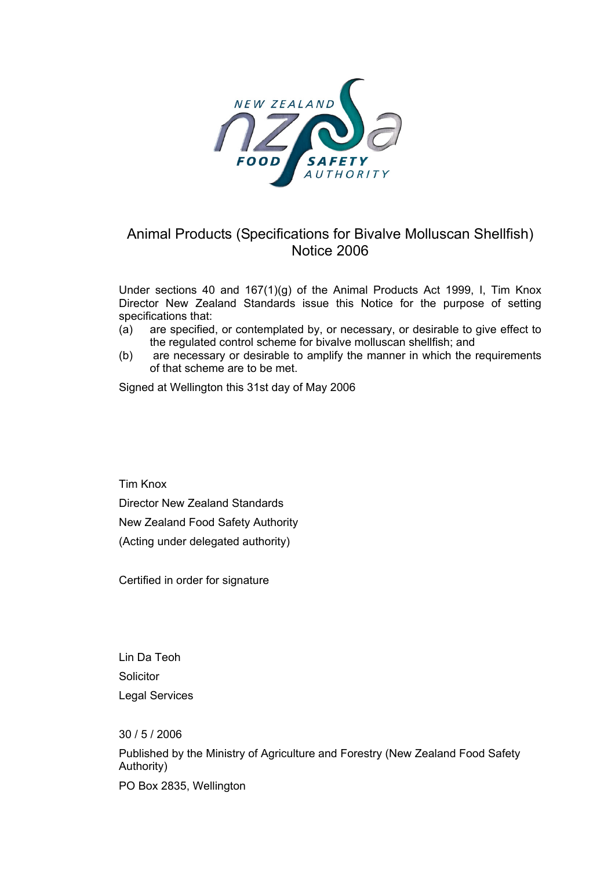

# Animal Products (Specifications for Bivalve Molluscan Shellfish) Notice 2006

Under sections 40 and 167(1)(g) of the Animal Products Act 1999, I, Tim Knox Director New Zealand Standards issue this Notice for the purpose of setting specifications that:

- (a) are specified, or contemplated by, or necessary, or desirable to give effect to the regulated control scheme for bivalve molluscan shellfish; and
- (b) are necessary or desirable to amplify the manner in which the requirements of that scheme are to be met.

Signed at Wellington this 31st day of May 2006

Tim Knox Director New Zealand Standards New Zealand Food Safety Authority (Acting under delegated authority)

Certified in order for signature

Lin Da Teoh **Solicitor** Legal Services

30 / 5 / 2006 Published by the Ministry of Agriculture and Forestry (New Zealand Food Safety Authority) PO Box 2835, Wellington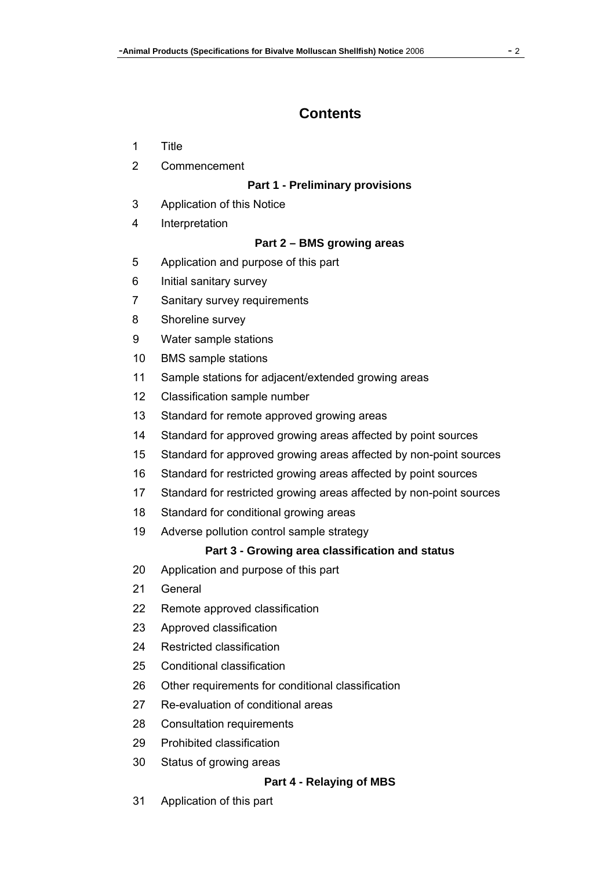# **Contents**

- 1 Title
- 2 Commencement

### **Part 1 - Preliminary provisions**

- 3 Application of this Notice
- 4 Interpretation

### **Part 2 – BMS growing areas**

- 5 Application and purpose of this part
- 6 Initial sanitary survey
- 7 Sanitary survey requirements
- 8 Shoreline survey
- 9 Water sample stations
- 10 BMS sample stations
- 11 Sample stations for adjacent/extended growing areas
- 12 Classification sample number
- 13 Standard for remote approved growing areas
- 14 Standard for approved growing areas affected by point sources
- 15 Standard for approved growing areas affected by non-point sources
- 16 Standard for restricted growing areas affected by point sources
- 17 Standard for restricted growing areas affected by non-point sources
- 18 Standard for conditional growing areas
- 19 Adverse pollution control sample strategy

### Part 3 - Growing area classification and status

- 20 Application and purpose of this part
- 21 General
- 22 Remote approved classification
- 23 Approved classification
- 24 Restricted classification
- 25 Conditional classification
- 26 Other requirements for conditional classification
- 27 Re-evaluation of conditional areas
- 28 Consultation requirements
- 29 Prohibited classification
- 30 Status of growing areas

### Part 4 - Relaying of MBS

31 Application of this part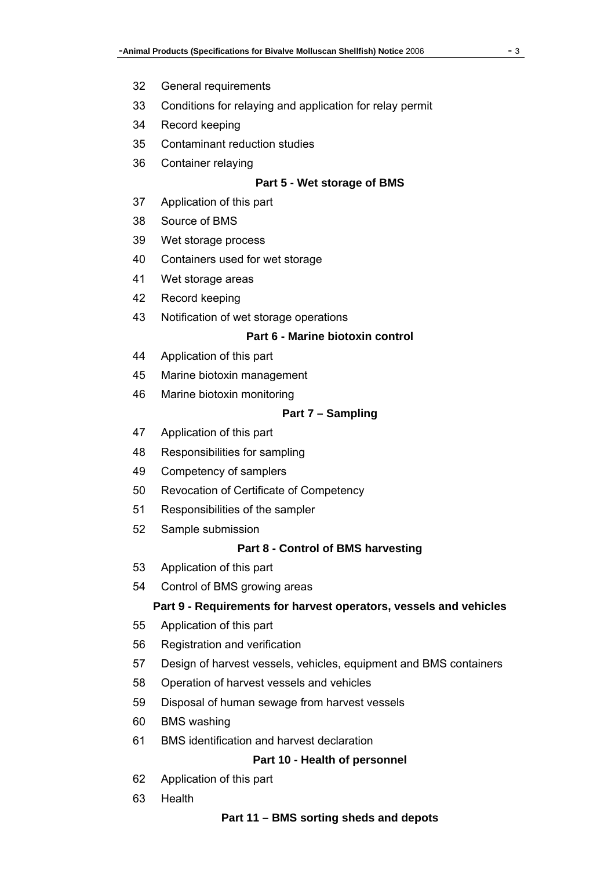- 32 General requirements
- 33 Conditions for relaying and application for relay permit
- 34 Record keeping
- 35 Contaminant reduction studies
- 36 Container relaying

#### **Part 5 - Wet storage of BMS**

- 37 Application of this part
- 38 Source of BMS
- 39 Wet storage process
- 40 Containers used for wet storage
- 41 Wet storage areas
- 42 Record keeping
- 43 Notification of wet storage operations

#### Part 6 - Marine biotoxin control

- 44 Application of this part
- 45 Marine biotoxin management
- 46 Marine biotoxin monitoring

#### Part 7 – Sampling

- 47 Application of this part
- 48 Responsibilities for sampling
- 49 Competency of samplers
- 50 Revocation of Certificate of Competency
- 51 Responsibilities of the sampler
- 52 Sample submission

#### **Part 8 - Control of BMS harvesting**

- 53 Application of this part
- 54 Control of BMS growing areas

#### Part 9 - Requirements for harvest operators, vessels and vehicles

- 55 Application of this part
- 56 Registration and verification
- 57 Design of harvest vessels, vehicles, equipment and BMS containers
- 58 Operation of harvest vessels and vehicles
- 59 Disposal of human sewage from harvest vessels
- 60 BMS washing
- 61 BMS identification and harvest declaration

#### Part 10 - Health of personnel

- 62 Application of this part
- 63 Health

#### Part 11 – BMS sorting sheds and depots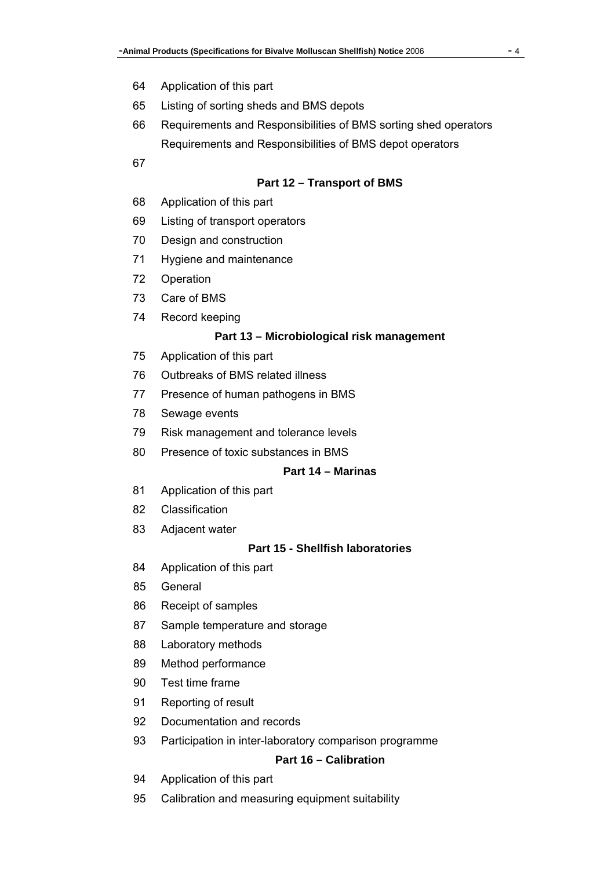- 64 Application of this part
- 65 Listing of sorting sheds and BMS depots
- 66 Requirements and Responsibilities of BMS sorting shed operators Requirements and Responsibilities of BMS depot operators
- 67

#### **Part 12 – Transport of BMS**

- 68 Application of this part
- 69 Listing of transport operators
- 70 Design and construction
- 71 Hygiene and maintenance
- 72 Operation
- 73 Care of BMS
- 74 Record keeping

#### **Part 13 – Microbiological risk management**

- 75 Application of this part
- 76 Outbreaks of BMS related illness
- 77 Presence of human pathogens in BMS
- 78 Sewage events
- 79 Risk management and tolerance levels
- 80 Presence of toxic substances in BMS

## <sup>H</sup>**Part 14 – Marinas**

- 81 Application of this part
- 82 Classification
- 83 Adjacent water

#### <sup>H</sup>**Part 15 - Shellfish laboratories**

- 84 Application of this part
- 85 General
- 86 Receipt of samples
- 87 Sample temperature and storage
- 88 Laboratory methods
- 89 Method performance
- 90 Test time frame
- 91 Reporting of result
- 92 Documentation and records
- 93 Participation in inter-laboratory comparison programme

#### **Part 16 – Calibration**

- 94 Application of this part
- 95 Calibration and measuring equipment suitability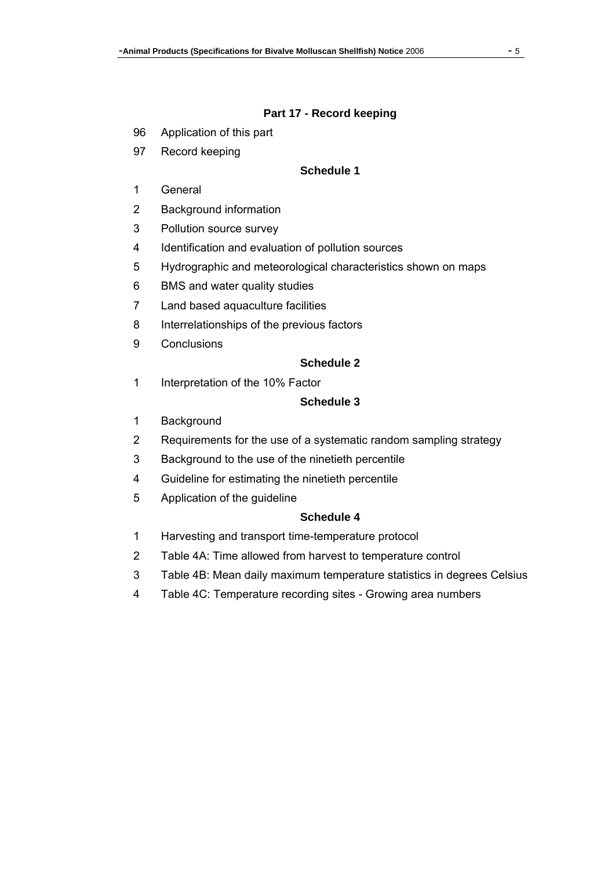#### **Part 17 - Record keeping**

- 96 Application of this part
- 97 Record keeping

### **Schedule 1**

- 1 General
- 2 Background information
- 3 Pollution source survey
- 4 Identification and evaluation of pollution sources
- 5 Hydrographic and meteorological characteristics shown on maps
- 6 BMS and water quality studies
- 7 Land based aquaculture facilities
- 8 Interrelationships of the previous factors
- 9 Conclusions

#### **Schedule 2**

1 Interpretation of the 10% Factor

## **Schedule 3**

- 1 Background
- 2 Requirements for the use of a systematic random sampling strategy
- 3 Background to the use of the ninetieth percentile
- 4 Guideline for estimating the ninetieth percentile
- 5 Application of the guideline

#### **Schedule 4**

- 1 Harvesting and transport time-temperature protocol
- 2 Table 4A: Time allowed from harvest to temperature control
- 3 Table 4B: Mean daily maximum temperature statistics in degrees Celsius
- 4 Table 4C: Temperature recording sites Growing area numbers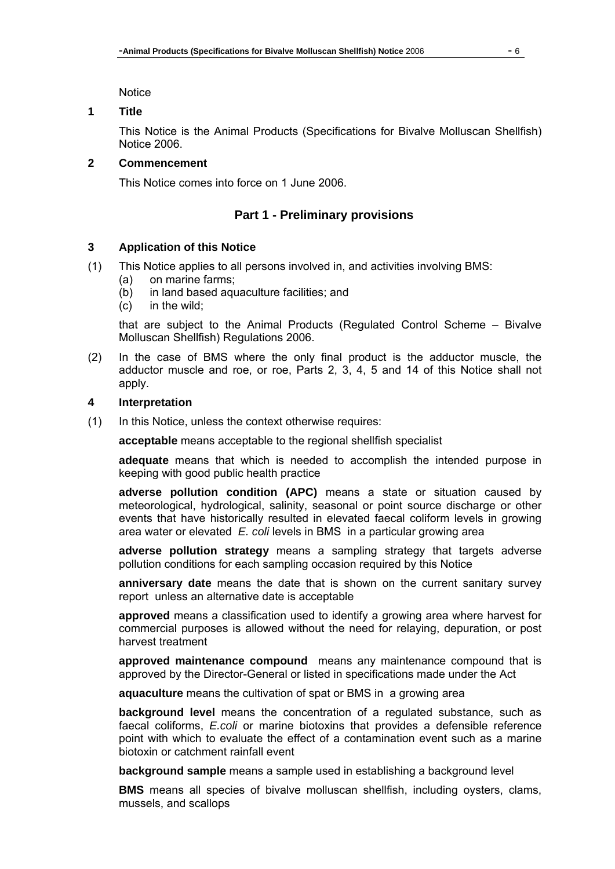**Notice** 

#### **1 Title**

This Notice is the Animal Products (Specifications for Bivalve Molluscan Shellfish) Notice 2006.

#### **2 Commencement**

This Notice comes into force on 1 June 2006.

## **Part 1 - Preliminary provisions**

#### **3 Application of this Notice**

- (1) This Notice applies to all persons involved in, and activities involving BMS:
	- (a) on marine farms;
	- (b) in land based aquaculture facilities; and
	- (c) in the wild;

that are subject to the Animal Products (Regulated Control Scheme – Bivalve Molluscan Shellfish) Regulations 2006.

(2) In the case of BMS where the only final product is the adductor muscle, the adductor muscle and roe, or roe, Parts 2, 3, 4, 5 and 14 of this Notice shall not apply.

#### **4 Interpretation**

(1) In this Notice, unless the context otherwise requires:

**acceptable** means acceptable to the regional shellfish specialist

**adequate** means that which is needed to accomplish the intended purpose in keeping with good public health practice

**adverse pollution condition (APC)** means a state or situation caused by meteorological, hydrological, salinity, seasonal or point source discharge or other events that have historically resulted in elevated faecal coliform levels in growing area water or elevated *E. coli* levels in BMS in a particular growing area

**adverse pollution strategy** means a sampling strategy that targets adverse pollution conditions for each sampling occasion required by this Notice

**anniversary date** means the date that is shown on the current sanitary survey report unless an alternative date is acceptable

**approved** means a classification used to identify a growing area where harvest for commercial purposes is allowed without the need for relaying, depuration, or post harvest treatment

**approved maintenance compound** means any maintenance compound that is approved by the Director-General or listed in specifications made under the Act

**aquaculture** means the cultivation of spat or BMS in a growing area

**background level** means the concentration of a regulated substance, such as faecal coliforms, *E.coli* or marine biotoxins that provides a defensible reference point with which to evaluate the effect of a contamination event such as a marine biotoxin or catchment rainfall event

**background sample** means a sample used in establishing a background level

**BMS** means all species of bivalve molluscan shellfish, including oysters, clams, mussels, and scallops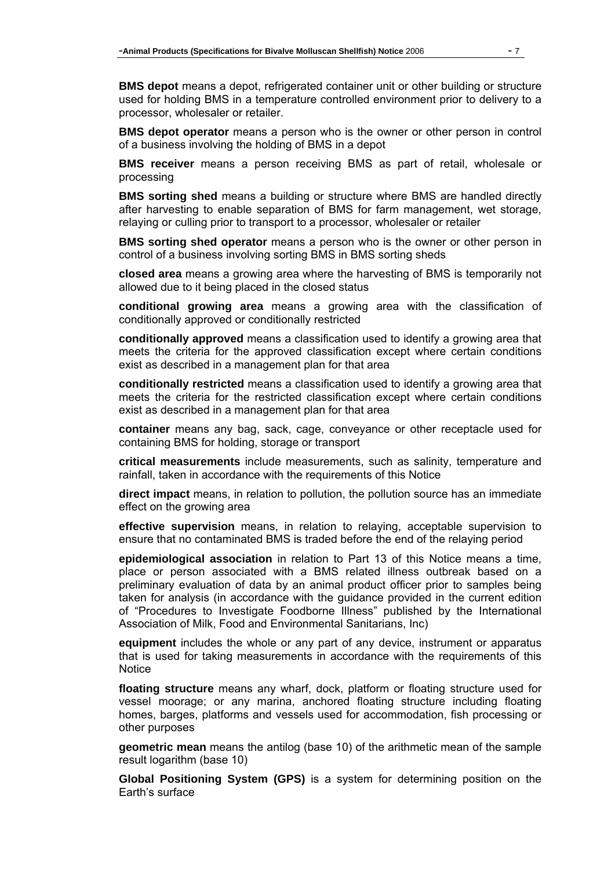**BMS depot** means a depot, refrigerated container unit or other building or structure used for holding BMS in a temperature controlled environment prior to delivery to a processor, wholesaler or retailer.

**BMS depot operator** means a person who is the owner or other person in control of a business involving the holding of BMS in a depot

**BMS receiver** means a person receiving BMS as part of retail, wholesale or processing

**BMS sorting shed** means a building or structure where BMS are handled directly after harvesting to enable separation of BMS for farm management, wet storage, relaying or culling prior to transport to a processor, wholesaler or retailer

**BMS sorting shed operator** means a person who is the owner or other person in control of a business involving sorting BMS in BMS sorting sheds

**closed area** means a growing area where the harvesting of BMS is temporarily not allowed due to it being placed in the closed status

**conditional growing area** means a growing area with the classification of conditionally approved or conditionally restricted

**conditionally approved** means a classification used to identify a growing area that meets the criteria for the approved classification except where certain conditions exist as described in a management plan for that area

**conditionally restricted** means a classification used to identify a growing area that meets the criteria for the restricted classification except where certain conditions exist as described in a management plan for that area

**container** means any bag, sack, cage, conveyance or other receptacle used for containing BMS for holding, storage or transport

**critical measurements** include measurements, such as salinity, temperature and rainfall, taken in accordance with the requirements of this Notice

**direct impact** means, in relation to pollution, the pollution source has an immediate effect on the growing area

**effective supervision** means, in relation to relaying, acceptable supervision to ensure that no contaminated BMS is traded before the end of the relaying period

**epidemiological association** in relation to Part 13 of this Notice means a time, place or person associated with a BMS related illness outbreak based on a preliminary evaluation of data by an animal product officer prior to samples being taken for analysis (in accordance with the guidance provided in the current edition of "Procedures to Investigate Foodborne Illness" published by the International Association of Milk, Food and Environmental Sanitarians, Inc)

**equipment** includes the whole or any part of any device, instrument or apparatus that is used for taking measurements in accordance with the requirements of this **Notice** 

**floating structure** means any wharf, dock, platform or floating structure used for vessel moorage; or any marina, anchored floating structure including floating homes, barges, platforms and vessels used for accommodation, fish processing or other purposes

**geometric mean** means the antilog (base 10) of the arithmetic mean of the sample result logarithm (base 10)

**Global Positioning System (GPS)** is a system for determining position on the Earth's surface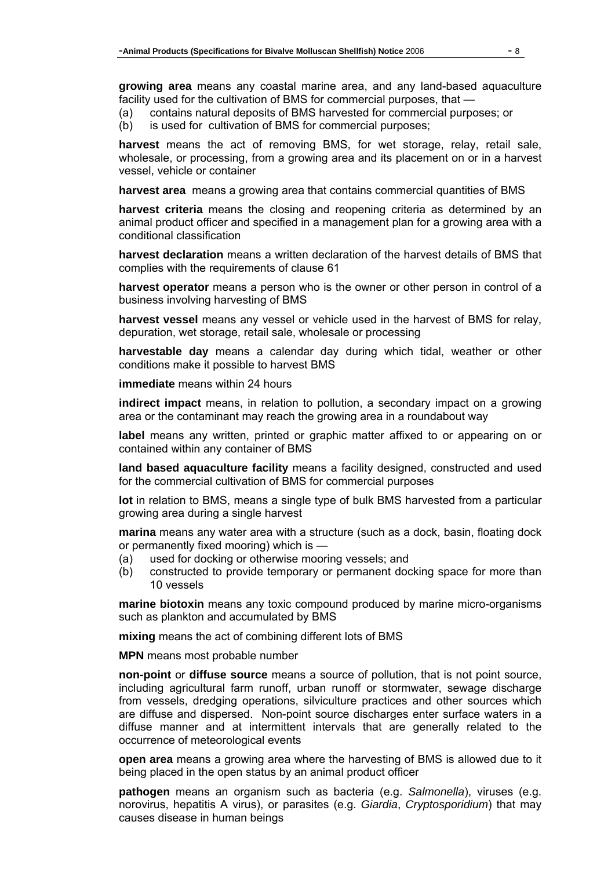**growing area** means any coastal marine area, and any land-based aquaculture facility used for the cultivation of BMS for commercial purposes, that —

- (a) contains natural deposits of BMS harvested for commercial purposes; or
- (b) is used for cultivation of BMS for commercial purposes;

**harvest** means the act of removing BMS, for wet storage, relay, retail sale, wholesale, or processing, from a growing area and its placement on or in a harvest vessel, vehicle or container

**harvest area** means a growing area that contains commercial quantities of BMS

**harvest criteria** means the closing and reopening criteria as determined by an animal product officer and specified in a management plan for a growing area with a conditional classification

**harvest declaration** means a written declaration of the harvest details of BMS that complies with the requirements of clause 61

**harvest operator** means a person who is the owner or other person in control of a business involving harvesting of BMS

**harvest vessel** means any vessel or vehicle used in the harvest of BMS for relay, depuration, wet storage, retail sale, wholesale or processing

**harvestable day** means a calendar day during which tidal, weather or other conditions make it possible to harvest BMS

**immediate** means within 24 hours

**indirect impact** means, in relation to pollution, a secondary impact on a growing area or the contaminant may reach the growing area in a roundabout way

**label** means any written, printed or graphic matter affixed to or appearing on or contained within any container of BMS

**land based aquaculture facility** means a facility designed, constructed and used for the commercial cultivation of BMS for commercial purposes

**lot** in relation to BMS, means a single type of bulk BMS harvested from a particular growing area during a single harvest

**marina** means any water area with a structure (such as a dock, basin, floating dock or permanently fixed mooring) which is —

- (a) used for docking or otherwise mooring vessels; and
- (b) constructed to provide temporary or permanent docking space for more than 10 vessels

**marine biotoxin** means any toxic compound produced by marine micro-organisms such as plankton and accumulated by BMS

**mixing** means the act of combining different lots of BMS

**MPN** means most probable number

**non-point** or **diffuse source** means a source of pollution, that is not point source, including agricultural farm runoff, urban runoff or stormwater, sewage discharge from vessels, dredging operations, silviculture practices and other sources which are diffuse and dispersed. Non-point source discharges enter surface waters in a diffuse manner and at intermittent intervals that are generally related to the occurrence of meteorological events

**open area** means a growing area where the harvesting of BMS is allowed due to it being placed in the open status by an animal product officer

**pathogen** means an organism such as bacteria (e.g. *Salmonella*), viruses (e.g. norovirus, hepatitis A virus), or parasites (e.g. *Giardia*, *Cryptosporidium*) that may causes disease in human beings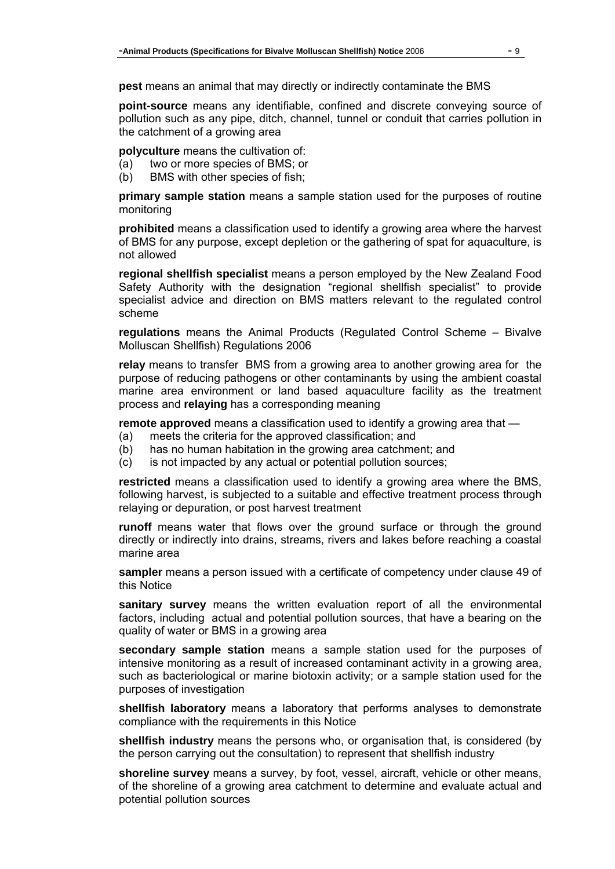**pest** means an animal that may directly or indirectly contaminate the BMS

**point-source** means any identifiable, confined and discrete conveying source of pollution such as any pipe, ditch, channel, tunnel or conduit that carries pollution in the catchment of a growing area

**polyculture** means the cultivation of:

- (a) two or more species of BMS; or
- (b) BMS with other species of fish;

**primary sample station** means a sample station used for the purposes of routine monitoring

**prohibited** means a classification used to identify a growing area where the harvest of BMS for any purpose, except depletion or the gathering of spat for aquaculture, is not allowed

**regional shellfish specialist** means a person employed by the New Zealand Food Safety Authority with the designation "regional shellfish specialist" to provide specialist advice and direction on BMS matters relevant to the regulated control scheme

**regulations** means the Animal Products (Regulated Control Scheme – Bivalve Molluscan Shellfish) Regulations 2006

**relay** means to transfer BMS from a growing area to another growing area for the purpose of reducing pathogens or other contaminants by using the ambient coastal marine area environment or land based aquaculture facility as the treatment process and **relaying** has a corresponding meaning

**remote approved** means a classification used to identify a growing area that —

- (a) meets the criteria for the approved classification; and
- (b) has no human habitation in the growing area catchment; and
- (c) is not impacted by any actual or potential pollution sources;

**restricted** means a classification used to identify a growing area where the BMS, following harvest, is subjected to a suitable and effective treatment process through relaying or depuration, or post harvest treatment

**runoff** means water that flows over the ground surface or through the ground directly or indirectly into drains, streams, rivers and lakes before reaching a coastal marine area

**sampler** means a person issued with a certificate of competency under clause 49 of this Notice

**sanitary survey** means the written evaluation report of all the environmental factors, including actual and potential pollution sources, that have a bearing on the quality of water or BMS in a growing area

**secondary sample station** means a sample station used for the purposes of intensive monitoring as a result of increased contaminant activity in a growing area, such as bacteriological or marine biotoxin activity; or a sample station used for the purposes of investigation

**shellfish laboratory** means a laboratory that performs analyses to demonstrate compliance with the requirements in this Notice

**shellfish industry** means the persons who, or organisation that, is considered (by the person carrying out the consultation) to represent that shellfish industry

**shoreline survey** means a survey, by foot, vessel, aircraft, vehicle or other means, of the shoreline of a growing area catchment to determine and evaluate actual and potential pollution sources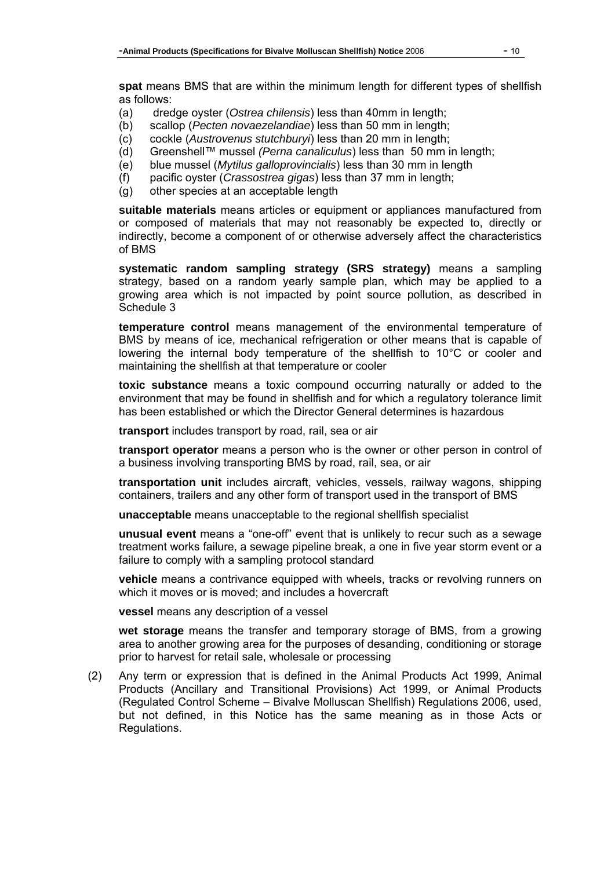**spat** means BMS that are within the minimum length for different types of shellfish as follows:

- (a) dredge oyster (*Ostrea chilensis*) less than 40mm in length;
- (b) scallop (*Pecten novaezelandiae*) less than 50 mm in length;
- (c) cockle (*Austrovenus stutchburyi*) less than 20 mm in length;
- (d) Greenshell™ mussel *(Perna canaliculus*) less than 50 mm in length;
- (e) blue mussel (*Mytilus galloprovincialis*) less than 30 mm in length
- (f) pacific oyster (*Crassostrea gigas*) less than 37 mm in length;
- (g) other species at an acceptable length

**suitable materials** means articles or equipment or appliances manufactured from or composed of materials that may not reasonably be expected to, directly or indirectly, become a component of or otherwise adversely affect the characteristics of BMS

**systematic random sampling strategy (SRS strategy)** means a sampling strategy, based on a random yearly sample plan, which may be applied to a growing area which is not impacted by point source pollution, as described in Schedule 3

**temperature control** means management of the environmental temperature of BMS by means of ice, mechanical refrigeration or other means that is capable of lowering the internal body temperature of the shellfish to 10°C or cooler and maintaining the shellfish at that temperature or cooler

**toxic substance** means a toxic compound occurring naturally or added to the environment that may be found in shellfish and for which a regulatory tolerance limit has been established or which the Director General determines is hazardous

**transport** includes transport by road, rail, sea or air

**transport operator** means a person who is the owner or other person in control of a business involving transporting BMS by road, rail, sea, or air

**transportation unit** includes aircraft, vehicles, vessels, railway wagons, shipping containers, trailers and any other form of transport used in the transport of BMS

**unacceptable** means unacceptable to the regional shellfish specialist

**unusual event** means a "one-off" event that is unlikely to recur such as a sewage treatment works failure, a sewage pipeline break, a one in five year storm event or a failure to comply with a sampling protocol standard

**vehicle** means a contrivance equipped with wheels, tracks or revolving runners on which it moves or is moved; and includes a hovercraft

**vessel** means any description of a vessel

**wet storage** means the transfer and temporary storage of BMS, from a growing area to another growing area for the purposes of desanding, conditioning or storage prior to harvest for retail sale, wholesale or processing

(2) Any term or expression that is defined in the Animal Products Act 1999, Animal Products (Ancillary and Transitional Provisions) Act 1999, or Animal Products (Regulated Control Scheme – Bivalve Molluscan Shellfish) Regulations 2006, used, but not defined, in this Notice has the same meaning as in those Acts or Regulations.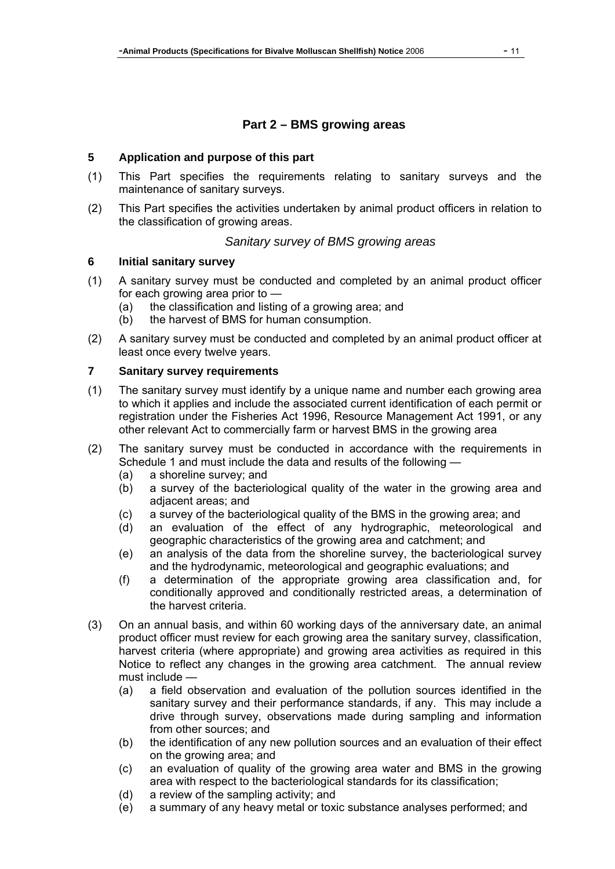# **Part 2 – BMS growing areas**

### **5 Application and purpose of this part**

- (1) This Part specifies the requirements relating to sanitary surveys and the maintenance of sanitary surveys.
- (2) This Part specifies the activities undertaken by animal product officers in relation to the classification of growing areas.

### *Sanitary survey of BMS growing areas*

#### **6 Initial sanitary survey**

- (1) A sanitary survey must be conducted and completed by an animal product officer for each growing area prior to —
	- (a) the classification and listing of a growing area; and
	- (b) the harvest of BMS for human consumption.
- (2) A sanitary survey must be conducted and completed by an animal product officer at least once every twelve years.

### **7 Sanitary survey requirements**

- (1) The sanitary survey must identify by a unique name and number each growing area to which it applies and include the associated current identification of each permit or registration under the Fisheries Act 1996, Resource Management Act 1991, or any other relevant Act to commercially farm or harvest BMS in the growing area
- (2) The sanitary survey must be conducted in accordance with the requirements in Schedule 1 and must include the data and results of the following —
	- (a) a shoreline survey; and
	- (b) a survey of the bacteriological quality of the water in the growing area and adjacent areas; and
	- (c) a survey of the bacteriological quality of the BMS in the growing area; and
	- (d) an evaluation of the effect of any hydrographic, meteorological and geographic characteristics of the growing area and catchment; and
	- (e) an analysis of the data from the shoreline survey, the bacteriological survey and the hydrodynamic, meteorological and geographic evaluations; and
	- (f) a determination of the appropriate growing area classification and, for conditionally approved and conditionally restricted areas, a determination of the harvest criteria.
- (3) On an annual basis, and within 60 working days of the anniversary date, an animal product officer must review for each growing area the sanitary survey, classification, harvest criteria (where appropriate) and growing area activities as required in this Notice to reflect any changes in the growing area catchment. The annual review must include —
	- (a) a field observation and evaluation of the pollution sources identified in the sanitary survey and their performance standards, if any. This may include a drive through survey, observations made during sampling and information from other sources; and
	- (b) the identification of any new pollution sources and an evaluation of their effect on the growing area; and
	- (c) an evaluation of quality of the growing area water and BMS in the growing area with respect to the bacteriological standards for its classification;
	- (d) a review of the sampling activity; and
	- (e) a summary of any heavy metal or toxic substance analyses performed; and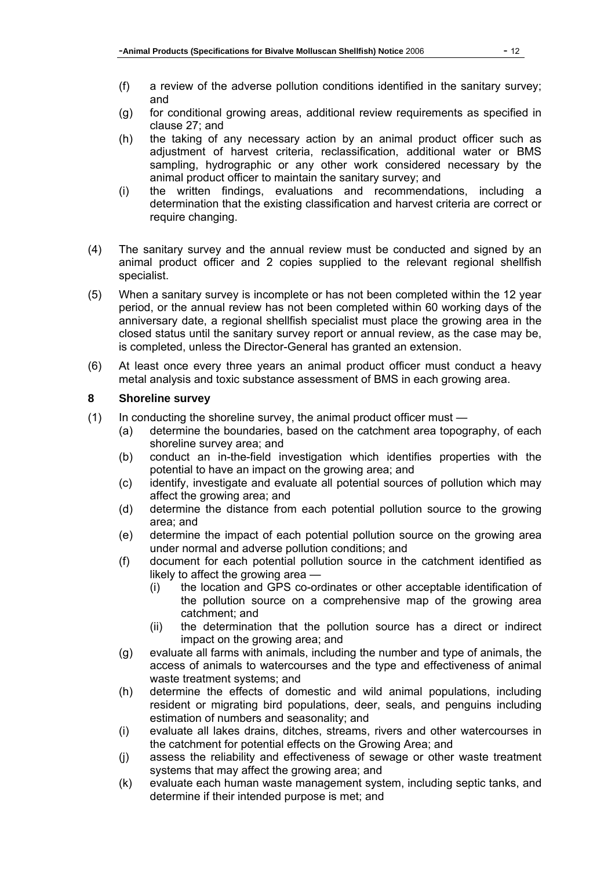- (f) a review of the adverse pollution conditions identified in the sanitary survey; and
- (g) for conditional growing areas, additional review requirements as specified in clause 27; and
- (h) the taking of any necessary action by an animal product officer such as adjustment of harvest criteria, reclassification, additional water or BMS sampling, hydrographic or any other work considered necessary by the animal product officer to maintain the sanitary survey; and
- (i) the written findings, evaluations and recommendations, including a determination that the existing classification and harvest criteria are correct or require changing.
- (4) The sanitary survey and the annual review must be conducted and signed by an animal product officer and 2 copies supplied to the relevant regional shellfish specialist.
- (5) When a sanitary survey is incomplete or has not been completed within the 12 year period, or the annual review has not been completed within 60 working days of the anniversary date, a regional shellfish specialist must place the growing area in the closed status until the sanitary survey report or annual review, as the case may be, is completed, unless the Director-General has granted an extension.
- (6) At least once every three years an animal product officer must conduct a heavy metal analysis and toxic substance assessment of BMS in each growing area.

## **8 Shoreline survey**

- (1) In conducting the shoreline survey, the animal product officer must
	- (a) determine the boundaries, based on the catchment area topography, of each shoreline survey area; and
	- (b) conduct an in-the-field investigation which identifies properties with the potential to have an impact on the growing area; and
	- (c) identify, investigate and evaluate all potential sources of pollution which may affect the growing area; and
	- (d) determine the distance from each potential pollution source to the growing area; and
	- (e) determine the impact of each potential pollution source on the growing area under normal and adverse pollution conditions; and
	- (f) document for each potential pollution source in the catchment identified as likely to affect the growing area —
		- (i) the location and GPS co-ordinates or other acceptable identification of the pollution source on a comprehensive map of the growing area catchment; and
		- (ii) the determination that the pollution source has a direct or indirect impact on the growing area; and
	- (g) evaluate all farms with animals, including the number and type of animals, the access of animals to watercourses and the type and effectiveness of animal waste treatment systems; and
	- (h) determine the effects of domestic and wild animal populations, including resident or migrating bird populations, deer, seals, and penguins including estimation of numbers and seasonality; and
	- (i) evaluate all lakes drains, ditches, streams, rivers and other watercourses in the catchment for potential effects on the Growing Area; and
	- (j) assess the reliability and effectiveness of sewage or other waste treatment systems that may affect the growing area; and
	- (k) evaluate each human waste management system, including septic tanks, and determine if their intended purpose is met; and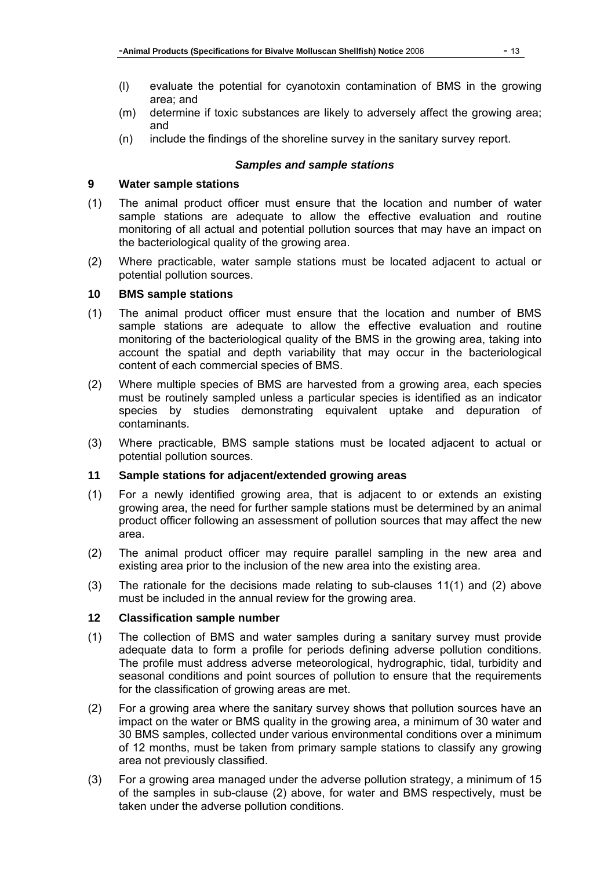- area; and (m) determine if toxic substances are likely to adversely affect the growing area; and
- (n) include the findings of the shoreline survey in the sanitary survey report.

### *Samples and sample stations*

### **9 Water sample stations**

- (1) The animal product officer must ensure that the location and number of water sample stations are adequate to allow the effective evaluation and routine monitoring of all actual and potential pollution sources that may have an impact on the bacteriological quality of the growing area.
- (2) Where practicable, water sample stations must be located adjacent to actual or potential pollution sources.

#### **10 BMS sample stations**

- (1) The animal product officer must ensure that the location and number of BMS sample stations are adequate to allow the effective evaluation and routine monitoring of the bacteriological quality of the BMS in the growing area, taking into account the spatial and depth variability that may occur in the bacteriological content of each commercial species of BMS.
- (2) Where multiple species of BMS are harvested from a growing area, each species must be routinely sampled unless a particular species is identified as an indicator species by studies demonstrating equivalent uptake and depuration of contaminants.
- (3) Where practicable, BMS sample stations must be located adjacent to actual or potential pollution sources.

### **11 Sample stations for adjacent/extended growing areas**

- (1) For a newly identified growing area, that is adjacent to or extends an existing growing area, the need for further sample stations must be determined by an animal product officer following an assessment of pollution sources that may affect the new area.
- (2) The animal product officer may require parallel sampling in the new area and existing area prior to the inclusion of the new area into the existing area.
- (3) The rationale for the decisions made relating to sub-clauses 11(1) and (2) above must be included in the annual review for the growing area.

### **12 Classification sample number**

- (1) The collection of BMS and water samples during a sanitary survey must provide adequate data to form a profile for periods defining adverse pollution conditions. The profile must address adverse meteorological, hydrographic, tidal, turbidity and seasonal conditions and point sources of pollution to ensure that the requirements for the classification of growing areas are met.
- (2) For a growing area where the sanitary survey shows that pollution sources have an impact on the water or BMS quality in the growing area, a minimum of 30 water and 30 BMS samples, collected under various environmental conditions over a minimum of 12 months, must be taken from primary sample stations to classify any growing area not previously classified.
- (3) For a growing area managed under the adverse pollution strategy, a minimum of 15 of the samples in sub-clause (2) above, for water and BMS respectively, must be taken under the adverse pollution conditions.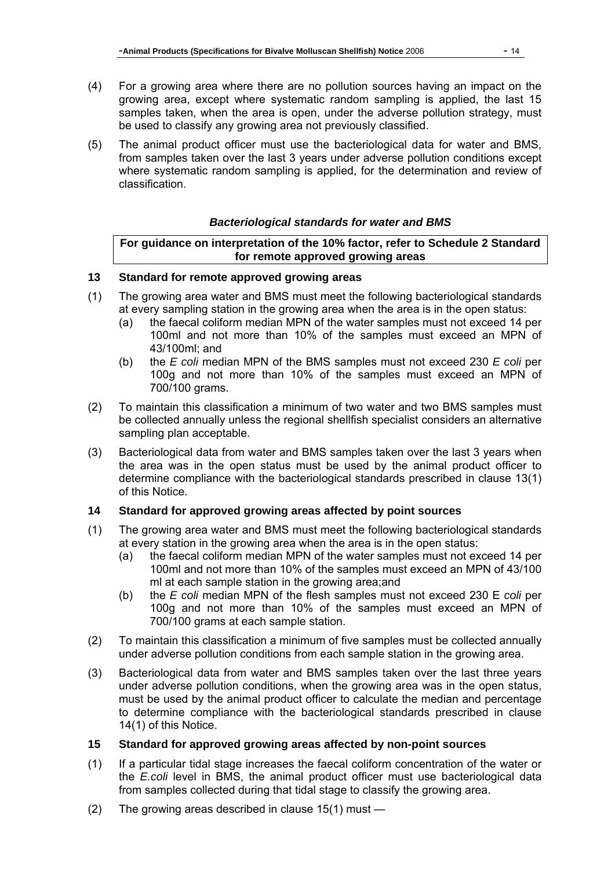- (4) For a growing area where there are no pollution sources having an impact on the growing area, except where systematic random sampling is applied, the last 15 samples taken, when the area is open, under the adverse pollution strategy, must be used to classify any growing area not previously classified.
- (5) The animal product officer must use the bacteriological data for water and BMS, from samples taken over the last 3 years under adverse pollution conditions except where systematic random sampling is applied, for the determination and review of classification.

### *Bacteriological standards for water and BMS*

#### **For guidance on interpretation of the 10% factor, refer to Schedule 2 Standard for remote approved growing areas**

### **13 Standard for remote approved growing areas**

- (1) The growing area water and BMS must meet the following bacteriological standards at every sampling station in the growing area when the area is in the open status:
	- (a) the faecal coliform median MPN of the water samples must not exceed 14 per 100ml and not more than 10% of the samples must exceed an MPN of 43/100ml; and
	- (b) the *E coli* median MPN of the BMS samples must not exceed 230 *E coli* per 100g and not more than 10% of the samples must exceed an MPN of 700/100 grams.
- (2) To maintain this classification a minimum of two water and two BMS samples must be collected annually unless the regional shellfish specialist considers an alternative sampling plan acceptable.
- (3) Bacteriological data from water and BMS samples taken over the last 3 years when the area was in the open status must be used by the animal product officer to determine compliance with the bacteriological standards prescribed in clause 13(1) of this Notice.

### **14 Standard for approved growing areas affected by point sources**

- (1) The growing area water and BMS must meet the following bacteriological standards at every station in the growing area when the area is in the open status:
	- (a) the faecal coliform median MPN of the water samples must not exceed 14 per 100ml and not more than 10% of the samples must exceed an MPN of 43/100 ml at each sample station in the growing area;and
	- (b) the *E coli* median MPN of the flesh samples must not exceed 230 E *coli* per 100g and not more than 10% of the samples must exceed an MPN of 700/100 grams at each sample station.
- (2) To maintain this classification a minimum of five samples must be collected annually under adverse pollution conditions from each sample station in the growing area.
- (3) Bacteriological data from water and BMS samples taken over the last three years under adverse pollution conditions, when the growing area was in the open status, must be used by the animal product officer to calculate the median and percentage to determine compliance with the bacteriological standards prescribed in clause 14(1) of this Notice.

#### **15 Standard for approved growing areas affected by non-point sources**

- (1) If a particular tidal stage increases the faecal coliform concentration of the water or the *E.coli* level in BMS, the animal product officer must use bacteriological data from samples collected during that tidal stage to classify the growing area.
- (2) The growing areas described in clause 15(1) must —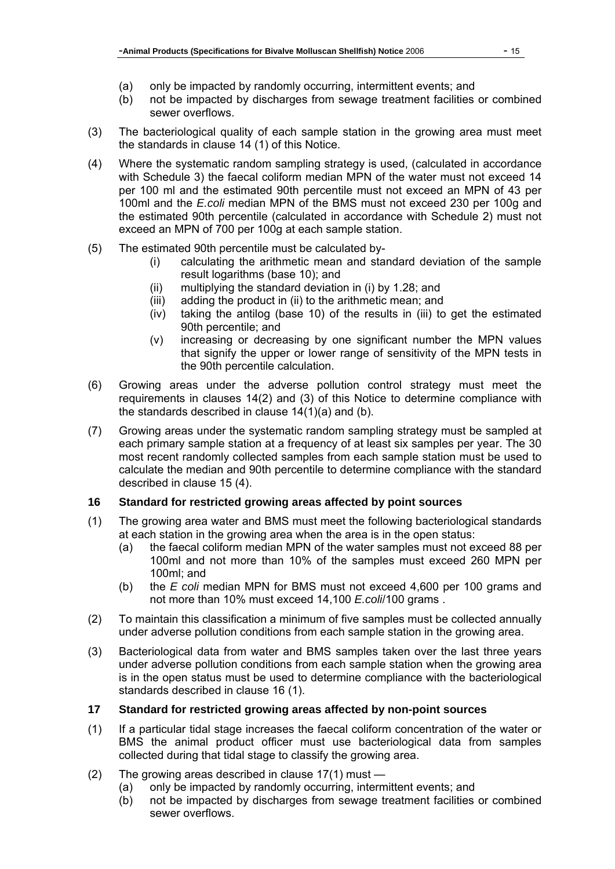- (a) only be impacted by randomly occurring, intermittent events; and
- (b) not be impacted by discharges from sewage treatment facilities or combined sewer overflows.
- (3) The bacteriological quality of each sample station in the growing area must meet the standards in clause 14 (1) of this Notice.
- (4) Where the systematic random sampling strategy is used, (calculated in accordance with Schedule 3) the faecal coliform median MPN of the water must not exceed 14 per 100 ml and the estimated 90th percentile must not exceed an MPN of 43 per 100ml and the *E.coli* median MPN of the BMS must not exceed 230 per 100g and the estimated 90th percentile (calculated in accordance with Schedule 2) must not exceed an MPN of 700 per 100g at each sample station.
- (5) The estimated 90th percentile must be calculated by-
	- (i) calculating the arithmetic mean and standard deviation of the sample result logarithms (base 10); and
	- (ii) multiplying the standard deviation in (i) by 1.28; and
	- (iii) adding the product in (ii) to the arithmetic mean; and
	- (iv) taking the antilog (base 10) of the results in (iii) to get the estimated 90th percentile; and
	- (v) increasing or decreasing by one significant number the MPN values that signify the upper or lower range of sensitivity of the MPN tests in the 90th percentile calculation.
- (6) Growing areas under the adverse pollution control strategy must meet the requirements in clauses 14(2) and (3) of this Notice to determine compliance with the standards described in clause 14(1)(a) and (b).
- (7) Growing areas under the systematic random sampling strategy must be sampled at each primary sample station at a frequency of at least six samples per year. The 30 most recent randomly collected samples from each sample station must be used to calculate the median and 90th percentile to determine compliance with the standard described in clause 15 (4).

### **16 Standard for restricted growing areas affected by point sources**

- (1) The growing area water and BMS must meet the following bacteriological standards at each station in the growing area when the area is in the open status:
	- (a) the faecal coliform median MPN of the water samples must not exceed 88 per 100ml and not more than 10% of the samples must exceed 260 MPN per 100ml; and
	- (b) the *E coli* median MPN for BMS must not exceed 4,600 per 100 grams and not more than 10% must exceed 14,100 *E.coli*/100 grams .
- (2) To maintain this classification a minimum of five samples must be collected annually under adverse pollution conditions from each sample station in the growing area.
- (3) Bacteriological data from water and BMS samples taken over the last three years under adverse pollution conditions from each sample station when the growing area is in the open status must be used to determine compliance with the bacteriological standards described in clause 16 (1).

## **17 Standard for restricted growing areas affected by non-point sources**

- (1) If a particular tidal stage increases the faecal coliform concentration of the water or BMS the animal product officer must use bacteriological data from samples collected during that tidal stage to classify the growing area.
- (2) The growing areas described in clause 17(1) must
	- (a) only be impacted by randomly occurring, intermittent events; and
	- (b) not be impacted by discharges from sewage treatment facilities or combined sewer overflows.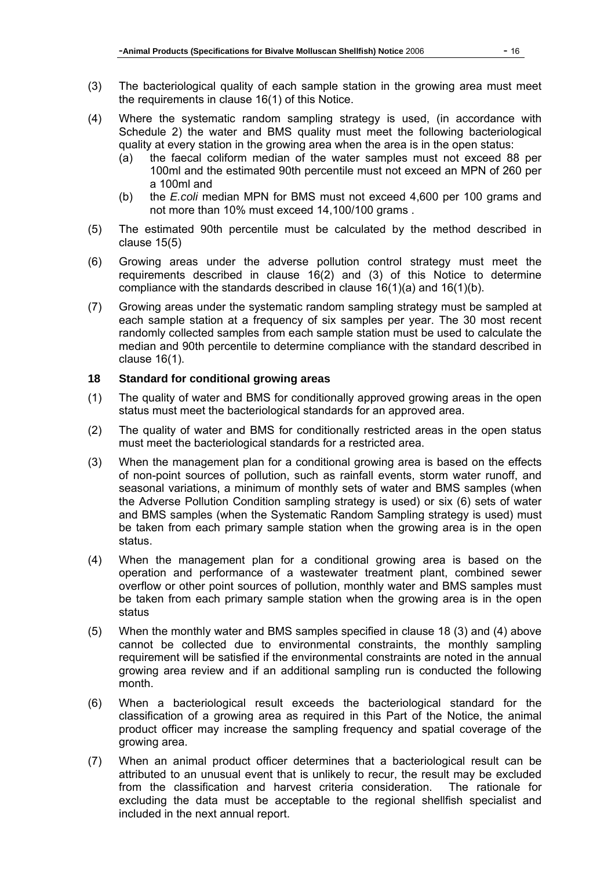- (3) The bacteriological quality of each sample station in the growing area must meet the requirements in clause 16(1) of this Notice.
- (4) Where the systematic random sampling strategy is used, (in accordance with Schedule 2) the water and BMS quality must meet the following bacteriological quality at every station in the growing area when the area is in the open status:
	- (a) the faecal coliform median of the water samples must not exceed 88 per 100ml and the estimated 90th percentile must not exceed an MPN of 260 per a 100ml and
	- (b) the *E.coli* median MPN for BMS must not exceed 4,600 per 100 grams and not more than 10% must exceed 14,100/100 grams .
- (5) The estimated 90th percentile must be calculated by the method described in clause 15(5)
- (6) Growing areas under the adverse pollution control strategy must meet the requirements described in clause 16(2) and (3) of this Notice to determine compliance with the standards described in clause 16(1)(a) and 16(1)(b).
- (7) Growing areas under the systematic random sampling strategy must be sampled at each sample station at a frequency of six samples per year. The 30 most recent randomly collected samples from each sample station must be used to calculate the median and 90th percentile to determine compliance with the standard described in clause 16(1).

#### **18 Standard for conditional growing areas**

- (1) The quality of water and BMS for conditionally approved growing areas in the open status must meet the bacteriological standards for an approved area.
- (2) The quality of water and BMS for conditionally restricted areas in the open status must meet the bacteriological standards for a restricted area.
- (3) When the management plan for a conditional growing area is based on the effects of non-point sources of pollution, such as rainfall events, storm water runoff, and seasonal variations, a minimum of monthly sets of water and BMS samples (when the Adverse Pollution Condition sampling strategy is used) or six (6) sets of water and BMS samples (when the Systematic Random Sampling strategy is used) must be taken from each primary sample station when the growing area is in the open status.
- (4) When the management plan for a conditional growing area is based on the operation and performance of a wastewater treatment plant, combined sewer overflow or other point sources of pollution, monthly water and BMS samples must be taken from each primary sample station when the growing area is in the open status
- (5) When the monthly water and BMS samples specified in clause 18 (3) and (4) above cannot be collected due to environmental constraints, the monthly sampling requirement will be satisfied if the environmental constraints are noted in the annual growing area review and if an additional sampling run is conducted the following month.
- (6) When a bacteriological result exceeds the bacteriological standard for the classification of a growing area as required in this Part of the Notice, the animal product officer may increase the sampling frequency and spatial coverage of the growing area.
- (7) When an animal product officer determines that a bacteriological result can be attributed to an unusual event that is unlikely to recur, the result may be excluded from the classification and harvest criteria consideration. The rationale for excluding the data must be acceptable to the regional shellfish specialist and included in the next annual report.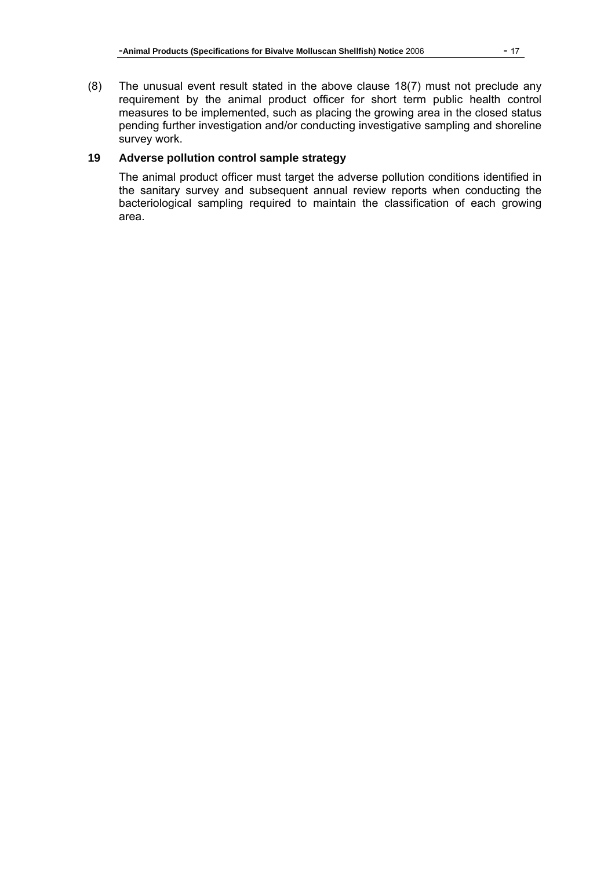(8) The unusual event result stated in the above clause 18(7) must not preclude any requirement by the animal product officer for short term public health control measures to be implemented, such as placing the growing area in the closed status pending further investigation and/or conducting investigative sampling and shoreline survey work.

### **19 Adverse pollution control sample strategy**

The animal product officer must target the adverse pollution conditions identified in the sanitary survey and subsequent annual review reports when conducting the bacteriological sampling required to maintain the classification of each growing area.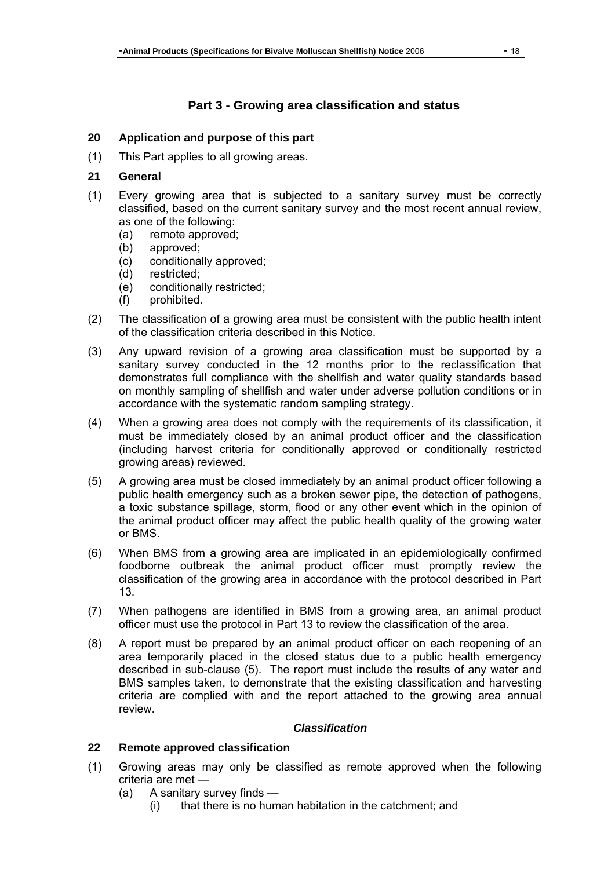# **Part 3 - Growing area classification and status**

#### **20 Application and purpose of this part**

(1) This Part applies to all growing areas.

#### **21 General**

- (1) Every growing area that is subjected to a sanitary survey must be correctly classified, based on the current sanitary survey and the most recent annual review, as one of the following:
	- (a) remote approved;
	- (b) approved;
	- (c) conditionally approved;
	- (d) restricted;
	- (e) conditionally restricted;
	- (f) prohibited.
- (2) The classification of a growing area must be consistent with the public health intent of the classification criteria described in this Notice.
- (3) Any upward revision of a growing area classification must be supported by a sanitary survey conducted in the 12 months prior to the reclassification that demonstrates full compliance with the shellfish and water quality standards based on monthly sampling of shellfish and water under adverse pollution conditions or in accordance with the systematic random sampling strategy.
- (4) When a growing area does not comply with the requirements of its classification, it must be immediately closed by an animal product officer and the classification (including harvest criteria for conditionally approved or conditionally restricted growing areas) reviewed.
- (5) A growing area must be closed immediately by an animal product officer following a public health emergency such as a broken sewer pipe, the detection of pathogens, a toxic substance spillage, storm, flood or any other event which in the opinion of the animal product officer may affect the public health quality of the growing water or BMS.
- (6) When BMS from a growing area are implicated in an epidemiologically confirmed foodborne outbreak the animal product officer must promptly review the classification of the growing area in accordance with the protocol described in Part 13.
- (7) When pathogens are identified in BMS from a growing area, an animal product officer must use the protocol in Part 13 to review the classification of the area.
- (8) A report must be prepared by an animal product officer on each reopening of an area temporarily placed in the closed status due to a public health emergency described in sub-clause (5). The report must include the results of any water and BMS samples taken, to demonstrate that the existing classification and harvesting criteria are complied with and the report attached to the growing area annual review.

#### *Classification*

### **22 Remote approved classification**

- (1) Growing areas may only be classified as remote approved when the following criteria are met —
	- (a) A sanitary survey finds
		- (i) that there is no human habitation in the catchment; and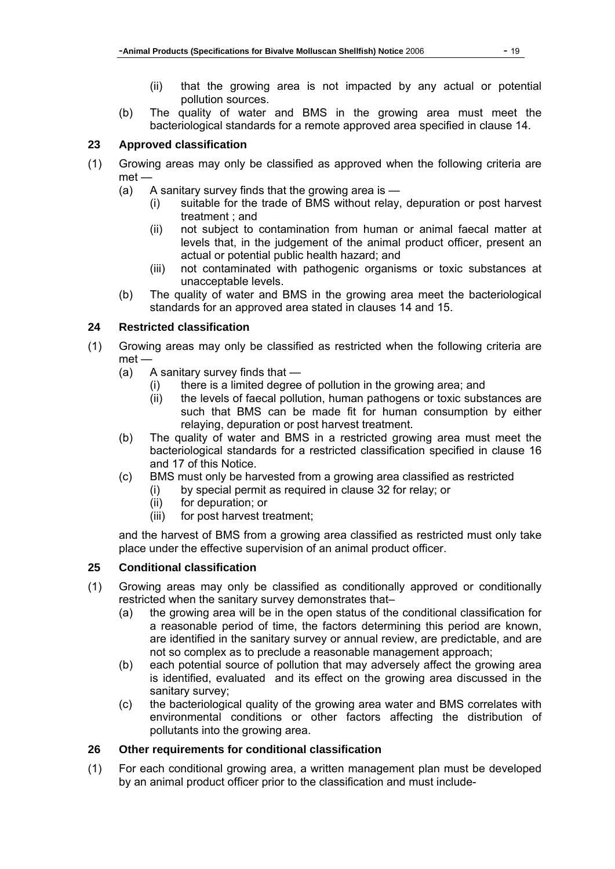- (ii) that the growing area is not impacted by any actual or potential pollution sources.
- (b) The quality of water and BMS in the growing area must meet the bacteriological standards for a remote approved area specified in clause 14.

## **23 Approved classification**

- (1) Growing areas may only be classified as approved when the following criteria are met —
	- (a) A sanitary survey finds that the growing area is
		- (i) suitable for the trade of BMS without relay, depuration or post harvest treatment ; and
		- (ii) not subject to contamination from human or animal faecal matter at levels that, in the judgement of the animal product officer, present an actual or potential public health hazard; and
		- (iii) not contaminated with pathogenic organisms or toxic substances at unacceptable levels.
	- (b) The quality of water and BMS in the growing area meet the bacteriological standards for an approved area stated in clauses 14 and 15.

## **24 Restricted classification**

- (1) Growing areas may only be classified as restricted when the following criteria are met —
	- (a) A sanitary survey finds that
		- (i) there is a limited degree of pollution in the growing area; and
		- (ii) the levels of faecal pollution, human pathogens or toxic substances are such that BMS can be made fit for human consumption by either relaying, depuration or post harvest treatment.
	- (b) The quality of water and BMS in a restricted growing area must meet the bacteriological standards for a restricted classification specified in clause 16 and 17 of this Notice.
	- (c) BMS must only be harvested from a growing area classified as restricted
		- (i) by special permit as required in clause 32 for relay; or
			- (ii) for depuration; or
			- (iii) for post harvest treatment;

and the harvest of BMS from a growing area classified as restricted must only take place under the effective supervision of an animal product officer.

### **25 Conditional classification**

- (1) Growing areas may only be classified as conditionally approved or conditionally restricted when the sanitary survey demonstrates that–
	- (a) the growing area will be in the open status of the conditional classification for a reasonable period of time, the factors determining this period are known, are identified in the sanitary survey or annual review, are predictable, and are not so complex as to preclude a reasonable management approach;
	- (b) each potential source of pollution that may adversely affect the growing area is identified, evaluated and its effect on the growing area discussed in the sanitary survey;
	- (c) the bacteriological quality of the growing area water and BMS correlates with environmental conditions or other factors affecting the distribution of pollutants into the growing area.

### **26 Other requirements for conditional classification**

(1) For each conditional growing area, a written management plan must be developed by an animal product officer prior to the classification and must include-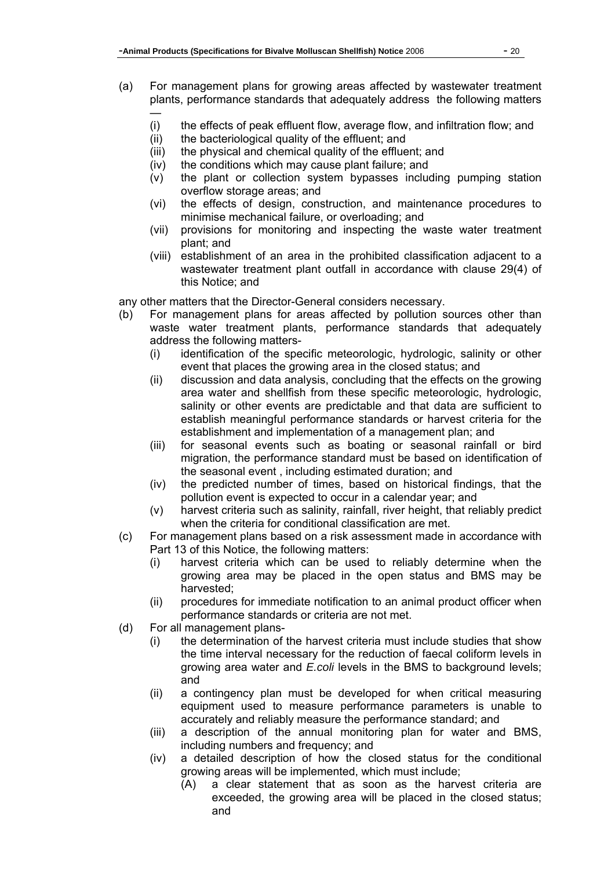- (a) For management plans for growing areas affected by wastewater treatment plants, performance standards that adequately address the following matters —
	- (i) the effects of peak effluent flow, average flow, and infiltration flow; and
	- (ii) the bacteriological quality of the effluent; and
	- (iii) the physical and chemical quality of the effluent; and
	- (iv) the conditions which may cause plant failure; and
	- (v) the plant or collection system bypasses including pumping station overflow storage areas; and
	- (vi) the effects of design, construction, and maintenance procedures to minimise mechanical failure, or overloading; and
	- (vii) provisions for monitoring and inspecting the waste water treatment plant; and
	- (viii) establishment of an area in the prohibited classification adjacent to a wastewater treatment plant outfall in accordance with clause 29(4) of this Notice; and

any other matters that the Director-General considers necessary.

- (b) For management plans for areas affected by pollution sources other than waste water treatment plants, performance standards that adequately address the following matters-
	- (i) identification of the specific meteorologic, hydrologic, salinity or other event that places the growing area in the closed status; and
	- (ii) discussion and data analysis, concluding that the effects on the growing area water and shellfish from these specific meteorologic, hydrologic, salinity or other events are predictable and that data are sufficient to establish meaningful performance standards or harvest criteria for the establishment and implementation of a management plan; and
	- (iii) for seasonal events such as boating or seasonal rainfall or bird migration, the performance standard must be based on identification of the seasonal event , including estimated duration; and
	- (iv) the predicted number of times, based on historical findings, that the pollution event is expected to occur in a calendar year; and
	- (v) harvest criteria such as salinity, rainfall, river height, that reliably predict when the criteria for conditional classification are met.
- (c) For management plans based on a risk assessment made in accordance with Part 13 of this Notice, the following matters:
	- (i) harvest criteria which can be used to reliably determine when the growing area may be placed in the open status and BMS may be harvested;
	- (ii) procedures for immediate notification to an animal product officer when performance standards or criteria are not met.
- (d) For all management plans-
	- (i) the determination of the harvest criteria must include studies that show the time interval necessary for the reduction of faecal coliform levels in growing area water and *E.coli* levels in the BMS to background levels; and
	- (ii) a contingency plan must be developed for when critical measuring equipment used to measure performance parameters is unable to accurately and reliably measure the performance standard; and
	- (iii) a description of the annual monitoring plan for water and BMS, including numbers and frequency; and
	- (iv) a detailed description of how the closed status for the conditional growing areas will be implemented, which must include;
		- (A) a clear statement that as soon as the harvest criteria are exceeded, the growing area will be placed in the closed status; and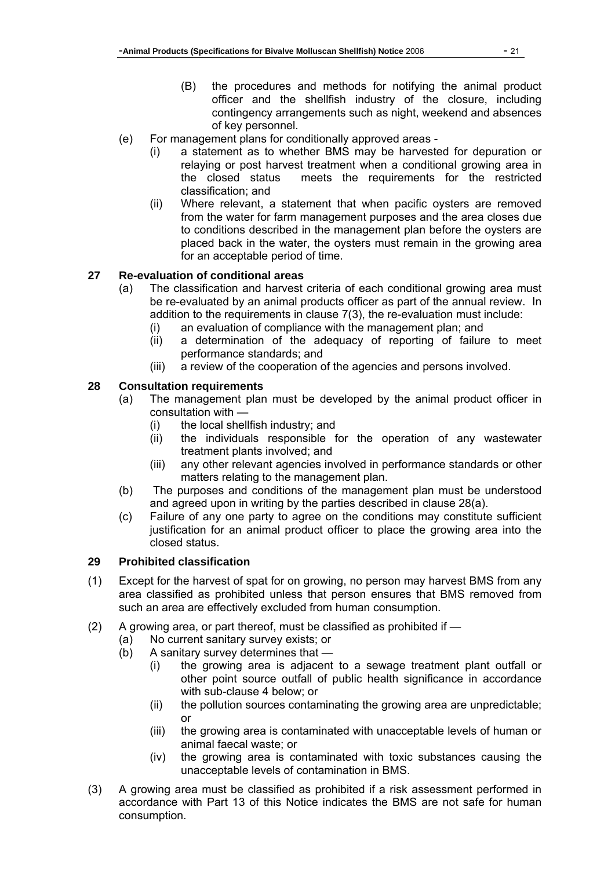- (B) the procedures and methods for notifying the animal product officer and the shellfish industry of the closure, including contingency arrangements such as night, weekend and absences of key personnel.
- (e) For management plans for conditionally approved areas
	- (i) a statement as to whether BMS may be harvested for depuration or relaying or post harvest treatment when a conditional growing area in the closed status meets the requirements for the restricted classification; and
	- (ii) Where relevant, a statement that when pacific oysters are removed from the water for farm management purposes and the area closes due to conditions described in the management plan before the oysters are placed back in the water, the oysters must remain in the growing area for an acceptable period of time.

# **27 Re-evaluation of conditional areas**

- (a) The classification and harvest criteria of each conditional growing area must be re-evaluated by an animal products officer as part of the annual review. In addition to the requirements in clause 7(3), the re-evaluation must include:
	- (i) an evaluation of compliance with the management plan; and
	- (ii) a determination of the adequacy of reporting of failure to meet performance standards; and
	- (iii) a review of the cooperation of the agencies and persons involved.

## **28 Consultation requirements**

- (a) The management plan must be developed by the animal product officer in consultation with —
	- (i) the local shellfish industry; and
	- (ii) the individuals responsible for the operation of any wastewater treatment plants involved; and
	- (iii) any other relevant agencies involved in performance standards or other matters relating to the management plan.
- (b) The purposes and conditions of the management plan must be understood and agreed upon in writing by the parties described in clause 28(a).
- (c) Failure of any one party to agree on the conditions may constitute sufficient justification for an animal product officer to place the growing area into the closed status.

### **29 Prohibited classification**

- (1) Except for the harvest of spat for on growing, no person may harvest BMS from any area classified as prohibited unless that person ensures that BMS removed from such an area are effectively excluded from human consumption.
- (2) A growing area, or part thereof, must be classified as prohibited if
	- (a) No current sanitary survey exists; or
	- (b) A sanitary survey determines that
		- (i) the growing area is adjacent to a sewage treatment plant outfall or other point source outfall of public health significance in accordance with sub-clause 4 below; or
		- (ii) the pollution sources contaminating the growing area are unpredictable; or
		- (iii) the growing area is contaminated with unacceptable levels of human or animal faecal waste; or
		- (iv) the growing area is contaminated with toxic substances causing the unacceptable levels of contamination in BMS.
- (3) A growing area must be classified as prohibited if a risk assessment performed in accordance with Part 13 of this Notice indicates the BMS are not safe for human consumption.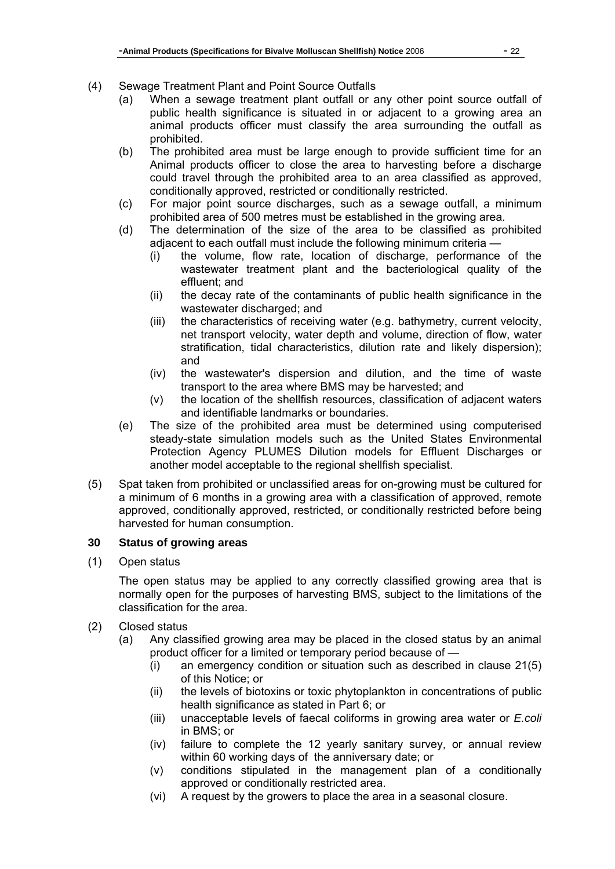- (4) Sewage Treatment Plant and Point Source Outfalls
	- (a) When a sewage treatment plant outfall or any other point source outfall of public health significance is situated in or adjacent to a growing area an animal products officer must classify the area surrounding the outfall as prohibited.
	- (b) The prohibited area must be large enough to provide sufficient time for an Animal products officer to close the area to harvesting before a discharge could travel through the prohibited area to an area classified as approved, conditionally approved, restricted or conditionally restricted.
	- (c) For major point source discharges, such as a sewage outfall, a minimum prohibited area of 500 metres must be established in the growing area.
	- (d) The determination of the size of the area to be classified as prohibited adjacent to each outfall must include the following minimum criteria —
		- (i) the volume, flow rate, location of discharge, performance of the wastewater treatment plant and the bacteriological quality of the effluent; and
		- (ii) the decay rate of the contaminants of public health significance in the wastewater discharged; and
		- (iii) the characteristics of receiving water (e.g. bathymetry, current velocity, net transport velocity, water depth and volume, direction of flow, water stratification, tidal characteristics, dilution rate and likely dispersion); and
		- (iv) the wastewater's dispersion and dilution, and the time of waste transport to the area where BMS may be harvested; and
		- (v) the location of the shellfish resources, classification of adjacent waters and identifiable landmarks or boundaries.
	- (e) The size of the prohibited area must be determined using computerised steady-state simulation models such as the United States Environmental Protection Agency PLUMES Dilution models for Effluent Discharges or another model acceptable to the regional shellfish specialist.
- (5) Spat taken from prohibited or unclassified areas for on-growing must be cultured for a minimum of 6 months in a growing area with a classification of approved, remote approved, conditionally approved, restricted, or conditionally restricted before being harvested for human consumption.

# **30 Status of growing areas**

(1) Open status

The open status may be applied to any correctly classified growing area that is normally open for the purposes of harvesting BMS, subject to the limitations of the classification for the area.

- (2) Closed status
	- (a) Any classified growing area may be placed in the closed status by an animal product officer for a limited or temporary period because of —
		- (i) an emergency condition or situation such as described in clause 21(5) of this Notice; or
		- (ii) the levels of biotoxins or toxic phytoplankton in concentrations of public health significance as stated in Part 6; or
		- (iii) unacceptable levels of faecal coliforms in growing area water or *E.coli*  in BMS; or
		- (iv) failure to complete the 12 yearly sanitary survey, or annual review within 60 working days of the anniversary date; or
		- (v) conditions stipulated in the management plan of a conditionally approved or conditionally restricted area.
		- (vi) A request by the growers to place the area in a seasonal closure.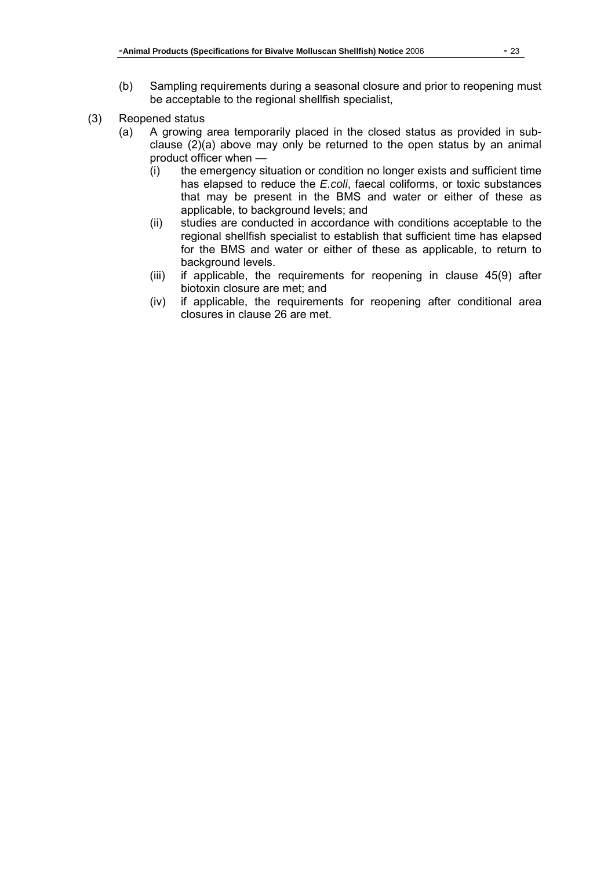- (b) Sampling requirements during a seasonal closure and prior to reopening must be acceptable to the regional shellfish specialist,
- (3) Reopened status
	- (a) A growing area temporarily placed in the closed status as provided in subclause (2)(a) above may only be returned to the open status by an animal product officer when —
		- (i) the emergency situation or condition no longer exists and sufficient time has elapsed to reduce the *E.coli*, faecal coliforms, or toxic substances that may be present in the BMS and water or either of these as applicable, to background levels; and
		- (ii) studies are conducted in accordance with conditions acceptable to the regional shellfish specialist to establish that sufficient time has elapsed for the BMS and water or either of these as applicable, to return to background levels.
		- (iii) if applicable, the requirements for reopening in clause 45(9) after biotoxin closure are met; and
		- (iv) if applicable, the requirements for reopening after conditional area closures in clause 26 are met.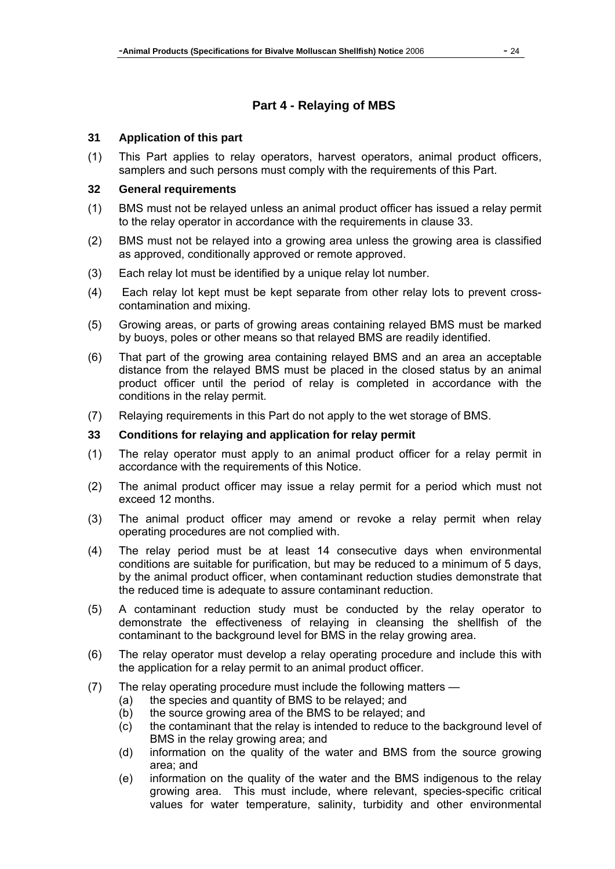# **Part 4 - Relaying of MBS**

#### **31 Application of this part**

(1) This Part applies to relay operators, harvest operators, animal product officers, samplers and such persons must comply with the requirements of this Part.

#### **32 General requirements**

- (1) BMS must not be relayed unless an animal product officer has issued a relay permit to the relay operator in accordance with the requirements in clause 33.
- (2) BMS must not be relayed into a growing area unless the growing area is classified as approved, conditionally approved or remote approved.
- (3) Each relay lot must be identified by a unique relay lot number.
- (4) Each relay lot kept must be kept separate from other relay lots to prevent crosscontamination and mixing.
- (5) Growing areas, or parts of growing areas containing relayed BMS must be marked by buoys, poles or other means so that relayed BMS are readily identified.
- (6) That part of the growing area containing relayed BMS and an area an acceptable distance from the relayed BMS must be placed in the closed status by an animal product officer until the period of relay is completed in accordance with the conditions in the relay permit.
- (7) Relaying requirements in this Part do not apply to the wet storage of BMS.

#### **33 Conditions for relaying and application for relay permit**

- (1) The relay operator must apply to an animal product officer for a relay permit in accordance with the requirements of this Notice.
- (2) The animal product officer may issue a relay permit for a period which must not exceed 12 months.
- (3) The animal product officer may amend or revoke a relay permit when relay operating procedures are not complied with.
- (4) The relay period must be at least 14 consecutive days when environmental conditions are suitable for purification, but may be reduced to a minimum of 5 days, by the animal product officer, when contaminant reduction studies demonstrate that the reduced time is adequate to assure contaminant reduction.
- (5) A contaminant reduction study must be conducted by the relay operator to demonstrate the effectiveness of relaying in cleansing the shellfish of the contaminant to the background level for BMS in the relay growing area.
- (6) The relay operator must develop a relay operating procedure and include this with the application for a relay permit to an animal product officer.
- (7) The relay operating procedure must include the following matters
	- (a) the species and quantity of BMS to be relayed; and
	- (b) the source growing area of the BMS to be relayed; and
	- (c) the contaminant that the relay is intended to reduce to the background level of BMS in the relay growing area; and
	- (d) information on the quality of the water and BMS from the source growing area; and
	- (e) information on the quality of the water and the BMS indigenous to the relay growing area. This must include, where relevant, species-specific critical values for water temperature, salinity, turbidity and other environmental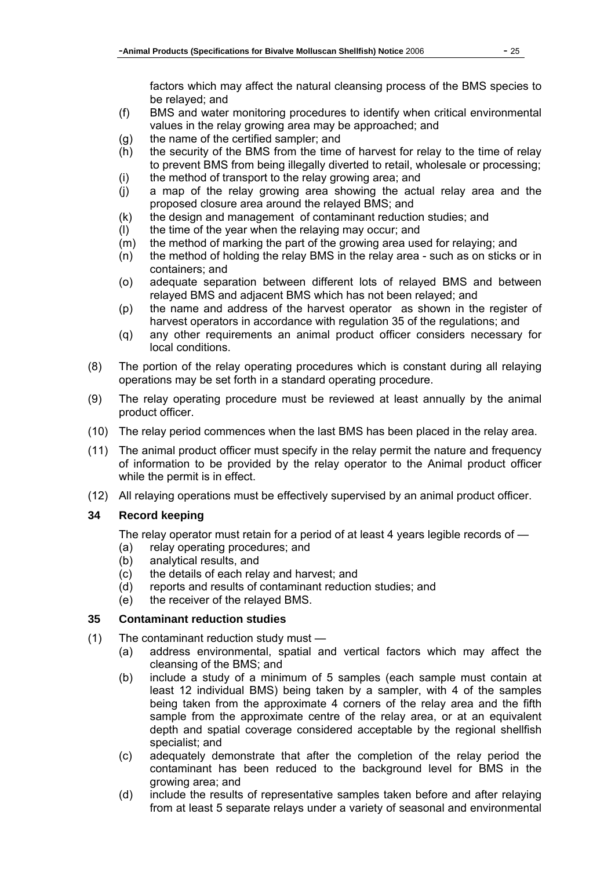factors which may affect the natural cleansing process of the BMS species to be relayed; and

- (f) BMS and water monitoring procedures to identify when critical environmental values in the relay growing area may be approached; and
- (g) the name of the certified sampler; and
- (h) the security of the BMS from the time of harvest for relay to the time of relay to prevent BMS from being illegally diverted to retail, wholesale or processing;
- (i) the method of transport to the relay growing area; and
- (j) a map of the relay growing area showing the actual relay area and the proposed closure area around the relayed BMS; and
- (k) the design and management of contaminant reduction studies; and
- (l) the time of the year when the relaying may occur; and
- (m) the method of marking the part of the growing area used for relaying; and
- (n) the method of holding the relay BMS in the relay area such as on sticks or in containers; and
- (o) adequate separation between different lots of relayed BMS and between relayed BMS and adjacent BMS which has not been relayed; and
- (p) the name and address of the harvest operator as shown in the register of harvest operators in accordance with regulation 35 of the regulations; and
- (q) any other requirements an animal product officer considers necessary for local conditions.
- (8) The portion of the relay operating procedures which is constant during all relaying operations may be set forth in a standard operating procedure.
- (9) The relay operating procedure must be reviewed at least annually by the animal product officer.
- (10) The relay period commences when the last BMS has been placed in the relay area.
- (11) The animal product officer must specify in the relay permit the nature and frequency of information to be provided by the relay operator to the Animal product officer while the permit is in effect.
- (12) All relaying operations must be effectively supervised by an animal product officer.

# **34 Record keeping**

The relay operator must retain for a period of at least 4 years legible records of —

- (a) relay operating procedures; and
- (b) analytical results, and
- (c) the details of each relay and harvest; and
- (d) reports and results of contaminant reduction studies; and
- (e) the receiver of the relayed BMS.

# **35 Contaminant reduction studies**

- (1) The contaminant reduction study must
	- (a) address environmental, spatial and vertical factors which may affect the cleansing of the BMS; and
	- (b) include a study of a minimum of 5 samples (each sample must contain at least 12 individual BMS) being taken by a sampler, with 4 of the samples being taken from the approximate 4 corners of the relay area and the fifth sample from the approximate centre of the relay area, or at an equivalent depth and spatial coverage considered acceptable by the regional shellfish specialist; and
	- (c) adequately demonstrate that after the completion of the relay period the contaminant has been reduced to the background level for BMS in the growing area; and
	- (d) include the results of representative samples taken before and after relaying from at least 5 separate relays under a variety of seasonal and environmental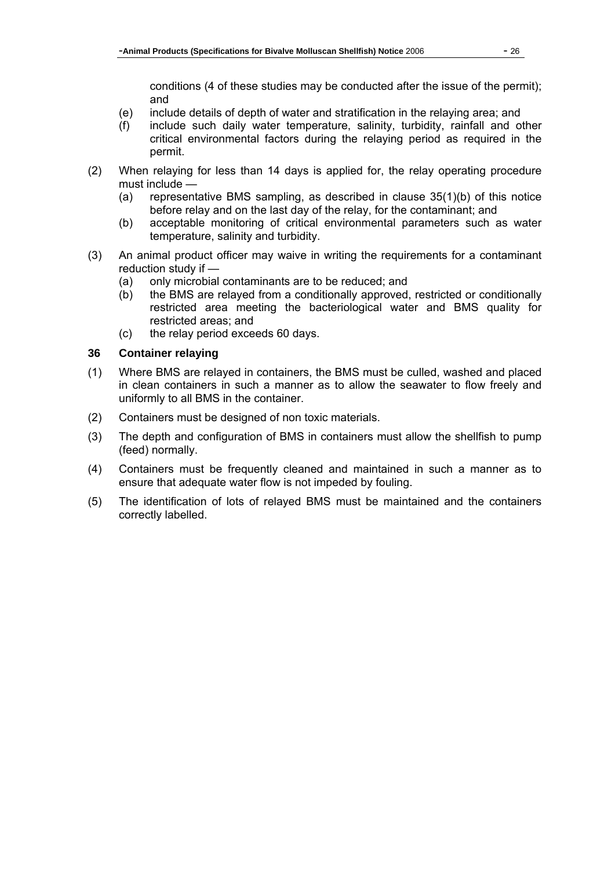conditions (4 of these studies may be conducted after the issue of the permit); and

- (e) include details of depth of water and stratification in the relaying area; and
- (f) include such daily water temperature, salinity, turbidity, rainfall and other critical environmental factors during the relaying period as required in the permit.
- (2) When relaying for less than 14 days is applied for, the relay operating procedure must include —
	- (a) representative BMS sampling, as described in clause 35(1)(b) of this notice before relay and on the last day of the relay, for the contaminant; and
	- (b) acceptable monitoring of critical environmental parameters such as water temperature, salinity and turbidity.
- (3) An animal product officer may waive in writing the requirements for a contaminant reduction study if —
	- (a) only microbial contaminants are to be reduced; and
	- (b) the BMS are relayed from a conditionally approved, restricted or conditionally restricted area meeting the bacteriological water and BMS quality for restricted areas; and
	- (c) the relay period exceeds 60 days.

#### **36 Container relaying**

- (1) Where BMS are relayed in containers, the BMS must be culled, washed and placed in clean containers in such a manner as to allow the seawater to flow freely and uniformly to all BMS in the container.
- (2) Containers must be designed of non toxic materials.
- (3) The depth and configuration of BMS in containers must allow the shellfish to pump (feed) normally.
- (4) Containers must be frequently cleaned and maintained in such a manner as to ensure that adequate water flow is not impeded by fouling.
- (5) The identification of lots of relayed BMS must be maintained and the containers correctly labelled.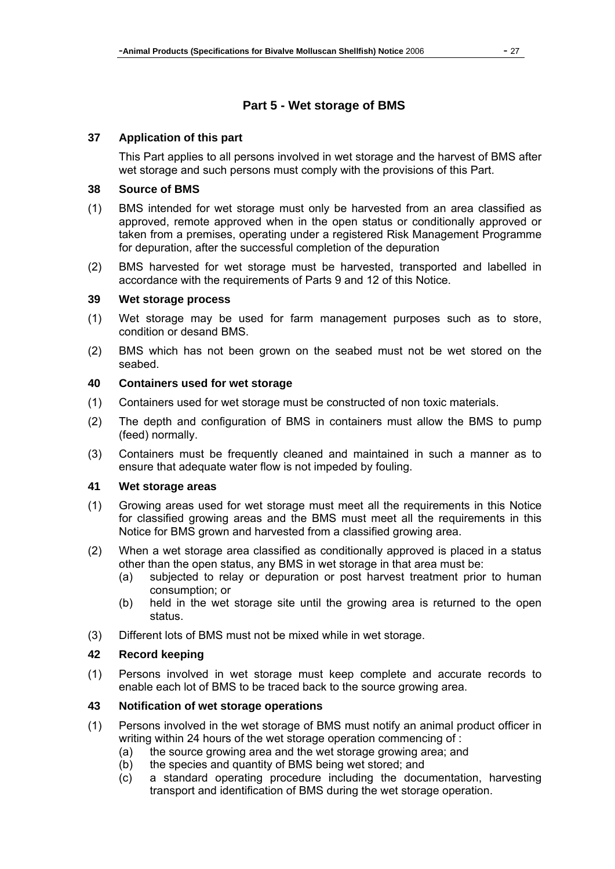# **Part 5 - Wet storage of BMS**

#### **37 Application of this part**

This Part applies to all persons involved in wet storage and the harvest of BMS after wet storage and such persons must comply with the provisions of this Part.

#### **38 Source of BMS**

- (1) BMS intended for wet storage must only be harvested from an area classified as approved, remote approved when in the open status or conditionally approved or taken from a premises, operating under a registered Risk Management Programme for depuration, after the successful completion of the depuration
- (2) BMS harvested for wet storage must be harvested, transported and labelled in accordance with the requirements of Parts 9 and 12 of this Notice.

#### **39 Wet storage process**

- (1) Wet storage may be used for farm management purposes such as to store, condition or desand BMS.
- (2) BMS which has not been grown on the seabed must not be wet stored on the seabed.

#### **40 Containers used for wet storage**

- (1) Containers used for wet storage must be constructed of non toxic materials.
- (2) The depth and configuration of BMS in containers must allow the BMS to pump (feed) normally.
- (3) Containers must be frequently cleaned and maintained in such a manner as to ensure that adequate water flow is not impeded by fouling.

#### **41 Wet storage areas**

- (1) Growing areas used for wet storage must meet all the requirements in this Notice for classified growing areas and the BMS must meet all the requirements in this Notice for BMS grown and harvested from a classified growing area.
- (2) When a wet storage area classified as conditionally approved is placed in a status other than the open status, any BMS in wet storage in that area must be:
	- (a) subjected to relay or depuration or post harvest treatment prior to human consumption; or
	- (b) held in the wet storage site until the growing area is returned to the open status.
- (3) Different lots of BMS must not be mixed while in wet storage.

### **42 Record keeping**

(1) Persons involved in wet storage must keep complete and accurate records to enable each lot of BMS to be traced back to the source growing area.

#### **43 Notification of wet storage operations**

- (1) Persons involved in the wet storage of BMS must notify an animal product officer in writing within 24 hours of the wet storage operation commencing of :
	- (a) the source growing area and the wet storage growing area; and
	- (b) the species and quantity of BMS being wet stored; and
	- (c) a standard operating procedure including the documentation, harvesting transport and identification of BMS during the wet storage operation.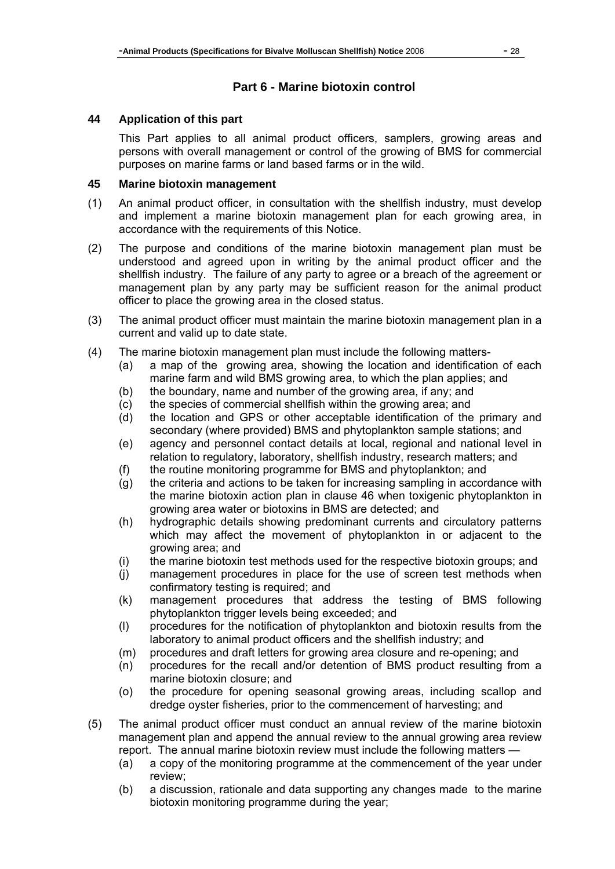# **Part 6 - Marine biotoxin control**

### **44 Application of this part**

This Part applies to all animal product officers, samplers, growing areas and persons with overall management or control of the growing of BMS for commercial purposes on marine farms or land based farms or in the wild.

### **45 Marine biotoxin management**

- (1) An animal product officer, in consultation with the shellfish industry, must develop and implement a marine biotoxin management plan for each growing area, in accordance with the requirements of this Notice.
- (2) The purpose and conditions of the marine biotoxin management plan must be understood and agreed upon in writing by the animal product officer and the shellfish industry. The failure of any party to agree or a breach of the agreement or management plan by any party may be sufficient reason for the animal product officer to place the growing area in the closed status.
- (3) The animal product officer must maintain the marine biotoxin management plan in a current and valid up to date state.
- (4) The marine biotoxin management plan must include the following matters-
	- (a) a map of the growing area, showing the location and identification of each marine farm and wild BMS growing area, to which the plan applies; and
	- (b) the boundary, name and number of the growing area, if any; and
	- (c) the species of commercial shellfish within the growing area; and
	- (d) the location and GPS or other acceptable identification of the primary and secondary (where provided) BMS and phytoplankton sample stations; and
	- (e) agency and personnel contact details at local, regional and national level in relation to regulatory, laboratory, shellfish industry, research matters; and
	- (f) the routine monitoring programme for BMS and phytoplankton; and
	- (g) the criteria and actions to be taken for increasing sampling in accordance with the marine biotoxin action plan in clause 46 when toxigenic phytoplankton in growing area water or biotoxins in BMS are detected; and
	- (h) hydrographic details showing predominant currents and circulatory patterns which may affect the movement of phytoplankton in or adjacent to the growing area; and
	- (i) the marine biotoxin test methods used for the respective biotoxin groups; and
	- (j) management procedures in place for the use of screen test methods when confirmatory testing is required; and
	- (k) management procedures that address the testing of BMS following phytoplankton trigger levels being exceeded; and
	- (l) procedures for the notification of phytoplankton and biotoxin results from the laboratory to animal product officers and the shellfish industry; and
	- (m) procedures and draft letters for growing area closure and re-opening; and
	- (n) procedures for the recall and/or detention of BMS product resulting from a marine biotoxin closure; and
	- (o) the procedure for opening seasonal growing areas, including scallop and dredge oyster fisheries, prior to the commencement of harvesting; and
- (5) The animal product officer must conduct an annual review of the marine biotoxin management plan and append the annual review to the annual growing area review report. The annual marine biotoxin review must include the following matters —
	- (a) a copy of the monitoring programme at the commencement of the year under review;
	- (b) a discussion, rationale and data supporting any changes made to the marine biotoxin monitoring programme during the year;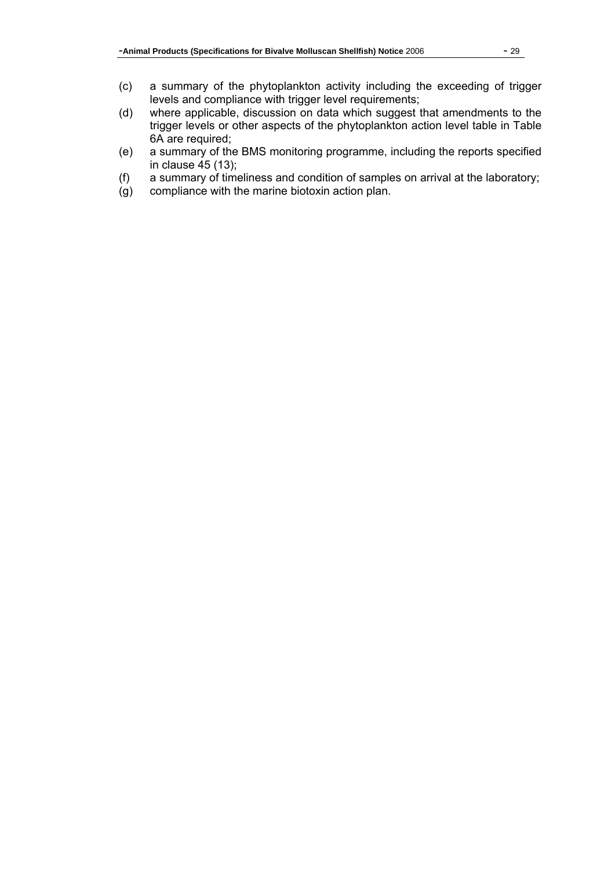- (c) a summary of the phytoplankton activity including the exceeding of trigger levels and compliance with trigger level requirements;
- (d) where applicable, discussion on data which suggest that amendments to the trigger levels or other aspects of the phytoplankton action level table in Table 6A are required;
- (e) a summary of the BMS monitoring programme, including the reports specified in clause 45 (13);
- (f) a summary of timeliness and condition of samples on arrival at the laboratory;
- (g) compliance with the marine biotoxin action plan.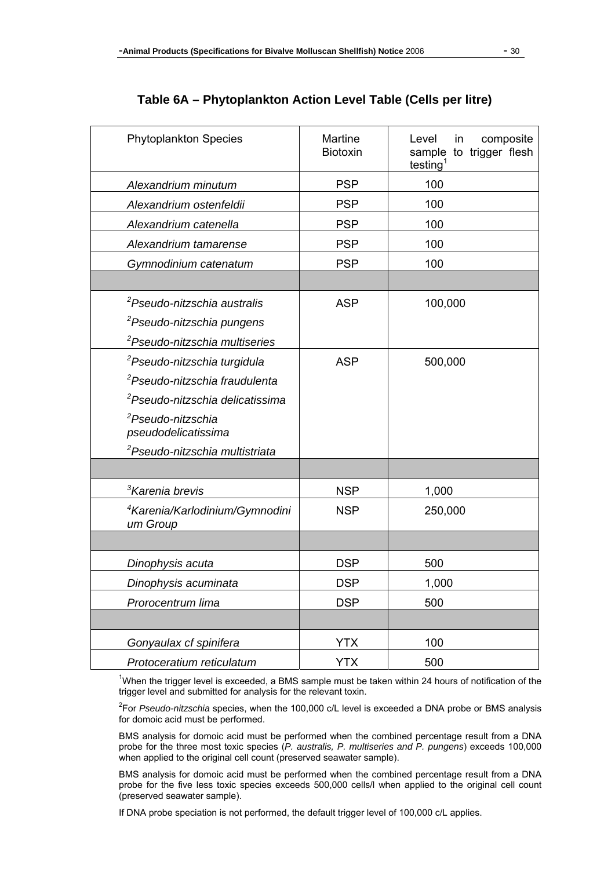| <b>Phytoplankton Species</b>                           | <b>Martine</b><br><b>Biotoxin</b> | Level<br>composite<br>in<br>sample to trigger flesh<br>testing <sup>1</sup> |
|--------------------------------------------------------|-----------------------------------|-----------------------------------------------------------------------------|
| Alexandrium minutum                                    | <b>PSP</b>                        | 100                                                                         |
| Alexandrium ostenfeldii                                | <b>PSP</b>                        | 100                                                                         |
| Alexandrium catenella                                  | <b>PSP</b>                        | 100                                                                         |
| Alexandrium tamarense                                  | <b>PSP</b>                        | 100                                                                         |
| Gymnodinium catenatum                                  | <b>PSP</b>                        | 100                                                                         |
|                                                        |                                   |                                                                             |
| <sup>2</sup> Pseudo-nitzschia australis                | <b>ASP</b>                        | 100,000                                                                     |
| <sup>2</sup> Pseudo-nitzschia pungens                  |                                   |                                                                             |
| <sup>2</sup> Pseudo-nitzschia multiseries              |                                   |                                                                             |
| <sup>2</sup> Pseudo-nitzschia turgidula                | <b>ASP</b>                        | 500,000                                                                     |
| <sup>2</sup> Pseudo-nitzschia fraudulenta              |                                   |                                                                             |
| <sup>2</sup> Pseudo-nitzschia delicatissima            |                                   |                                                                             |
| <sup>2</sup> Pseudo-nitzschia<br>pseudodelicatissima   |                                   |                                                                             |
| <sup>2</sup> Pseudo-nitzschia multistriata             |                                   |                                                                             |
|                                                        |                                   |                                                                             |
| <sup>3</sup> Karenia brevis                            | <b>NSP</b>                        | 1,000                                                                       |
| <sup>4</sup> Karenia/Karlodinium/Gymnodini<br>um Group | <b>NSP</b>                        | 250,000                                                                     |
|                                                        |                                   |                                                                             |
| Dinophysis acuta                                       | <b>DSP</b>                        | 500                                                                         |
| Dinophysis acuminata                                   | <b>DSP</b>                        | 1,000                                                                       |
| Prorocentrum lima                                      | <b>DSP</b>                        | 500                                                                         |
|                                                        |                                   |                                                                             |
| Gonyaulax cf spinifera                                 | <b>YTX</b>                        | 100                                                                         |
| Protoceratium reticulatum                              | <b>YTX</b>                        | 500                                                                         |

#### **Table 6A – Phytoplankton Action Level Table (Cells per litre)**

<sup>1</sup>When the trigger level is exceeded, a BMS sample must be taken within 24 hours of notification of the trigger level and submitted for analysis for the relevant toxin.

2 For *Pseudo-nitzschia* species, when the 100,000 c/L level is exceeded a DNA probe or BMS analysis for domoic acid must be performed.

BMS analysis for domoic acid must be performed when the combined percentage result from a DNA probe for the three most toxic species (*P. australis, P. multiseries and P. pungens*) exceeds 100,000 when applied to the original cell count (preserved seawater sample).

BMS analysis for domoic acid must be performed when the combined percentage result from a DNA probe for the five less toxic species exceeds 500,000 cells/l when applied to the original cell count (preserved seawater sample).

If DNA probe speciation is not performed, the default trigger level of 100,000 c/L applies.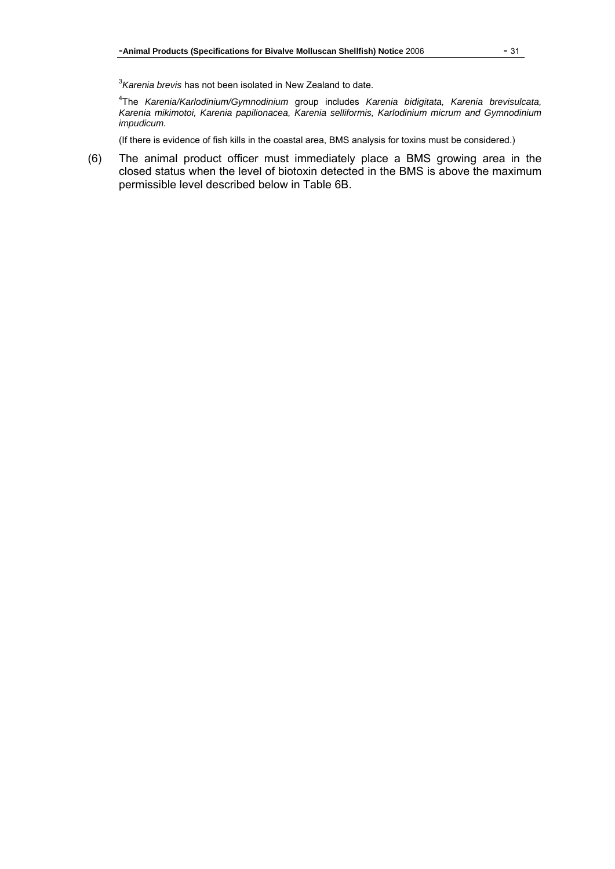3 *Karenia brevis* has not been isolated in New Zealand to date.

4 The *Karenia/Karlodinium/Gymnodinium* group includes *Karenia bidigitata, Karenia brevisulcata, Karenia mikimotoi, Karenia papilionacea, Karenia selliformis, Karlodinium micrum and Gymnodinium impudicum.* 

(If there is evidence of fish kills in the coastal area, BMS analysis for toxins must be considered.)

(6) The animal product officer must immediately place a BMS growing area in the closed status when the level of biotoxin detected in the BMS is above the maximum permissible level described below in Table 6B.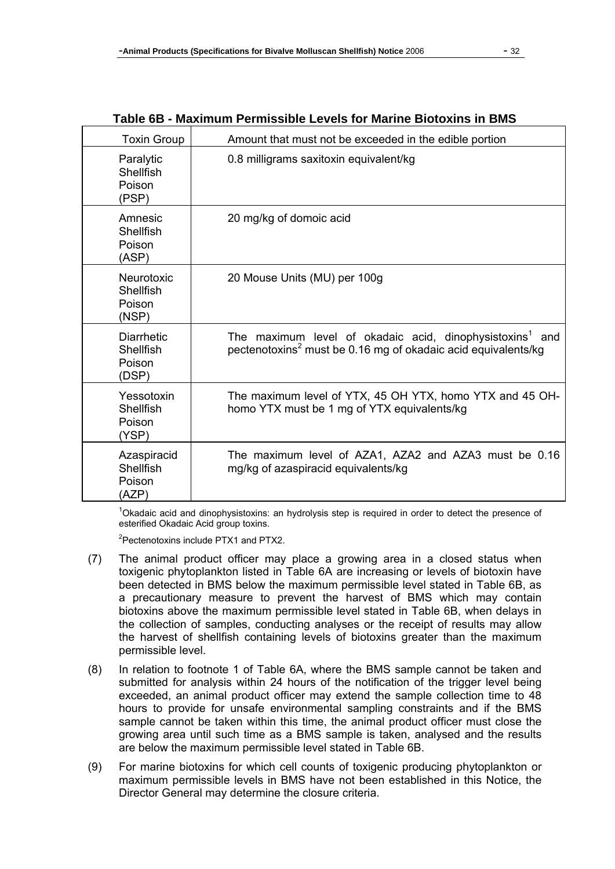| <b>Toxin Group</b>                                 | Amount that must not be exceeded in the edible portion                                                                                               |  |
|----------------------------------------------------|------------------------------------------------------------------------------------------------------------------------------------------------------|--|
| Paralytic<br>Shellfish<br>Poison<br>(PSP)          | 0.8 milligrams saxitoxin equivalent/kg                                                                                                               |  |
| Amnesic<br>Shellfish<br>Poison<br>(ASP)            | 20 mg/kg of domoic acid                                                                                                                              |  |
| <b>Neurotoxic</b><br>Shellfish<br>Poison<br>(NSP)  | 20 Mouse Units (MU) per 100g                                                                                                                         |  |
| <b>Diarrhetic</b><br>Shellfish<br>Poison<br>(DSP)  | The maximum level of okadaic acid, dinophysistoxins <sup>1</sup><br>and<br>pectenotoxins <sup>2</sup> must be 0.16 mg of okadaic acid equivalents/kg |  |
| Yessotoxin<br>Shellfish<br>Poison<br>(YSP)         | The maximum level of YTX, 45 OH YTX, homo YTX and 45 OH-<br>homo YTX must be 1 mg of YTX equivalents/kg                                              |  |
| Azaspiracid<br><b>Shellfish</b><br>Poison<br>(AZP) | The maximum level of AZA1, AZA2 and AZA3 must be 0.16<br>mg/kg of azaspiracid equivalents/kg                                                         |  |

# **Table 6B - Maximum Permissible Levels for Marine Biotoxins in BMS**

<sup>1</sup>Okadaic acid and dinophysistoxins: an hydrolysis step is required in order to detect the presence of esterified Okadaic Acid group toxins.

<sup>2</sup>Pectenotoxins include PTX1 and PTX2.

- (7) The animal product officer may place a growing area in a closed status when toxigenic phytoplankton listed in Table 6A are increasing or levels of biotoxin have been detected in BMS below the maximum permissible level stated in Table 6B, as a precautionary measure to prevent the harvest of BMS which may contain biotoxins above the maximum permissible level stated in Table 6B, when delays in the collection of samples, conducting analyses or the receipt of results may allow the harvest of shellfish containing levels of biotoxins greater than the maximum permissible level.
- (8) In relation to footnote 1 of Table 6A, where the BMS sample cannot be taken and submitted for analysis within 24 hours of the notification of the trigger level being exceeded, an animal product officer may extend the sample collection time to 48 hours to provide for unsafe environmental sampling constraints and if the BMS sample cannot be taken within this time, the animal product officer must close the growing area until such time as a BMS sample is taken, analysed and the results are below the maximum permissible level stated in Table 6B.
- (9) For marine biotoxins for which cell counts of toxigenic producing phytoplankton or maximum permissible levels in BMS have not been established in this Notice, the Director General may determine the closure criteria.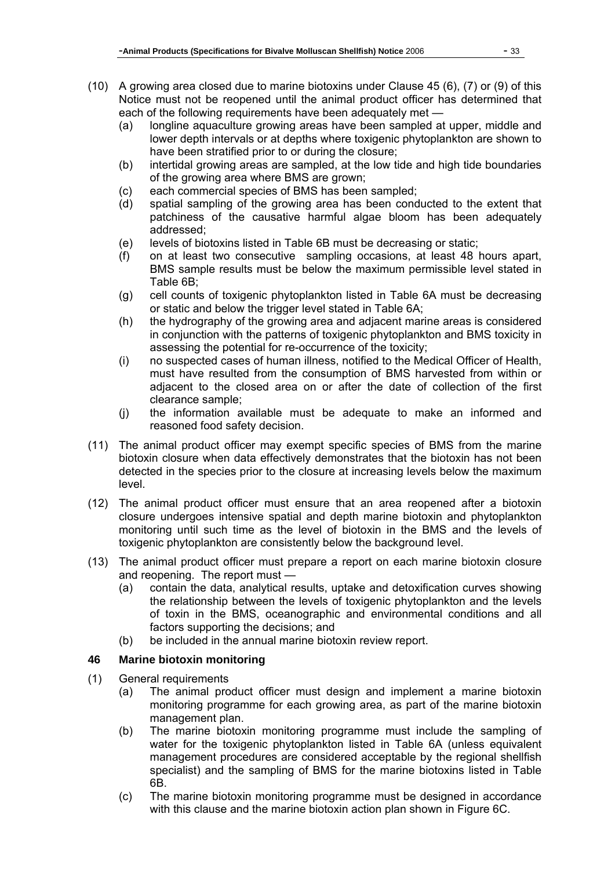- (10) A growing area closed due to marine biotoxins under Clause 45 (6), (7) or (9) of this Notice must not be reopened until the animal product officer has determined that each of the following requirements have been adequately met —
	- (a) longline aquaculture growing areas have been sampled at upper, middle and lower depth intervals or at depths where toxigenic phytoplankton are shown to have been stratified prior to or during the closure;
	- (b) intertidal growing areas are sampled, at the low tide and high tide boundaries of the growing area where BMS are grown;
	- (c) each commercial species of BMS has been sampled;
	- (d) spatial sampling of the growing area has been conducted to the extent that patchiness of the causative harmful algae bloom has been adequately addressed;
	- (e) levels of biotoxins listed in Table 6B must be decreasing or static;
	- (f) on at least two consecutive sampling occasions, at least 48 hours apart, BMS sample results must be below the maximum permissible level stated in Table 6B;
	- (g) cell counts of toxigenic phytoplankton listed in Table 6A must be decreasing or static and below the trigger level stated in Table 6A;
	- (h) the hydrography of the growing area and adjacent marine areas is considered in conjunction with the patterns of toxigenic phytoplankton and BMS toxicity in assessing the potential for re-occurrence of the toxicity;
	- (i) no suspected cases of human illness, notified to the Medical Officer of Health, must have resulted from the consumption of BMS harvested from within or adjacent to the closed area on or after the date of collection of the first clearance sample;
	- (j) the information available must be adequate to make an informed and reasoned food safety decision.
- (11) The animal product officer may exempt specific species of BMS from the marine biotoxin closure when data effectively demonstrates that the biotoxin has not been detected in the species prior to the closure at increasing levels below the maximum level.
- (12) The animal product officer must ensure that an area reopened after a biotoxin closure undergoes intensive spatial and depth marine biotoxin and phytoplankton monitoring until such time as the level of biotoxin in the BMS and the levels of toxigenic phytoplankton are consistently below the background level.
- (13) The animal product officer must prepare a report on each marine biotoxin closure and reopening. The report must —
	- (a) contain the data, analytical results, uptake and detoxification curves showing the relationship between the levels of toxigenic phytoplankton and the levels of toxin in the BMS, oceanographic and environmental conditions and all factors supporting the decisions; and
	- (b) be included in the annual marine biotoxin review report.

### **46 Marine biotoxin monitoring**

- (1) General requirements
	- (a) The animal product officer must design and implement a marine biotoxin monitoring programme for each growing area, as part of the marine biotoxin management plan.
	- (b) The marine biotoxin monitoring programme must include the sampling of water for the toxigenic phytoplankton listed in Table 6A (unless equivalent management procedures are considered acceptable by the regional shellfish specialist) and the sampling of BMS for the marine biotoxins listed in Table 6B.
	- (c) The marine biotoxin monitoring programme must be designed in accordance with this clause and the marine biotoxin action plan shown in Figure 6C.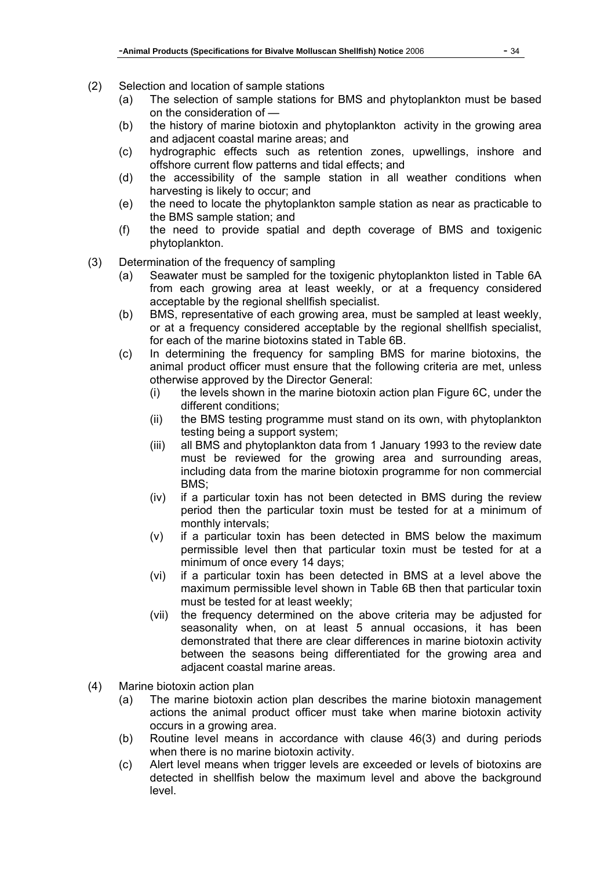- (2) Selection and location of sample stations
	- (a) The selection of sample stations for BMS and phytoplankton must be based on the consideration of —
	- (b) the history of marine biotoxin and phytoplankton activity in the growing area and adjacent coastal marine areas; and
	- (c) hydrographic effects such as retention zones, upwellings, inshore and offshore current flow patterns and tidal effects; and
	- (d) the accessibility of the sample station in all weather conditions when harvesting is likely to occur; and
	- (e) the need to locate the phytoplankton sample station as near as practicable to the BMS sample station; and
	- (f) the need to provide spatial and depth coverage of BMS and toxigenic phytoplankton.
- (3) Determination of the frequency of sampling
	- (a) Seawater must be sampled for the toxigenic phytoplankton listed in Table 6A from each growing area at least weekly, or at a frequency considered acceptable by the regional shellfish specialist.
	- (b) BMS, representative of each growing area, must be sampled at least weekly, or at a frequency considered acceptable by the regional shellfish specialist, for each of the marine biotoxins stated in Table 6B.
	- (c) In determining the frequency for sampling BMS for marine biotoxins, the animal product officer must ensure that the following criteria are met, unless otherwise approved by the Director General:
		- (i) the levels shown in the marine biotoxin action plan Figure 6C, under the different conditions;
		- (ii) the BMS testing programme must stand on its own, with phytoplankton testing being a support system;
		- (iii) all BMS and phytoplankton data from 1 January 1993 to the review date must be reviewed for the growing area and surrounding areas, including data from the marine biotoxin programme for non commercial BMS;
		- (iv) if a particular toxin has not been detected in BMS during the review period then the particular toxin must be tested for at a minimum of monthly intervals;
		- (v) if a particular toxin has been detected in BMS below the maximum permissible level then that particular toxin must be tested for at a minimum of once every 14 days;
		- (vi) if a particular toxin has been detected in BMS at a level above the maximum permissible level shown in Table 6B then that particular toxin must be tested for at least weekly;
		- (vii) the frequency determined on the above criteria may be adjusted for seasonality when, on at least 5 annual occasions, it has been demonstrated that there are clear differences in marine biotoxin activity between the seasons being differentiated for the growing area and adjacent coastal marine areas.
- (4) Marine biotoxin action plan
	- (a) The marine biotoxin action plan describes the marine biotoxin management actions the animal product officer must take when marine biotoxin activity occurs in a growing area.
	- (b) Routine level means in accordance with clause 46(3) and during periods when there is no marine biotoxin activity.
	- (c) Alert level means when trigger levels are exceeded or levels of biotoxins are detected in shellfish below the maximum level and above the background level.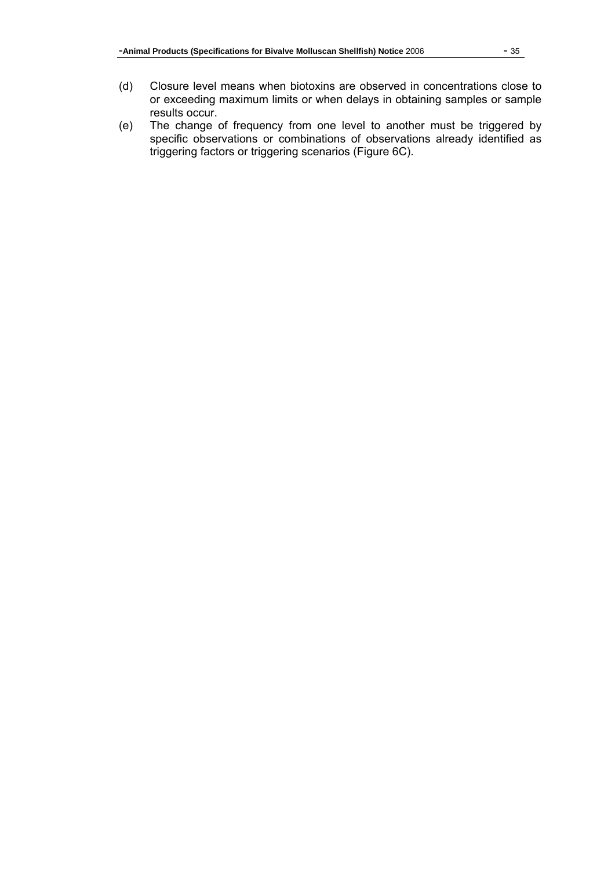- (d) Closure level means when biotoxins are observed in concentrations close to or exceeding maximum limits or when delays in obtaining samples or sample results occur.
- (e) The change of frequency from one level to another must be triggered by specific observations or combinations of observations already identified as triggering factors or triggering scenarios (Figure 6C).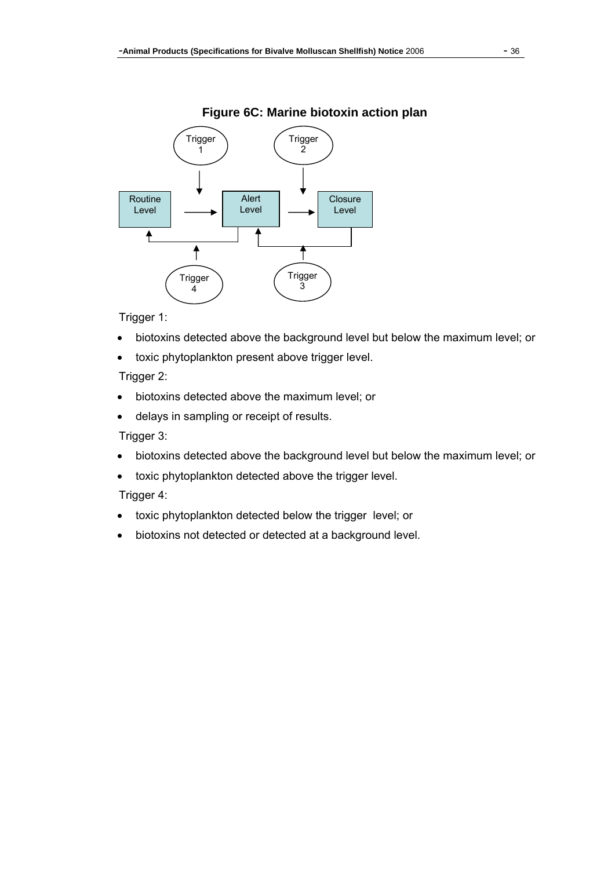#### Trigger Trigger 1 2 Alert Routine **Closure** Level Level Level ₳  $\uparrow$ Trigger Trigger 3  $\boldsymbol{\Lambda}$

Trigger 1:

- biotoxins detected above the background level but below the maximum level; or
- toxic phytoplankton present above trigger level.

### Trigger 2:

- biotoxins detected above the maximum level; or
- delays in sampling or receipt of results.

Trigger 3:

- biotoxins detected above the background level but below the maximum level; or
- toxic phytoplankton detected above the trigger level.

### Trigger 4:

- toxic phytoplankton detected below the trigger level; or
- biotoxins not detected or detected at a background level.

# **Figure 6C: Marine biotoxin action plan**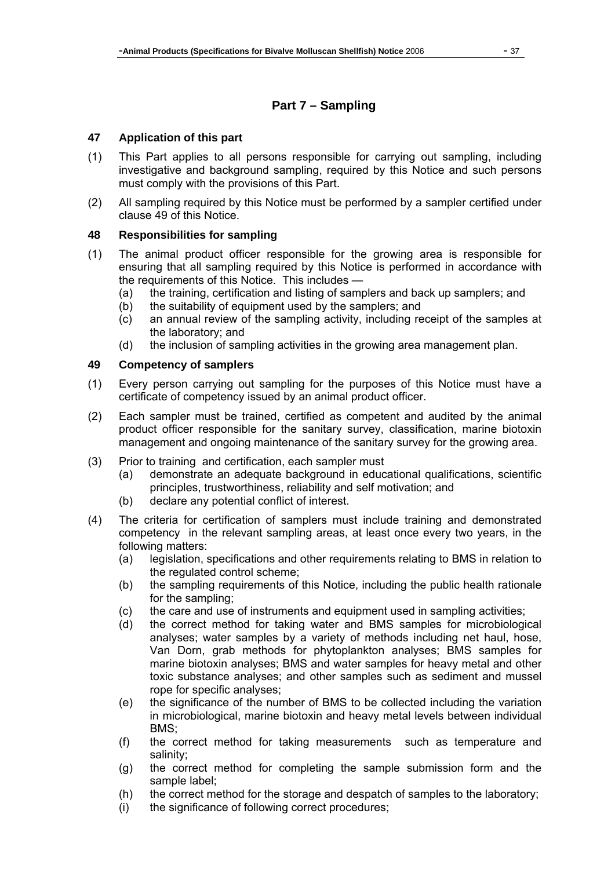# **Part 7 – Sampling**

#### **47 Application of this part**

- (1) This Part applies to all persons responsible for carrying out sampling, including investigative and background sampling, required by this Notice and such persons must comply with the provisions of this Part.
- (2) All sampling required by this Notice must be performed by a sampler certified under clause 49 of this Notice.

#### **48 Responsibilities for sampling**

- (1) The animal product officer responsible for the growing area is responsible for ensuring that all sampling required by this Notice is performed in accordance with the requirements of this Notice. This includes —
	- (a) the training, certification and listing of samplers and back up samplers; and
	- (b) the suitability of equipment used by the samplers; and
	- (c) an annual review of the sampling activity, including receipt of the samples at the laboratory; and
	- (d) the inclusion of sampling activities in the growing area management plan.

### **49 Competency of samplers**

- (1) Every person carrying out sampling for the purposes of this Notice must have a certificate of competency issued by an animal product officer.
- (2) Each sampler must be trained, certified as competent and audited by the animal product officer responsible for the sanitary survey, classification, marine biotoxin management and ongoing maintenance of the sanitary survey for the growing area.
- (3) Prior to training and certification, each sampler must
	- (a) demonstrate an adequate background in educational qualifications, scientific principles, trustworthiness, reliability and self motivation; and
	- (b) declare any potential conflict of interest.
- (4) The criteria for certification of samplers must include training and demonstrated competency in the relevant sampling areas, at least once every two years, in the following matters:
	- (a) legislation, specifications and other requirements relating to BMS in relation to the regulated control scheme;
	- (b) the sampling requirements of this Notice, including the public health rationale for the sampling;
	- (c) the care and use of instruments and equipment used in sampling activities;
	- (d) the correct method for taking water and BMS samples for microbiological analyses; water samples by a variety of methods including net haul, hose, Van Dorn, grab methods for phytoplankton analyses; BMS samples for marine biotoxin analyses; BMS and water samples for heavy metal and other toxic substance analyses; and other samples such as sediment and mussel rope for specific analyses;
	- (e) the significance of the number of BMS to be collected including the variation in microbiological, marine biotoxin and heavy metal levels between individual BMS;
	- (f) the correct method for taking measurements such as temperature and salinity;
	- (g) the correct method for completing the sample submission form and the sample label;
	- (h) the correct method for the storage and despatch of samples to the laboratory;
	- (i) the significance of following correct procedures;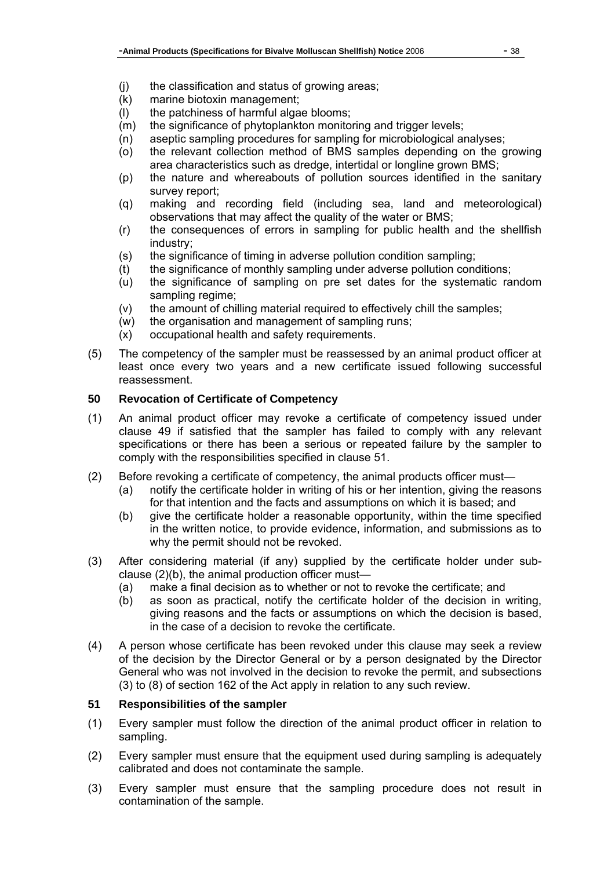- (j) the classification and status of growing areas;
- (k) marine biotoxin management;
- (l) the patchiness of harmful algae blooms;
- (m) the significance of phytoplankton monitoring and trigger levels;
- (n) aseptic sampling procedures for sampling for microbiological analyses;
- (o) the relevant collection method of BMS samples depending on the growing area characteristics such as dredge, intertidal or longline grown BMS;
- (p) the nature and whereabouts of pollution sources identified in the sanitary survey report;
- (q) making and recording field (including sea, land and meteorological) observations that may affect the quality of the water or BMS;
- (r) the consequences of errors in sampling for public health and the shellfish industry;
- (s) the significance of timing in adverse pollution condition sampling;
- (t) the significance of monthly sampling under adverse pollution conditions;
- (u) the significance of sampling on pre set dates for the systematic random sampling regime;
- (v) the amount of chilling material required to effectively chill the samples;
- (w) the organisation and management of sampling runs;
- (x) occupational health and safety requirements.
- (5) The competency of the sampler must be reassessed by an animal product officer at least once every two years and a new certificate issued following successful reassessment.

#### **50 Revocation of Certificate of Competency**

- (1) An animal product officer may revoke a certificate of competency issued under clause 49 if satisfied that the sampler has failed to comply with any relevant specifications or there has been a serious or repeated failure by the sampler to comply with the responsibilities specified in clause 51.
- (2) Before revoking a certificate of competency, the animal products officer must—
	- (a) notify the certificate holder in writing of his or her intention, giving the reasons for that intention and the facts and assumptions on which it is based; and
	- (b) give the certificate holder a reasonable opportunity, within the time specified in the written notice, to provide evidence, information, and submissions as to why the permit should not be revoked.
- (3) After considering material (if any) supplied by the certificate holder under subclause (2)(b), the animal production officer must—
	- (a) make a final decision as to whether or not to revoke the certificate; and
	- (b) as soon as practical, notify the certificate holder of the decision in writing, giving reasons and the facts or assumptions on which the decision is based, in the case of a decision to revoke the certificate.
- (4) A person whose certificate has been revoked under this clause may seek a review of the decision by the Director General or by a person designated by the Director General who was not involved in the decision to revoke the permit, and subsections (3) to (8) of section 162 of the Act apply in relation to any such review.

#### **51 Responsibilities of the sampler**

- (1) Every sampler must follow the direction of the animal product officer in relation to sampling.
- (2) Every sampler must ensure that the equipment used during sampling is adequately calibrated and does not contaminate the sample.
- (3) Every sampler must ensure that the sampling procedure does not result in contamination of the sample.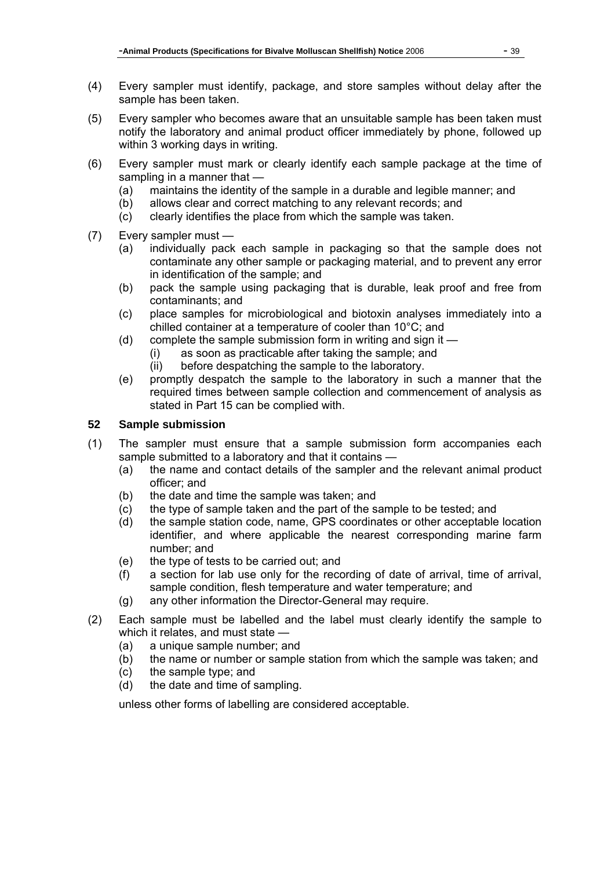- (4) Every sampler must identify, package, and store samples without delay after the sample has been taken.
- (5) Every sampler who becomes aware that an unsuitable sample has been taken must notify the laboratory and animal product officer immediately by phone, followed up within 3 working days in writing.
- (6) Every sampler must mark or clearly identify each sample package at the time of sampling in a manner that  $-$ 
	- (a) maintains the identity of the sample in a durable and legible manner; and
	- (b) allows clear and correct matching to any relevant records; and
	- (c) clearly identifies the place from which the sample was taken.
- (7) Every sampler must
	- (a) individually pack each sample in packaging so that the sample does not contaminate any other sample or packaging material, and to prevent any error in identification of the sample; and
	- (b) pack the sample using packaging that is durable, leak proof and free from contaminants; and
	- (c) place samples for microbiological and biotoxin analyses immediately into a chilled container at a temperature of cooler than 10°C; and
	- (d) complete the sample submission form in writing and sign it
		- (i) as soon as practicable after taking the sample; and
		- (ii) before despatching the sample to the laboratory.
	- (e) promptly despatch the sample to the laboratory in such a manner that the required times between sample collection and commencement of analysis as stated in Part 15 can be complied with.

## **52 Sample submission**

- (1) The sampler must ensure that a sample submission form accompanies each sample submitted to a laboratory and that it contains —
	- (a) the name and contact details of the sampler and the relevant animal product officer; and
	- (b) the date and time the sample was taken; and
	- (c) the type of sample taken and the part of the sample to be tested; and
	- (d) the sample station code, name, GPS coordinates or other acceptable location identifier, and where applicable the nearest corresponding marine farm number; and
	- (e) the type of tests to be carried out; and
	- (f) a section for lab use only for the recording of date of arrival, time of arrival, sample condition, flesh temperature and water temperature; and
	- (g) any other information the Director-General may require.
- (2) Each sample must be labelled and the label must clearly identify the sample to which it relates, and must state —
	- (a) a unique sample number; and
	- (b) the name or number or sample station from which the sample was taken; and
	- (c) the sample type; and
	- (d) the date and time of sampling.

unless other forms of labelling are considered acceptable.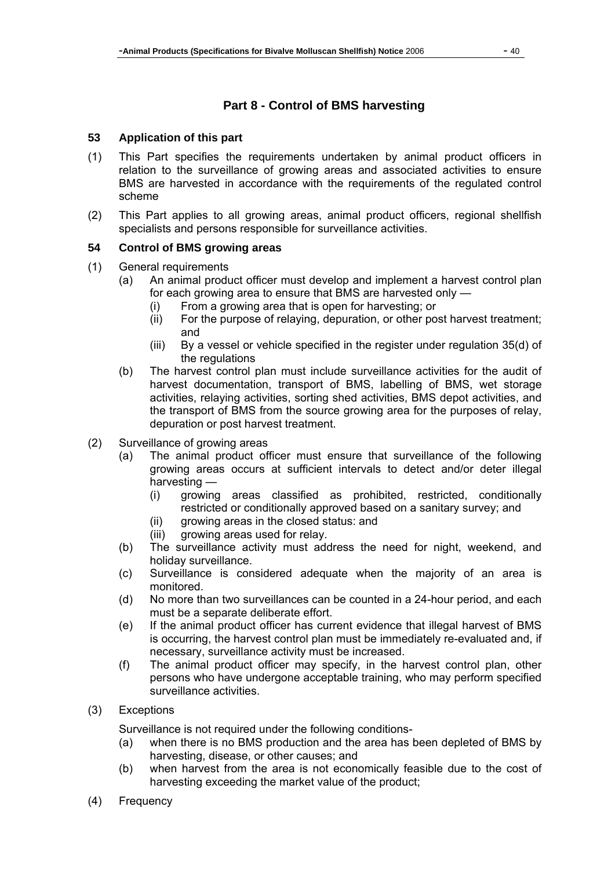# **Part 8 - Control of BMS harvesting**

#### **53 Application of this part**

- (1) This Part specifies the requirements undertaken by animal product officers in relation to the surveillance of growing areas and associated activities to ensure BMS are harvested in accordance with the requirements of the regulated control scheme
- (2) This Part applies to all growing areas, animal product officers, regional shellfish specialists and persons responsible for surveillance activities.

#### **54 Control of BMS growing areas**

- (1) General requirements
	- (a) An animal product officer must develop and implement a harvest control plan for each growing area to ensure that BMS are harvested only —
		- (i) From a growing area that is open for harvesting; or
		- (ii) For the purpose of relaying, depuration, or other post harvest treatment; and
		- (iii) By a vessel or vehicle specified in the register under regulation 35(d) of the regulations
	- (b) The harvest control plan must include surveillance activities for the audit of harvest documentation, transport of BMS, labelling of BMS, wet storage activities, relaying activities, sorting shed activities, BMS depot activities, and the transport of BMS from the source growing area for the purposes of relay, depuration or post harvest treatment.
- (2) Surveillance of growing areas
	- (a) The animal product officer must ensure that surveillance of the following growing areas occurs at sufficient intervals to detect and/or deter illegal harvesting —
		- (i) growing areas classified as prohibited, restricted, conditionally restricted or conditionally approved based on a sanitary survey; and
		- (ii) growing areas in the closed status: and
		- (iii) growing areas used for relay.
	- (b) The surveillance activity must address the need for night, weekend, and holiday surveillance.
	- (c) Surveillance is considered adequate when the majority of an area is monitored.
	- (d) No more than two surveillances can be counted in a 24-hour period, and each must be a separate deliberate effort.
	- (e) If the animal product officer has current evidence that illegal harvest of BMS is occurring, the harvest control plan must be immediately re-evaluated and, if necessary, surveillance activity must be increased.
	- (f) The animal product officer may specify, in the harvest control plan, other persons who have undergone acceptable training, who may perform specified surveillance activities.
- (3) Exceptions

Surveillance is not required under the following conditions-

- (a) when there is no BMS production and the area has been depleted of BMS by harvesting, disease, or other causes; and
- (b) when harvest from the area is not economically feasible due to the cost of harvesting exceeding the market value of the product;
- (4) Frequency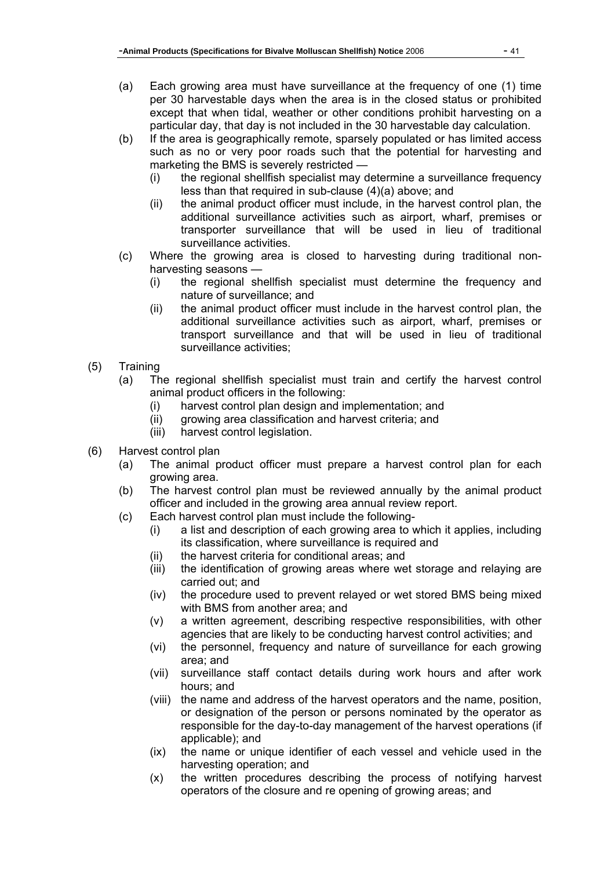- (a) Each growing area must have surveillance at the frequency of one (1) time per 30 harvestable days when the area is in the closed status or prohibited except that when tidal, weather or other conditions prohibit harvesting on a particular day, that day is not included in the 30 harvestable day calculation.
- (b) If the area is geographically remote, sparsely populated or has limited access such as no or very poor roads such that the potential for harvesting and marketing the BMS is severely restricted —
	- (i) the regional shellfish specialist may determine a surveillance frequency less than that required in sub-clause (4)(a) above; and
	- (ii) the animal product officer must include, in the harvest control plan, the additional surveillance activities such as airport, wharf, premises or transporter surveillance that will be used in lieu of traditional surveillance activities.
- (c) Where the growing area is closed to harvesting during traditional nonharvesting seasons —
	- (i) the regional shellfish specialist must determine the frequency and nature of surveillance; and
	- (ii) the animal product officer must include in the harvest control plan, the additional surveillance activities such as airport, wharf, premises or transport surveillance and that will be used in lieu of traditional surveillance activities;
- (5) Training
	- (a) The regional shellfish specialist must train and certify the harvest control animal product officers in the following:
		- (i) harvest control plan design and implementation; and
		- (ii) growing area classification and harvest criteria; and
		- (iii) harvest control legislation.
- (6) Harvest control plan
	- (a) The animal product officer must prepare a harvest control plan for each growing area.
	- (b) The harvest control plan must be reviewed annually by the animal product officer and included in the growing area annual review report.
	- (c) Each harvest control plan must include the following-
		- (i) a list and description of each growing area to which it applies, including its classification, where surveillance is required and
		- (ii) the harvest criteria for conditional areas; and
		- (iii) the identification of growing areas where wet storage and relaying are carried out; and
		- (iv) the procedure used to prevent relayed or wet stored BMS being mixed with BMS from another area; and
		- (v) a written agreement, describing respective responsibilities, with other agencies that are likely to be conducting harvest control activities; and
		- (vi) the personnel, frequency and nature of surveillance for each growing area; and
		- (vii) surveillance staff contact details during work hours and after work hours; and
		- (viii) the name and address of the harvest operators and the name, position, or designation of the person or persons nominated by the operator as responsible for the day-to-day management of the harvest operations (if applicable); and
		- (ix) the name or unique identifier of each vessel and vehicle used in the harvesting operation; and
		- (x) the written procedures describing the process of notifying harvest operators of the closure and re opening of growing areas; and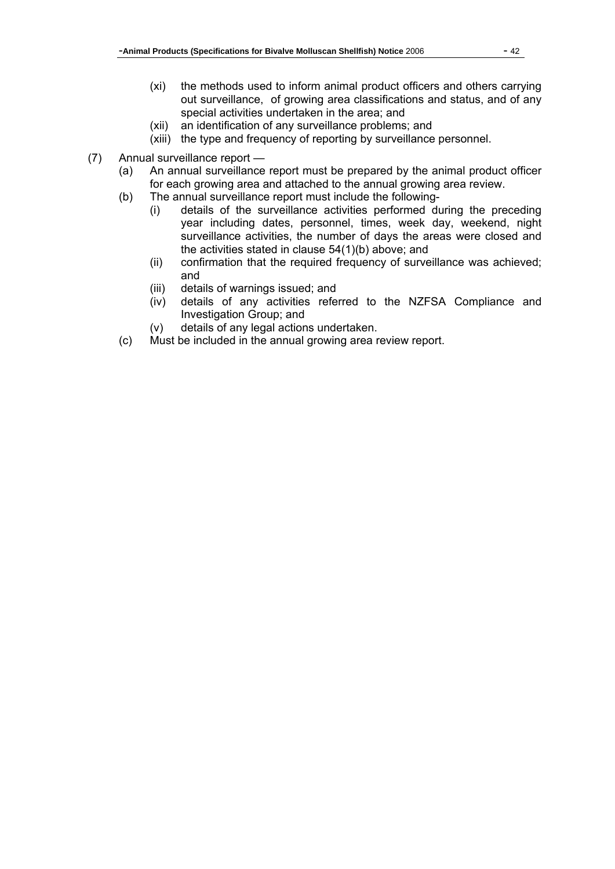- (xi) the methods used to inform animal product officers and others carrying out surveillance, of growing area classifications and status, and of any special activities undertaken in the area; and
- (xii) an identification of any surveillance problems; and
- (xiii) the type and frequency of reporting by surveillance personnel.
- (7) Annual surveillance report
	- (a) An annual surveillance report must be prepared by the animal product officer for each growing area and attached to the annual growing area review.
	- (b) The annual surveillance report must include the following-
		- (i) details of the surveillance activities performed during the preceding year including dates, personnel, times, week day, weekend, night surveillance activities, the number of days the areas were closed and the activities stated in clause 54(1)(b) above; and
		- (ii) confirmation that the required frequency of surveillance was achieved; and
		- (iii) details of warnings issued; and
		- (iv) details of any activities referred to the NZFSA Compliance and Investigation Group; and
		- (v) details of any legal actions undertaken.
	- (c) Must be included in the annual growing area review report.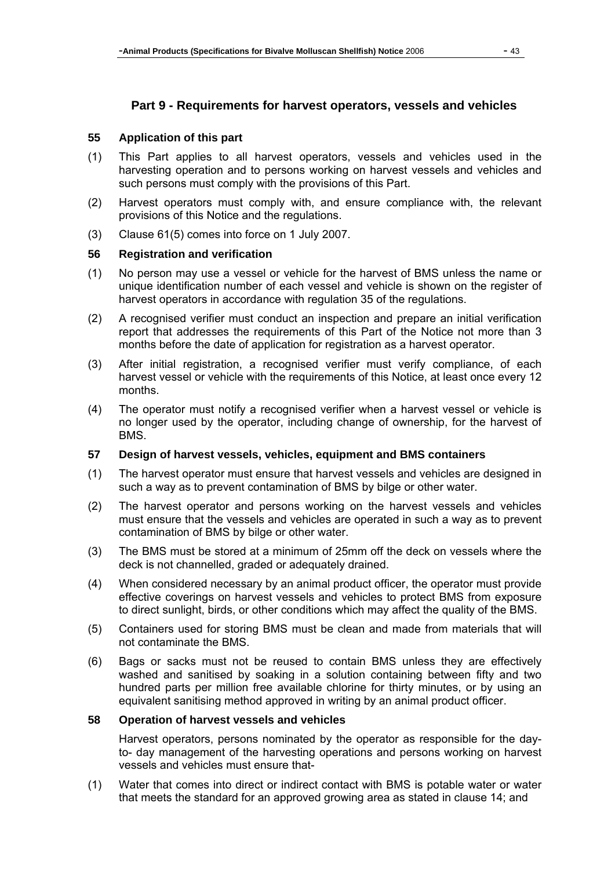# **Part 9 - Requirements for harvest operators, vessels and vehicles**

#### **55 Application of this part**

- (1) This Part applies to all harvest operators, vessels and vehicles used in the harvesting operation and to persons working on harvest vessels and vehicles and such persons must comply with the provisions of this Part.
- (2) Harvest operators must comply with, and ensure compliance with, the relevant provisions of this Notice and the regulations.
- (3) Clause 61(5) comes into force on 1 July 2007.

### **56 Registration and verification**

- (1) No person may use a vessel or vehicle for the harvest of BMS unless the name or unique identification number of each vessel and vehicle is shown on the register of harvest operators in accordance with regulation 35 of the regulations.
- (2) A recognised verifier must conduct an inspection and prepare an initial verification report that addresses the requirements of this Part of the Notice not more than 3 months before the date of application for registration as a harvest operator.
- (3) After initial registration, a recognised verifier must verify compliance, of each harvest vessel or vehicle with the requirements of this Notice, at least once every 12 months.
- (4) The operator must notify a recognised verifier when a harvest vessel or vehicle is no longer used by the operator, including change of ownership, for the harvest of BMS.

#### **57 Design of harvest vessels, vehicles, equipment and BMS containers**

- (1) The harvest operator must ensure that harvest vessels and vehicles are designed in such a way as to prevent contamination of BMS by bilge or other water.
- (2) The harvest operator and persons working on the harvest vessels and vehicles must ensure that the vessels and vehicles are operated in such a way as to prevent contamination of BMS by bilge or other water.
- (3) The BMS must be stored at a minimum of 25mm off the deck on vessels where the deck is not channelled, graded or adequately drained.
- (4) When considered necessary by an animal product officer, the operator must provide effective coverings on harvest vessels and vehicles to protect BMS from exposure to direct sunlight, birds, or other conditions which may affect the quality of the BMS.
- (5) Containers used for storing BMS must be clean and made from materials that will not contaminate the BMS.
- (6) Bags or sacks must not be reused to contain BMS unless they are effectively washed and sanitised by soaking in a solution containing between fifty and two hundred parts per million free available chlorine for thirty minutes, or by using an equivalent sanitising method approved in writing by an animal product officer.

#### **58 Operation of harvest vessels and vehicles**

Harvest operators, persons nominated by the operator as responsible for the dayto- day management of the harvesting operations and persons working on harvest vessels and vehicles must ensure that-

(1) Water that comes into direct or indirect contact with BMS is potable water or water that meets the standard for an approved growing area as stated in clause 14; and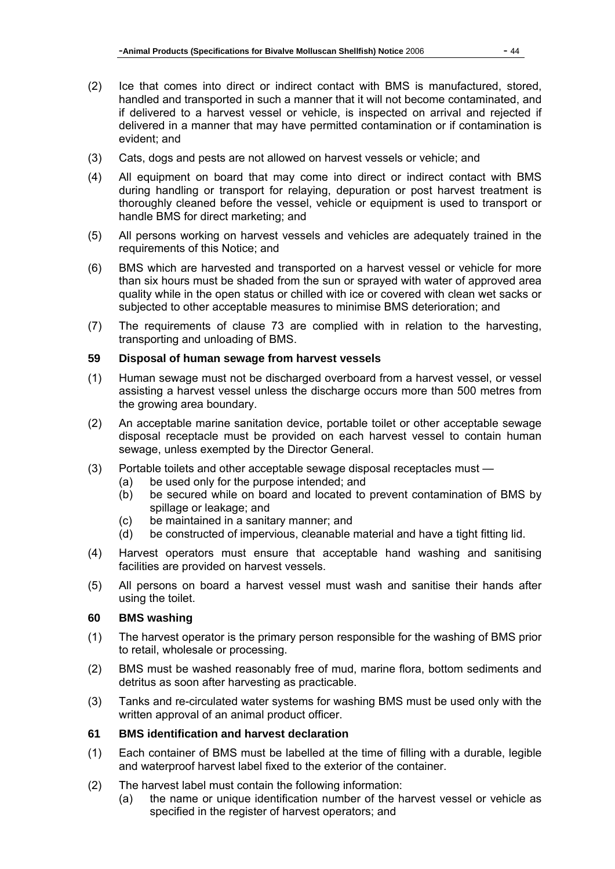- (2) Ice that comes into direct or indirect contact with BMS is manufactured, stored, handled and transported in such a manner that it will not become contaminated, and if delivered to a harvest vessel or vehicle, is inspected on arrival and rejected if delivered in a manner that may have permitted contamination or if contamination is evident; and
- (3) Cats, dogs and pests are not allowed on harvest vessels or vehicle; and
- (4) All equipment on board that may come into direct or indirect contact with BMS during handling or transport for relaying, depuration or post harvest treatment is thoroughly cleaned before the vessel, vehicle or equipment is used to transport or handle BMS for direct marketing; and
- (5) All persons working on harvest vessels and vehicles are adequately trained in the requirements of this Notice; and
- (6) BMS which are harvested and transported on a harvest vessel or vehicle for more than six hours must be shaded from the sun or sprayed with water of approved area quality while in the open status or chilled with ice or covered with clean wet sacks or subjected to other acceptable measures to minimise BMS deterioration; and
- (7) The requirements of clause 73 are complied with in relation to the harvesting, transporting and unloading of BMS.

## **59 Disposal of human sewage from harvest vessels**

- (1) Human sewage must not be discharged overboard from a harvest vessel, or vessel assisting a harvest vessel unless the discharge occurs more than 500 metres from the growing area boundary.
- (2) An acceptable marine sanitation device, portable toilet or other acceptable sewage disposal receptacle must be provided on each harvest vessel to contain human sewage, unless exempted by the Director General.
- (3) Portable toilets and other acceptable sewage disposal receptacles must
	- (a) be used only for the purpose intended; and
	- (b) be secured while on board and located to prevent contamination of BMS by spillage or leakage; and
	- (c) be maintained in a sanitary manner; and
	- (d) be constructed of impervious, cleanable material and have a tight fitting lid.
- (4) Harvest operators must ensure that acceptable hand washing and sanitising facilities are provided on harvest vessels.
- (5) All persons on board a harvest vessel must wash and sanitise their hands after using the toilet.

## **60 BMS washing**

- (1) The harvest operator is the primary person responsible for the washing of BMS prior to retail, wholesale or processing.
- (2) BMS must be washed reasonably free of mud, marine flora, bottom sediments and detritus as soon after harvesting as practicable.
- (3) Tanks and re-circulated water systems for washing BMS must be used only with the written approval of an animal product officer.

## **61 BMS identification and harvest declaration**

- (1) Each container of BMS must be labelled at the time of filling with a durable, legible and waterproof harvest label fixed to the exterior of the container.
- (2) The harvest label must contain the following information:
	- (a) the name or unique identification number of the harvest vessel or vehicle as specified in the register of harvest operators; and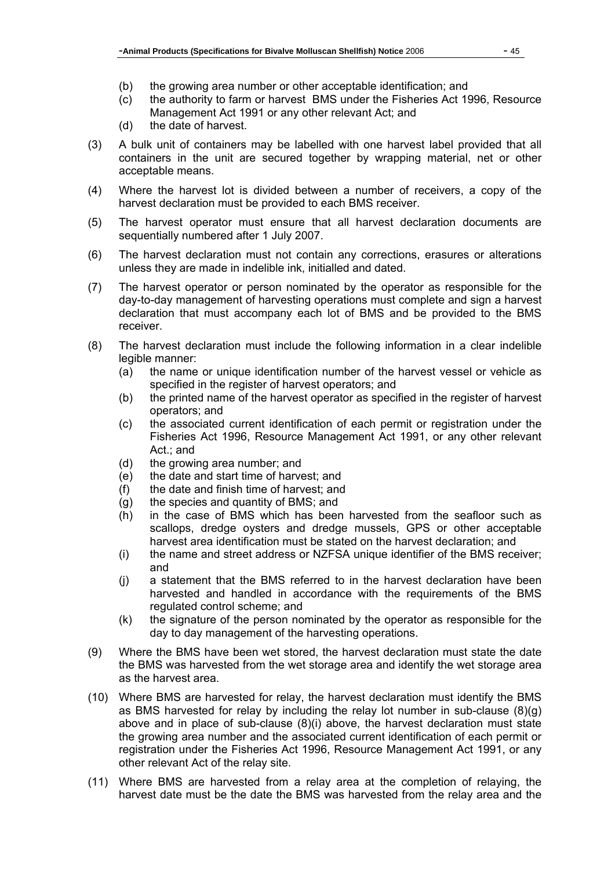- (b) the growing area number or other acceptable identification; and
- (c) the authority to farm or harvest BMS under the Fisheries Act 1996, Resource Management Act 1991 or any other relevant Act; and
- (d) the date of harvest.
- (3) A bulk unit of containers may be labelled with one harvest label provided that all containers in the unit are secured together by wrapping material, net or other acceptable means.
- (4) Where the harvest lot is divided between a number of receivers, a copy of the harvest declaration must be provided to each BMS receiver.
- (5) The harvest operator must ensure that all harvest declaration documents are sequentially numbered after 1 July 2007.
- (6) The harvest declaration must not contain any corrections, erasures or alterations unless they are made in indelible ink, initialled and dated.
- (7) The harvest operator or person nominated by the operator as responsible for the day-to-day management of harvesting operations must complete and sign a harvest declaration that must accompany each lot of BMS and be provided to the BMS receiver.
- (8) The harvest declaration must include the following information in a clear indelible legible manner:
	- (a) the name or unique identification number of the harvest vessel or vehicle as specified in the register of harvest operators; and
	- (b) the printed name of the harvest operator as specified in the register of harvest operators; and
	- (c) the associated current identification of each permit or registration under the Fisheries Act 1996, Resource Management Act 1991, or any other relevant Act.; and
	- (d) the growing area number; and
	- (e) the date and start time of harvest; and
	- (f) the date and finish time of harvest; and
	- (g) the species and quantity of BMS; and
	- (h) in the case of BMS which has been harvested from the seafloor such as scallops, dredge oysters and dredge mussels, GPS or other acceptable harvest area identification must be stated on the harvest declaration; and
	- (i) the name and street address or NZFSA unique identifier of the BMS receiver; and
	- (j) a statement that the BMS referred to in the harvest declaration have been harvested and handled in accordance with the requirements of the BMS regulated control scheme; and
	- (k) the signature of the person nominated by the operator as responsible for the day to day management of the harvesting operations.
- (9) Where the BMS have been wet stored, the harvest declaration must state the date the BMS was harvested from the wet storage area and identify the wet storage area as the harvest area.
- (10) Where BMS are harvested for relay, the harvest declaration must identify the BMS as BMS harvested for relay by including the relay lot number in sub-clause  $(8)(g)$ above and in place of sub-clause (8)(i) above, the harvest declaration must state the growing area number and the associated current identification of each permit or registration under the Fisheries Act 1996, Resource Management Act 1991, or any other relevant Act of the relay site.
- (11) Where BMS are harvested from a relay area at the completion of relaying, the harvest date must be the date the BMS was harvested from the relay area and the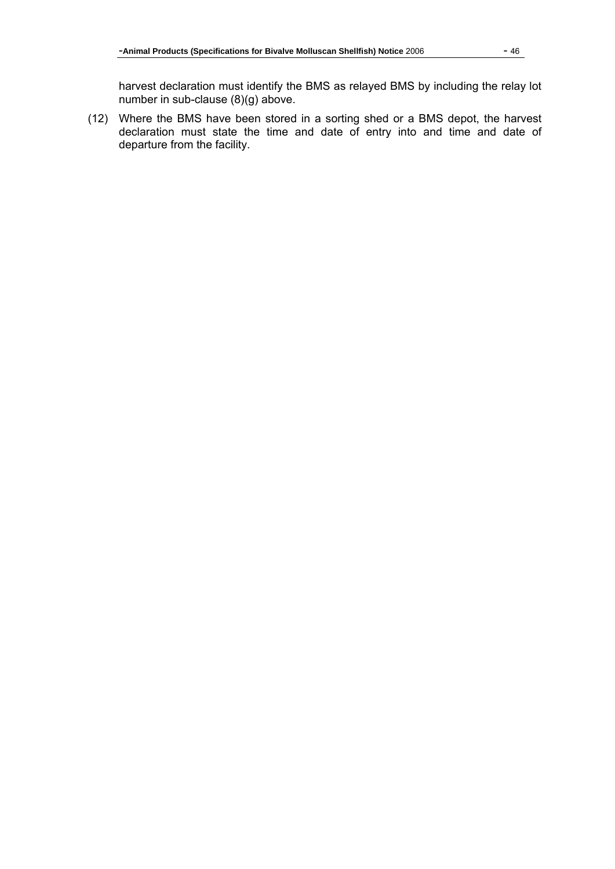harvest declaration must identify the BMS as relayed BMS by including the relay lot number in sub-clause (8)(g) above.

(12) Where the BMS have been stored in a sorting shed or a BMS depot, the harvest declaration must state the time and date of entry into and time and date of departure from the facility.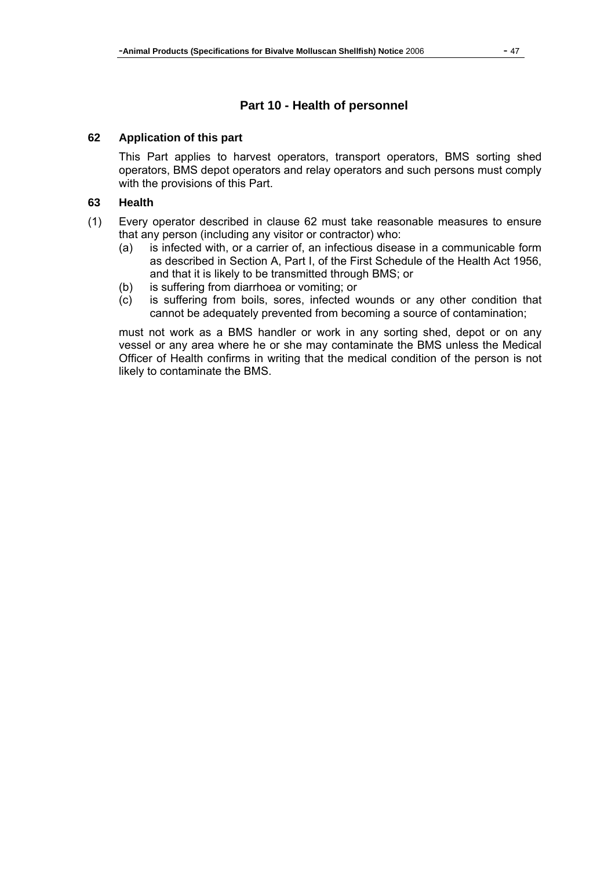# **Part 10 - Health of personnel**

#### **62 Application of this part**

This Part applies to harvest operators, transport operators, BMS sorting shed operators, BMS depot operators and relay operators and such persons must comply with the provisions of this Part.

#### **63 Health**

- (1) Every operator described in clause 62 must take reasonable measures to ensure that any person (including any visitor or contractor) who:
	- (a) is infected with, or a carrier of, an infectious disease in a communicable form as described in Section A, Part I, of the First Schedule of the Health Act 1956, and that it is likely to be transmitted through BMS; or
	- (b) is suffering from diarrhoea or vomiting; or
	- (c) is suffering from boils, sores, infected wounds or any other condition that cannot be adequately prevented from becoming a source of contamination;

must not work as a BMS handler or work in any sorting shed, depot or on any vessel or any area where he or she may contaminate the BMS unless the Medical Officer of Health confirms in writing that the medical condition of the person is not likely to contaminate the BMS.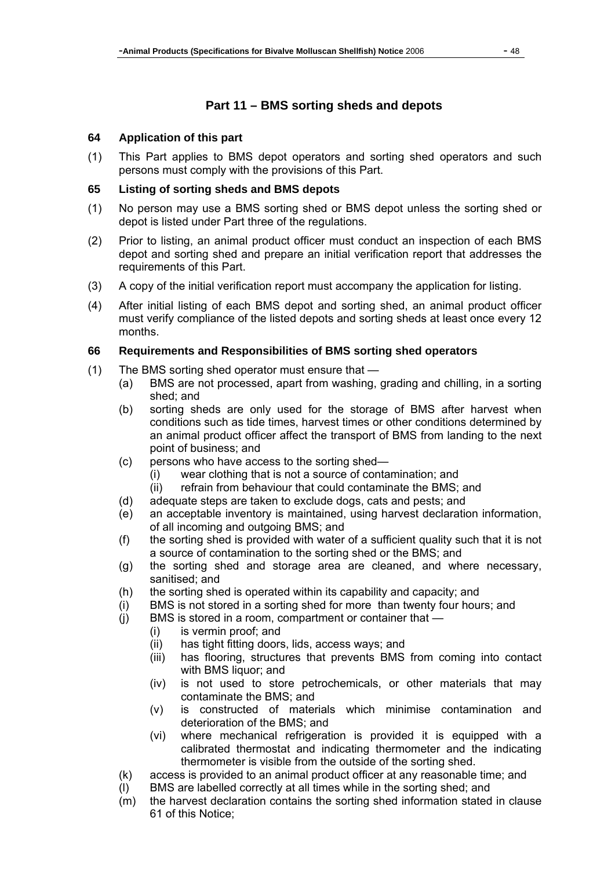# **Part 11 – BMS sorting sheds and depots**

#### **64 Application of this part**

(1) This Part applies to BMS depot operators and sorting shed operators and such persons must comply with the provisions of this Part.

## **65 Listing of sorting sheds and BMS depots**

- (1) No person may use a BMS sorting shed or BMS depot unless the sorting shed or depot is listed under Part three of the regulations.
- (2) Prior to listing, an animal product officer must conduct an inspection of each BMS depot and sorting shed and prepare an initial verification report that addresses the requirements of this Part.
- (3) A copy of the initial verification report must accompany the application for listing.
- (4) After initial listing of each BMS depot and sorting shed, an animal product officer must verify compliance of the listed depots and sorting sheds at least once every 12 months.

### **66 Requirements and Responsibilities of BMS sorting shed operators**

- (1) The BMS sorting shed operator must ensure that
	- (a) BMS are not processed, apart from washing, grading and chilling, in a sorting shed; and
	- (b) sorting sheds are only used for the storage of BMS after harvest when conditions such as tide times, harvest times or other conditions determined by an animal product officer affect the transport of BMS from landing to the next point of business; and
	- (c) persons who have access to the sorting shed—
		- (i) wear clothing that is not a source of contamination; and
		- (ii) refrain from behaviour that could contaminate the BMS; and
	- (d) adequate steps are taken to exclude dogs, cats and pests; and
	- (e) an acceptable inventory is maintained, using harvest declaration information, of all incoming and outgoing BMS; and
	- (f) the sorting shed is provided with water of a sufficient quality such that it is not a source of contamination to the sorting shed or the BMS; and
	- (g) the sorting shed and storage area are cleaned, and where necessary, sanitised; and
	- (h) the sorting shed is operated within its capability and capacity; and
	- (i) BMS is not stored in a sorting shed for more than twenty four hours; and
	- (j) BMS is stored in a room, compartment or container that
		- (i) is vermin proof; and
		- (ii) has tight fitting doors, lids, access ways; and
		- (iii) has flooring, structures that prevents BMS from coming into contact with BMS liquor; and
		- (iv) is not used to store petrochemicals, or other materials that may contaminate the BMS; and
		- (v) is constructed of materials which minimise contamination and deterioration of the BMS; and
		- (vi) where mechanical refrigeration is provided it is equipped with a calibrated thermostat and indicating thermometer and the indicating thermometer is visible from the outside of the sorting shed.
	- (k) access is provided to an animal product officer at any reasonable time; and
	- (l) BMS are labelled correctly at all times while in the sorting shed; and
	- (m) the harvest declaration contains the sorting shed information stated in clause 61 of this Notice;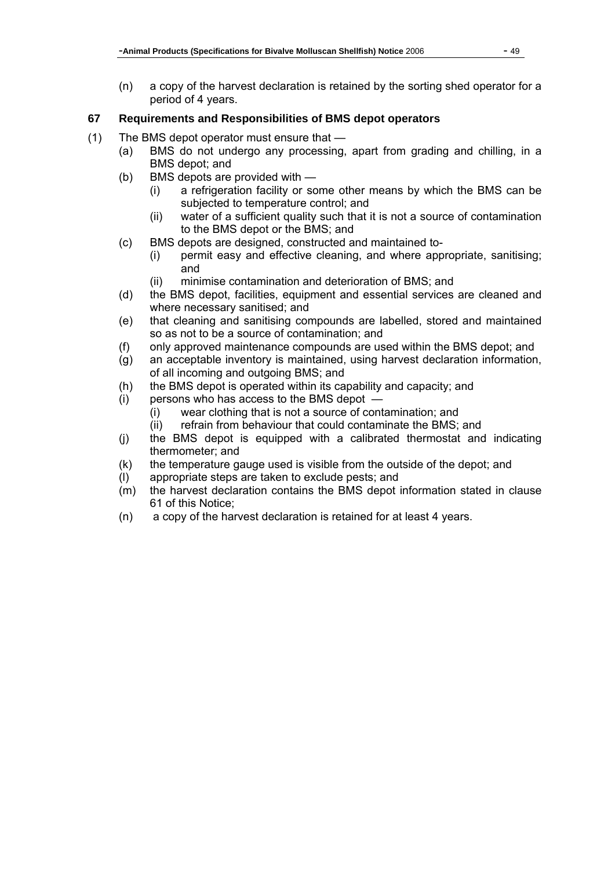(n) a copy of the harvest declaration is retained by the sorting shed operator for a period of 4 years.

# **67 Requirements and Responsibilities of BMS depot operators**

- (1) The BMS depot operator must ensure that
	- (a) BMS do not undergo any processing, apart from grading and chilling, in a BMS depot; and
	- (b) BMS depots are provided with
		- (i) a refrigeration facility or some other means by which the BMS can be subjected to temperature control; and
		- (ii) water of a sufficient quality such that it is not a source of contamination to the BMS depot or the BMS; and
	- (c) BMS depots are designed, constructed and maintained to-
		- (i) permit easy and effective cleaning, and where appropriate, sanitising; and
		- (ii) minimise contamination and deterioration of BMS; and
	- (d) the BMS depot, facilities, equipment and essential services are cleaned and where necessary sanitised; and
	- (e) that cleaning and sanitising compounds are labelled, stored and maintained so as not to be a source of contamination; and
	- (f) only approved maintenance compounds are used within the BMS depot; and
	- (g) an acceptable inventory is maintained, using harvest declaration information, of all incoming and outgoing BMS; and
	- (h) the BMS depot is operated within its capability and capacity; and
	- (i) persons who has access to the BMS depot
		- (i) wear clothing that is not a source of contamination; and
		- (ii) refrain from behaviour that could contaminate the BMS; and
	- (j) the BMS depot is equipped with a calibrated thermostat and indicating thermometer; and
	- (k) the temperature gauge used is visible from the outside of the depot; and
	- (l) appropriate steps are taken to exclude pests; and
	- (m) the harvest declaration contains the BMS depot information stated in clause 61 of this Notice;
	- (n) a copy of the harvest declaration is retained for at least 4 years.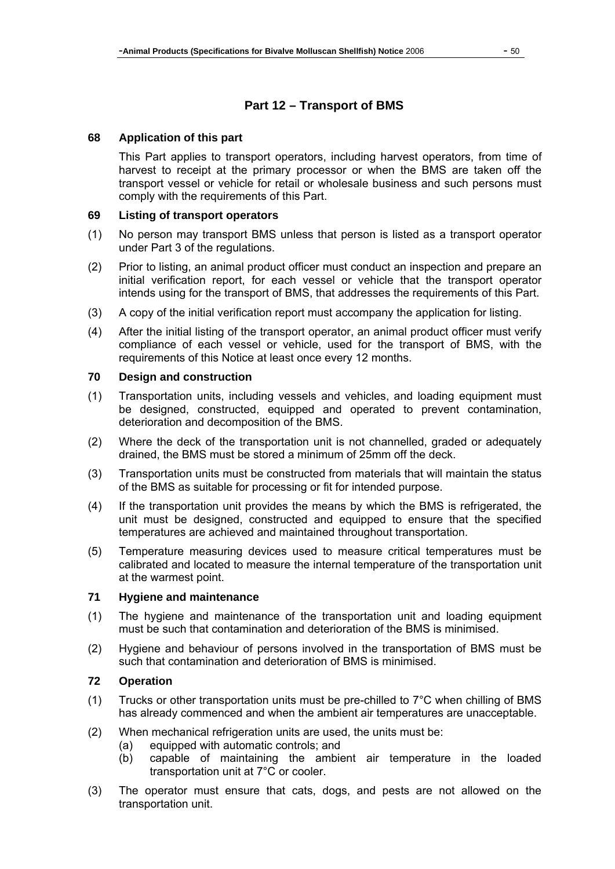# **Part 12 – Transport of BMS**

#### **68 Application of this part**

This Part applies to transport operators, including harvest operators, from time of harvest to receipt at the primary processor or when the BMS are taken off the transport vessel or vehicle for retail or wholesale business and such persons must comply with the requirements of this Part.

#### **69 Listing of transport operators**

- (1) No person may transport BMS unless that person is listed as a transport operator under Part 3 of the regulations.
- (2) Prior to listing, an animal product officer must conduct an inspection and prepare an initial verification report, for each vessel or vehicle that the transport operator intends using for the transport of BMS, that addresses the requirements of this Part.
- (3) A copy of the initial verification report must accompany the application for listing.
- (4) After the initial listing of the transport operator, an animal product officer must verify compliance of each vessel or vehicle, used for the transport of BMS, with the requirements of this Notice at least once every 12 months.

#### **70 Design and construction**

- (1) Transportation units, including vessels and vehicles, and loading equipment must be designed, constructed, equipped and operated to prevent contamination, deterioration and decomposition of the BMS.
- (2) Where the deck of the transportation unit is not channelled, graded or adequately drained, the BMS must be stored a minimum of 25mm off the deck.
- (3) Transportation units must be constructed from materials that will maintain the status of the BMS as suitable for processing or fit for intended purpose.
- (4) If the transportation unit provides the means by which the BMS is refrigerated, the unit must be designed, constructed and equipped to ensure that the specified temperatures are achieved and maintained throughout transportation.
- (5) Temperature measuring devices used to measure critical temperatures must be calibrated and located to measure the internal temperature of the transportation unit at the warmest point.

#### **71 Hygiene and maintenance**

- (1) The hygiene and maintenance of the transportation unit and loading equipment must be such that contamination and deterioration of the BMS is minimised.
- (2) Hygiene and behaviour of persons involved in the transportation of BMS must be such that contamination and deterioration of BMS is minimised.

#### **72 Operation**

- (1) Trucks or other transportation units must be pre-chilled to  $7^{\circ}$ C when chilling of BMS has already commenced and when the ambient air temperatures are unacceptable.
- (2) When mechanical refrigeration units are used, the units must be:
	- (a) equipped with automatic controls; and
	- (b) capable of maintaining the ambient air temperature in the loaded transportation unit at 7°C or cooler.
- (3) The operator must ensure that cats, dogs, and pests are not allowed on the transportation unit.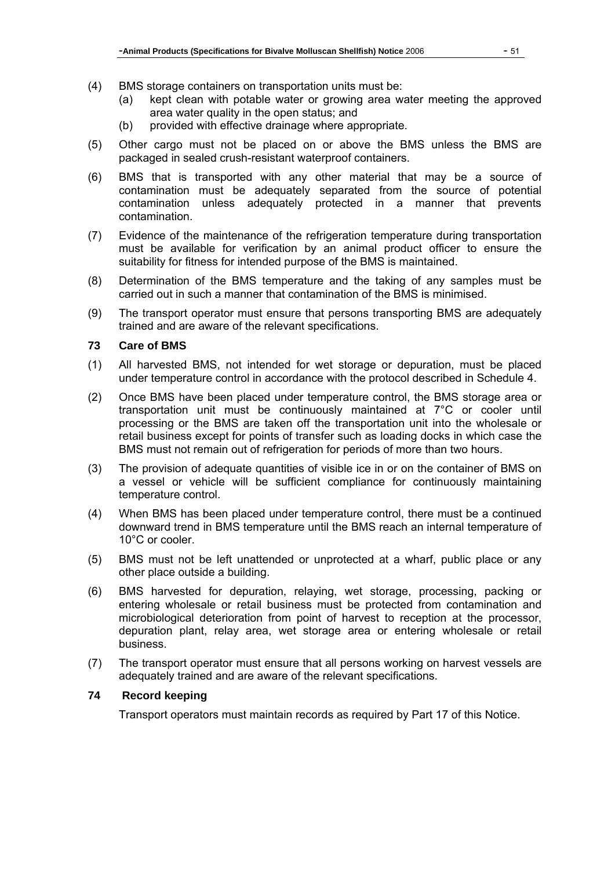- (4) BMS storage containers on transportation units must be:
	- (a) kept clean with potable water or growing area water meeting the approved area water quality in the open status; and
	- (b) provided with effective drainage where appropriate.
- (5) Other cargo must not be placed on or above the BMS unless the BMS are packaged in sealed crush-resistant waterproof containers.
- (6) BMS that is transported with any other material that may be a source of contamination must be adequately separated from the source of potential contamination unless adequately protected in a manner that prevents contamination.
- (7) Evidence of the maintenance of the refrigeration temperature during transportation must be available for verification by an animal product officer to ensure the suitability for fitness for intended purpose of the BMS is maintained.
- (8) Determination of the BMS temperature and the taking of any samples must be carried out in such a manner that contamination of the BMS is minimised.
- (9) The transport operator must ensure that persons transporting BMS are adequately trained and are aware of the relevant specifications.

#### **73 Care of BMS**

- (1) All harvested BMS, not intended for wet storage or depuration, must be placed under temperature control in accordance with the protocol described in Schedule 4.
- (2) Once BMS have been placed under temperature control, the BMS storage area or transportation unit must be continuously maintained at 7°C or cooler until processing or the BMS are taken off the transportation unit into the wholesale or retail business except for points of transfer such as loading docks in which case the BMS must not remain out of refrigeration for periods of more than two hours.
- (3) The provision of adequate quantities of visible ice in or on the container of BMS on a vessel or vehicle will be sufficient compliance for continuously maintaining temperature control.
- (4) When BMS has been placed under temperature control, there must be a continued downward trend in BMS temperature until the BMS reach an internal temperature of 10°C or cooler.
- (5) BMS must not be left unattended or unprotected at a wharf, public place or any other place outside a building.
- (6) BMS harvested for depuration, relaying, wet storage, processing, packing or entering wholesale or retail business must be protected from contamination and microbiological deterioration from point of harvest to reception at the processor, depuration plant, relay area, wet storage area or entering wholesale or retail business.
- (7) The transport operator must ensure that all persons working on harvest vessels are adequately trained and are aware of the relevant specifications.

## **74 Record keeping**

Transport operators must maintain records as required by Part 17 of this Notice.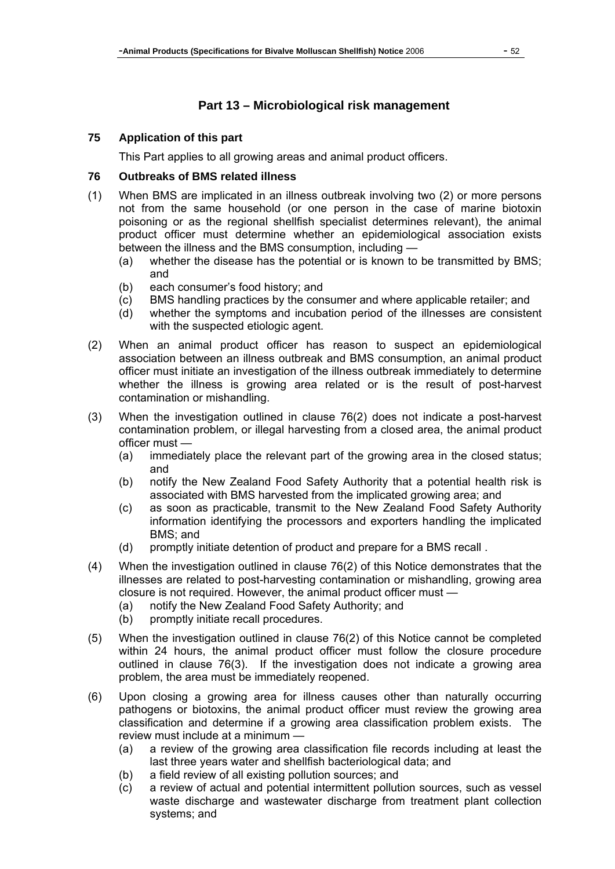# **Part 13 – Microbiological risk management**

## **75 Application of this part**

This Part applies to all growing areas and animal product officers.

### **76 Outbreaks of BMS related illness**

- (1) When BMS are implicated in an illness outbreak involving two (2) or more persons not from the same household (or one person in the case of marine biotoxin poisoning or as the regional shellfish specialist determines relevant), the animal product officer must determine whether an epidemiological association exists between the illness and the BMS consumption, including —
	- (a) whether the disease has the potential or is known to be transmitted by BMS; and
	- (b) each consumer's food history; and
	- (c) BMS handling practices by the consumer and where applicable retailer; and
	- (d) whether the symptoms and incubation period of the illnesses are consistent with the suspected etiologic agent.
- (2) When an animal product officer has reason to suspect an epidemiological association between an illness outbreak and BMS consumption, an animal product officer must initiate an investigation of the illness outbreak immediately to determine whether the illness is growing area related or is the result of post-harvest contamination or mishandling.
- (3) When the investigation outlined in clause 76(2) does not indicate a post-harvest contamination problem, or illegal harvesting from a closed area, the animal product officer must —
	- (a) immediately place the relevant part of the growing area in the closed status; and
	- (b) notify the New Zealand Food Safety Authority that a potential health risk is associated with BMS harvested from the implicated growing area; and
	- (c) as soon as practicable, transmit to the New Zealand Food Safety Authority information identifying the processors and exporters handling the implicated BMS; and
	- (d) promptly initiate detention of product and prepare for a BMS recall .
- (4) When the investigation outlined in clause 76(2) of this Notice demonstrates that the illnesses are related to post-harvesting contamination or mishandling, growing area closure is not required. However, the animal product officer must —
	- (a) notify the New Zealand Food Safety Authority; and
	- (b) promptly initiate recall procedures.
- (5) When the investigation outlined in clause 76(2) of this Notice cannot be completed within 24 hours, the animal product officer must follow the closure procedure outlined in clause 76(3). If the investigation does not indicate a growing area problem, the area must be immediately reopened.
- (6) Upon closing a growing area for illness causes other than naturally occurring pathogens or biotoxins, the animal product officer must review the growing area classification and determine if a growing area classification problem exists. The review must include at a minimum —
	- (a) a review of the growing area classification file records including at least the last three years water and shellfish bacteriological data; and
	- (b) a field review of all existing pollution sources; and
	- (c) a review of actual and potential intermittent pollution sources, such as vessel waste discharge and wastewater discharge from treatment plant collection systems; and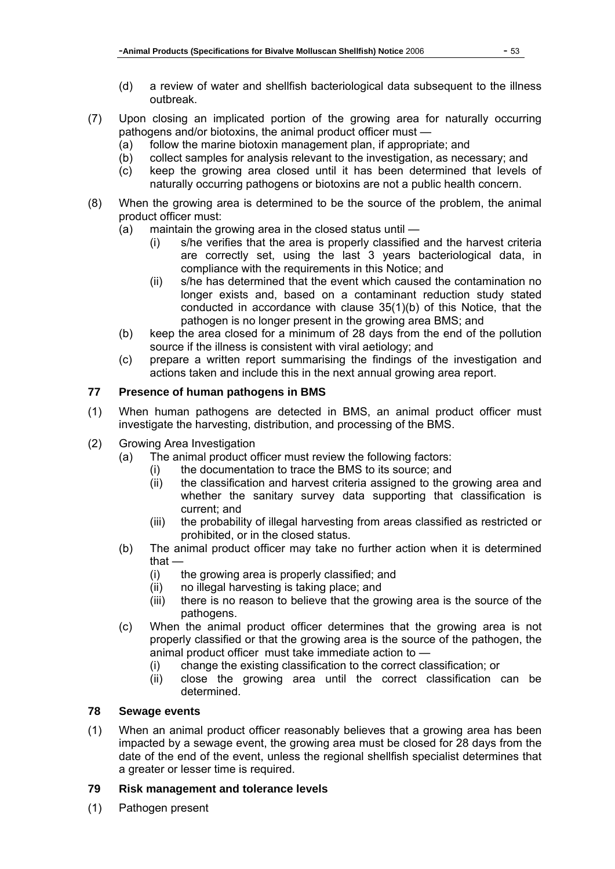- (d) a review of water and shellfish bacteriological data subsequent to the illness outbreak.
- (7) Upon closing an implicated portion of the growing area for naturally occurring pathogens and/or biotoxins, the animal product officer must —
	- (a) follow the marine biotoxin management plan, if appropriate; and
	- (b) collect samples for analysis relevant to the investigation, as necessary; and
	- (c) keep the growing area closed until it has been determined that levels of naturally occurring pathogens or biotoxins are not a public health concern.
- (8) When the growing area is determined to be the source of the problem, the animal product officer must:
	- (a) maintain the growing area in the closed status until
		- (i) s/he verifies that the area is properly classified and the harvest criteria are correctly set, using the last 3 years bacteriological data, in compliance with the requirements in this Notice; and
		- (ii) s/he has determined that the event which caused the contamination no longer exists and, based on a contaminant reduction study stated conducted in accordance with clause 35(1)(b) of this Notice, that the pathogen is no longer present in the growing area BMS; and
	- (b) keep the area closed for a minimum of 28 days from the end of the pollution source if the illness is consistent with viral aetiology; and
	- (c) prepare a written report summarising the findings of the investigation and actions taken and include this in the next annual growing area report.

# **77 Presence of human pathogens in BMS**

- (1) When human pathogens are detected in BMS, an animal product officer must investigate the harvesting, distribution, and processing of the BMS.
- (2) Growing Area Investigation
	- (a) The animal product officer must review the following factors:
		- (i) the documentation to trace the BMS to its source; and
		- (ii) the classification and harvest criteria assigned to the growing area and whether the sanitary survey data supporting that classification is current; and
		- (iii) the probability of illegal harvesting from areas classified as restricted or prohibited, or in the closed status.
	- (b) The animal product officer may take no further action when it is determined that —
		- (i) the growing area is properly classified; and
		- (ii) no illegal harvesting is taking place; and
		- (iii) there is no reason to believe that the growing area is the source of the pathogens.
	- (c) When the animal product officer determines that the growing area is not properly classified or that the growing area is the source of the pathogen, the animal product officer must take immediate action to —
		- (i) change the existing classification to the correct classification; or
		- (ii) close the growing area until the correct classification can be determined.

# **78 Sewage events**

(1) When an animal product officer reasonably believes that a growing area has been impacted by a sewage event, the growing area must be closed for 28 days from the date of the end of the event, unless the regional shellfish specialist determines that a greater or lesser time is required.

## **79 Risk management and tolerance levels**

(1) Pathogen present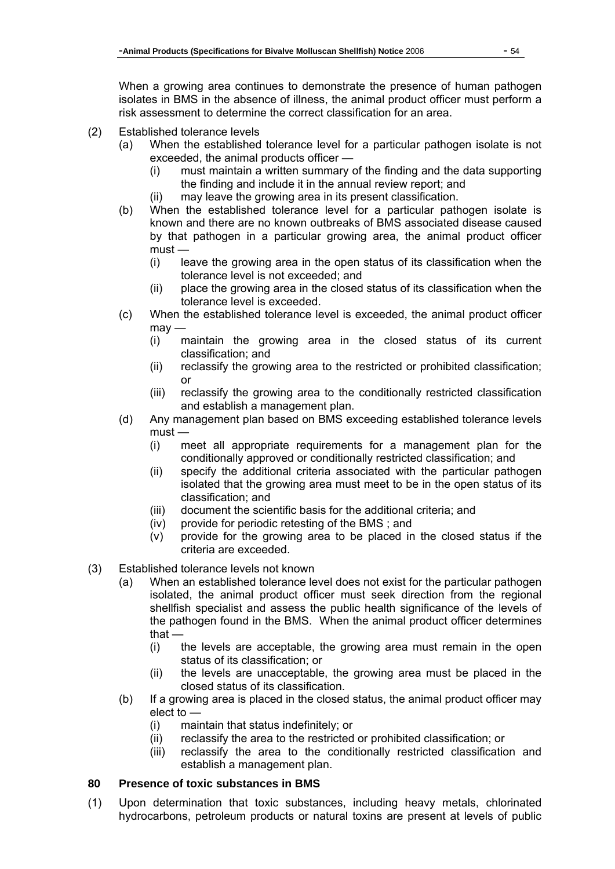When a growing area continues to demonstrate the presence of human pathogen isolates in BMS in the absence of illness, the animal product officer must perform a risk assessment to determine the correct classification for an area.

- (2) Established tolerance levels
	- (a) When the established tolerance level for a particular pathogen isolate is not exceeded, the animal products officer —
		- (i) must maintain a written summary of the finding and the data supporting the finding and include it in the annual review report; and
		- (ii) may leave the growing area in its present classification.
	- (b) When the established tolerance level for a particular pathogen isolate is known and there are no known outbreaks of BMS associated disease caused by that pathogen in a particular growing area, the animal product officer must —
		- (i) leave the growing area in the open status of its classification when the tolerance level is not exceeded; and
		- (ii) place the growing area in the closed status of its classification when the tolerance level is exceeded.
	- (c) When the established tolerance level is exceeded, the animal product officer  $m$ av —
		- (i) maintain the growing area in the closed status of its current classification; and
		- (ii) reclassify the growing area to the restricted or prohibited classification; or
		- (iii) reclassify the growing area to the conditionally restricted classification and establish a management plan.
	- (d) Any management plan based on BMS exceeding established tolerance levels must —
		- (i) meet all appropriate requirements for a management plan for the conditionally approved or conditionally restricted classification; and
		- (ii) specify the additional criteria associated with the particular pathogen isolated that the growing area must meet to be in the open status of its classification; and
		- (iii) document the scientific basis for the additional criteria; and
		- (iv) provide for periodic retesting of the BMS ; and
		- (v) provide for the growing area to be placed in the closed status if the criteria are exceeded.
- (3) Established tolerance levels not known
	- (a) When an established tolerance level does not exist for the particular pathogen isolated, the animal product officer must seek direction from the regional shellfish specialist and assess the public health significance of the levels of the pathogen found in the BMS. When the animal product officer determines that —
		- (i) the levels are acceptable, the growing area must remain in the open status of its classification; or
		- (ii) the levels are unacceptable, the growing area must be placed in the closed status of its classification.
	- (b) If a growing area is placed in the closed status, the animal product officer may elect to —
		- (i) maintain that status indefinitely; or
		- (ii) reclassify the area to the restricted or prohibited classification; or
		- (iii) reclassify the area to the conditionally restricted classification and establish a management plan.

## **80 Presence of toxic substances in BMS**

(1) Upon determination that toxic substances, including heavy metals, chlorinated hydrocarbons, petroleum products or natural toxins are present at levels of public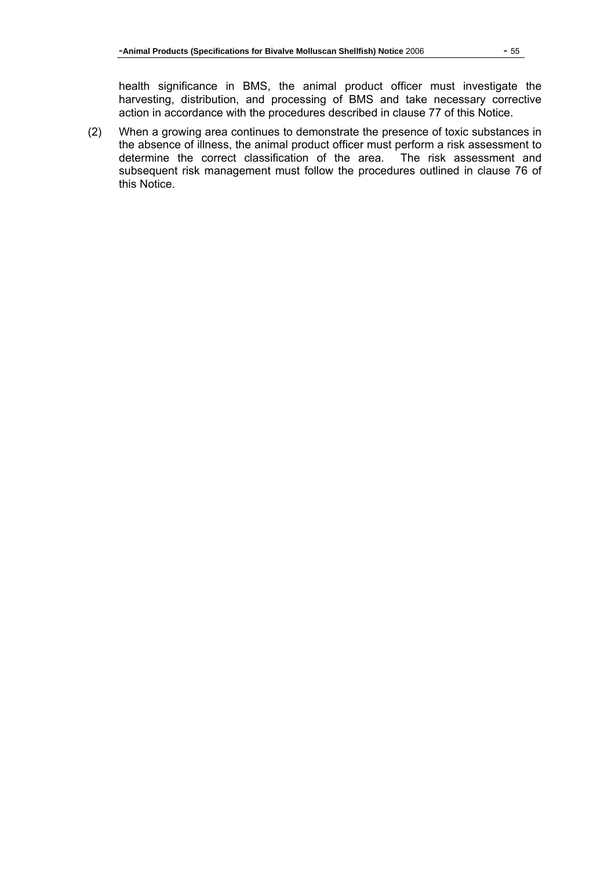health significance in BMS, the animal product officer must investigate the harvesting, distribution, and processing of BMS and take necessary corrective action in accordance with the procedures described in clause 77 of this Notice.

(2) When a growing area continues to demonstrate the presence of toxic substances in the absence of illness, the animal product officer must perform a risk assessment to determine the correct classification of the area. The risk assessment and subsequent risk management must follow the procedures outlined in clause 76 of this Notice.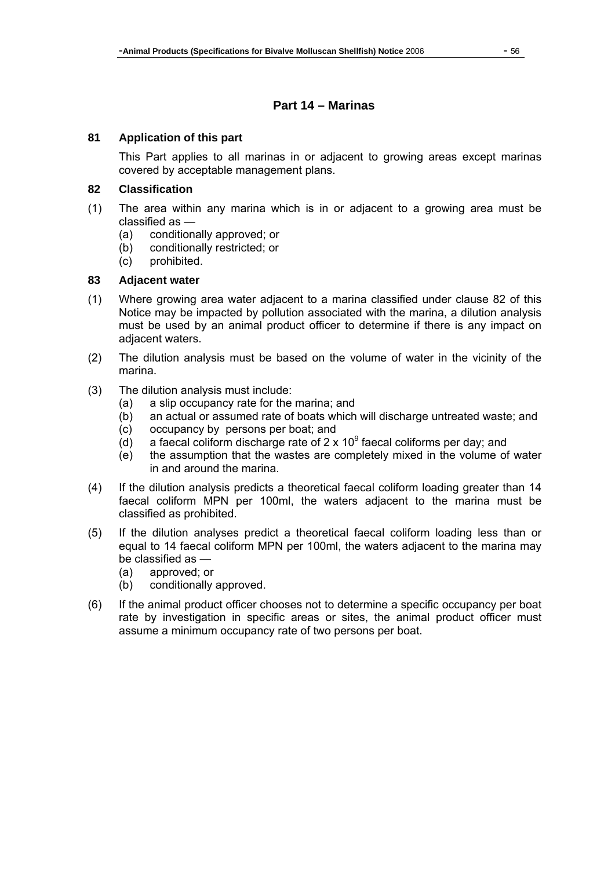# **Part 14 – Marinas**

#### **81 Application of this part**

This Part applies to all marinas in or adjacent to growing areas except marinas covered by acceptable management plans.

#### **82 Classification**

- (1) The area within any marina which is in or adjacent to a growing area must be classified as —
	- (a) conditionally approved; or
	- (b) conditionally restricted; or
	- (c) prohibited.

# **83 Adjacent water**

- (1) Where growing area water adjacent to a marina classified under clause 82 of this Notice may be impacted by pollution associated with the marina, a dilution analysis must be used by an animal product officer to determine if there is any impact on adjacent waters.
- (2) The dilution analysis must be based on the volume of water in the vicinity of the marina.
- (3) The dilution analysis must include:
	- (a) a slip occupancy rate for the marina; and
	- (b) an actual or assumed rate of boats which will discharge untreated waste; and
	- (c) occupancy by persons per boat; and
	- (d) a faecal coliform discharge rate of 2 x  $10^9$  faecal coliforms per day; and
	- (e) the assumption that the wastes are completely mixed in the volume of water in and around the marina.
- (4) If the dilution analysis predicts a theoretical faecal coliform loading greater than 14 faecal coliform MPN per 100ml, the waters adjacent to the marina must be classified as prohibited.
- (5) If the dilution analyses predict a theoretical faecal coliform loading less than or equal to 14 faecal coliform MPN per 100ml, the waters adjacent to the marina may be classified as —
	- (a) approved; or
	- (b) conditionally approved.
- (6) If the animal product officer chooses not to determine a specific occupancy per boat rate by investigation in specific areas or sites, the animal product officer must assume a minimum occupancy rate of two persons per boat.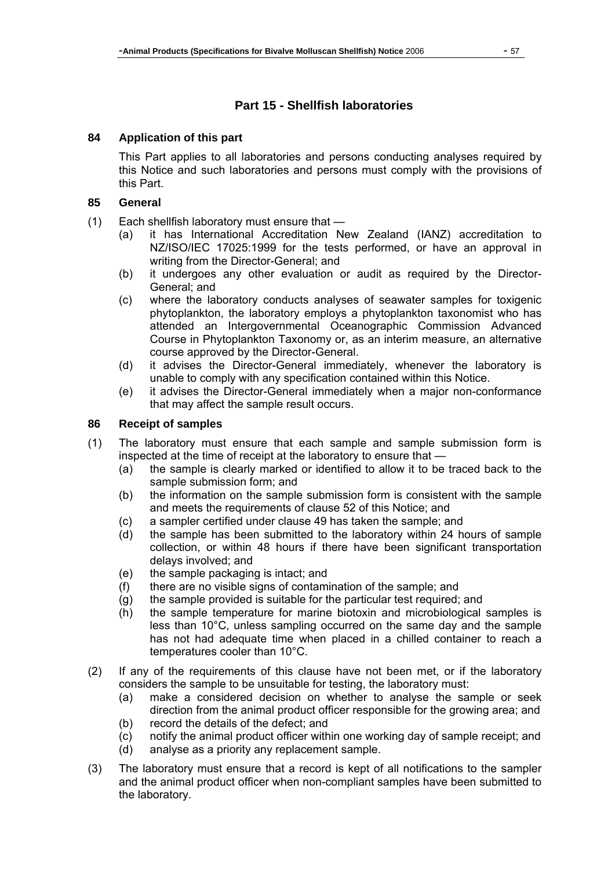# **Part 15 - Shellfish laboratories**

#### **84 Application of this part**

This Part applies to all laboratories and persons conducting analyses required by this Notice and such laboratories and persons must comply with the provisions of this Part.

#### **85 General**

- (1) Each shellfish laboratory must ensure that
	- (a) it has International Accreditation New Zealand (IANZ) accreditation to NZ/ISO/IEC 17025:1999 for the tests performed, or have an approval in writing from the Director-General; and
	- (b) it undergoes any other evaluation or audit as required by the Director-General; and
	- (c) where the laboratory conducts analyses of seawater samples for toxigenic phytoplankton, the laboratory employs a phytoplankton taxonomist who has attended an Intergovernmental Oceanographic Commission Advanced Course in Phytoplankton Taxonomy or, as an interim measure, an alternative course approved by the Director-General.
	- (d) it advises the Director-General immediately, whenever the laboratory is unable to comply with any specification contained within this Notice.
	- (e) it advises the Director-General immediately when a major non-conformance that may affect the sample result occurs.

## **86 Receipt of samples**

- (1) The laboratory must ensure that each sample and sample submission form is inspected at the time of receipt at the laboratory to ensure that —
	- (a) the sample is clearly marked or identified to allow it to be traced back to the sample submission form; and
	- (b) the information on the sample submission form is consistent with the sample and meets the requirements of clause 52 of this Notice; and
	- (c) a sampler certified under clause 49 has taken the sample; and
	- (d) the sample has been submitted to the laboratory within 24 hours of sample collection, or within 48 hours if there have been significant transportation delays involved; and
	- (e) the sample packaging is intact; and
	- (f) there are no visible signs of contamination of the sample; and
	- (g) the sample provided is suitable for the particular test required; and
	- (h) the sample temperature for marine biotoxin and microbiological samples is less than 10°C, unless sampling occurred on the same day and the sample has not had adequate time when placed in a chilled container to reach a temperatures cooler than 10°C.
- (2) If any of the requirements of this clause have not been met, or if the laboratory considers the sample to be unsuitable for testing, the laboratory must:
	- (a) make a considered decision on whether to analyse the sample or seek direction from the animal product officer responsible for the growing area; and (b) record the details of the defect; and
	- (c) notify the animal product officer within one working day of sample receipt; and
	- (d) analyse as a priority any replacement sample.
- (3) The laboratory must ensure that a record is kept of all notifications to the sampler and the animal product officer when non-compliant samples have been submitted to the laboratory.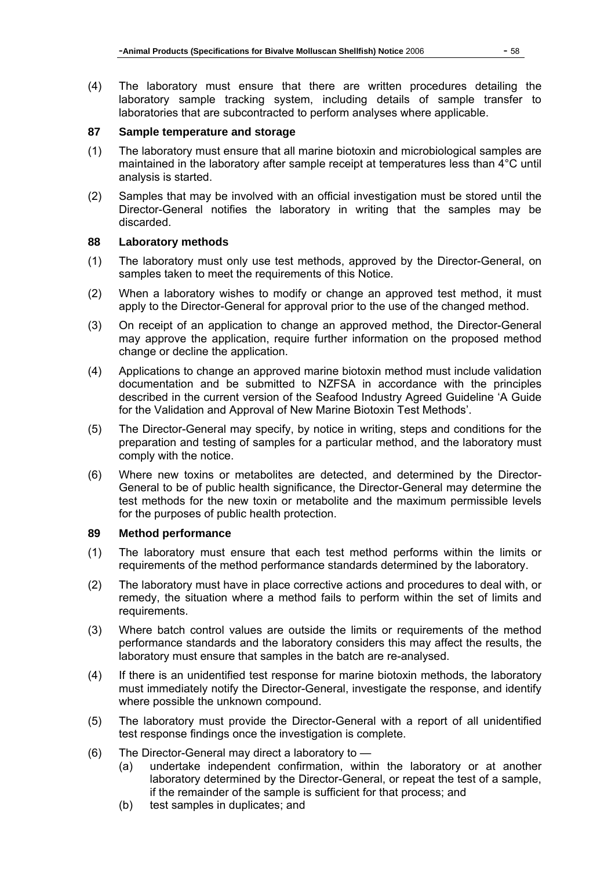(4) The laboratory must ensure that there are written procedures detailing the laboratory sample tracking system, including details of sample transfer to laboratories that are subcontracted to perform analyses where applicable.

## **87 Sample temperature and storage**

- (1) The laboratory must ensure that all marine biotoxin and microbiological samples are maintained in the laboratory after sample receipt at temperatures less than 4°C until analysis is started.
- (2) Samples that may be involved with an official investigation must be stored until the Director-General notifies the laboratory in writing that the samples may be discarded.

# **88 Laboratory methods**

- (1) The laboratory must only use test methods, approved by the Director-General, on samples taken to meet the requirements of this Notice.
- (2) When a laboratory wishes to modify or change an approved test method, it must apply to the Director-General for approval prior to the use of the changed method.
- (3) On receipt of an application to change an approved method, the Director-General may approve the application, require further information on the proposed method change or decline the application.
- (4) Applications to change an approved marine biotoxin method must include validation documentation and be submitted to NZFSA in accordance with the principles described in the current version of the Seafood Industry Agreed Guideline 'A Guide for the Validation and Approval of New Marine Biotoxin Test Methods'.
- (5) The Director-General may specify, by notice in writing, steps and conditions for the preparation and testing of samples for a particular method, and the laboratory must comply with the notice.
- (6) Where new toxins or metabolites are detected, and determined by the Director-General to be of public health significance, the Director-General may determine the test methods for the new toxin or metabolite and the maximum permissible levels for the purposes of public health protection.

## **89 Method performance**

- (1) The laboratory must ensure that each test method performs within the limits or requirements of the method performance standards determined by the laboratory.
- (2) The laboratory must have in place corrective actions and procedures to deal with, or remedy, the situation where a method fails to perform within the set of limits and requirements.
- (3) Where batch control values are outside the limits or requirements of the method performance standards and the laboratory considers this may affect the results, the laboratory must ensure that samples in the batch are re-analysed.
- (4) If there is an unidentified test response for marine biotoxin methods, the laboratory must immediately notify the Director-General, investigate the response, and identify where possible the unknown compound.
- (5) The laboratory must provide the Director-General with a report of all unidentified test response findings once the investigation is complete.
- (6) The Director-General may direct a laboratory to
	- (a) undertake independent confirmation, within the laboratory or at another laboratory determined by the Director-General, or repeat the test of a sample, if the remainder of the sample is sufficient for that process; and
	- (b) test samples in duplicates; and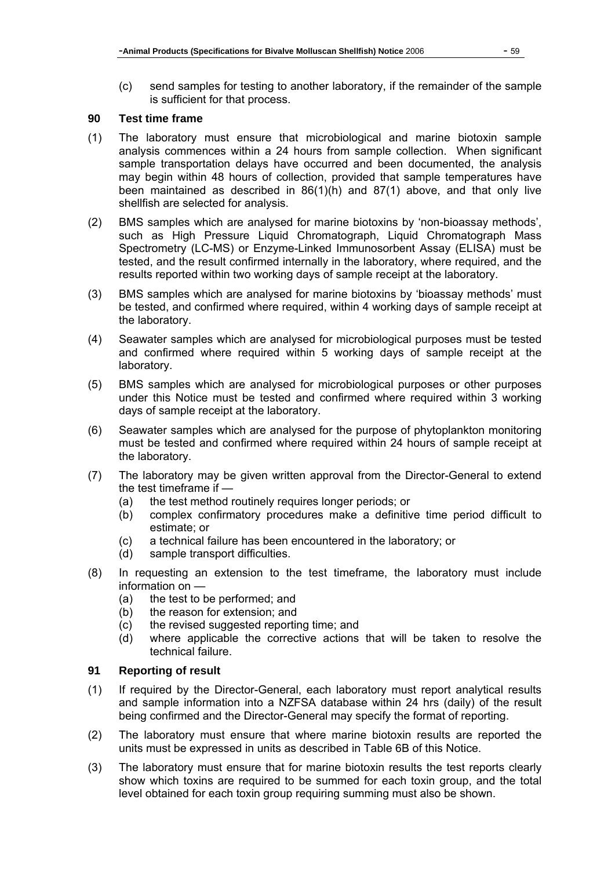(c) send samples for testing to another laboratory, if the remainder of the sample is sufficient for that process.

## **90 Test time frame**

- (1) The laboratory must ensure that microbiological and marine biotoxin sample analysis commences within a 24 hours from sample collection. When significant sample transportation delays have occurred and been documented, the analysis may begin within 48 hours of collection, provided that sample temperatures have been maintained as described in 86(1)(h) and 87(1) above, and that only live shellfish are selected for analysis.
- (2) BMS samples which are analysed for marine biotoxins by 'non-bioassay methods', such as High Pressure Liquid Chromatograph, Liquid Chromatograph Mass Spectrometry (LC-MS) or Enzyme-Linked Immunosorbent Assay (ELISA) must be tested, and the result confirmed internally in the laboratory, where required, and the results reported within two working days of sample receipt at the laboratory.
- (3) BMS samples which are analysed for marine biotoxins by 'bioassay methods' must be tested, and confirmed where required, within 4 working days of sample receipt at the laboratory.
- (4) Seawater samples which are analysed for microbiological purposes must be tested and confirmed where required within 5 working days of sample receipt at the laboratory.
- (5) BMS samples which are analysed for microbiological purposes or other purposes under this Notice must be tested and confirmed where required within 3 working days of sample receipt at the laboratory.
- (6) Seawater samples which are analysed for the purpose of phytoplankton monitoring must be tested and confirmed where required within 24 hours of sample receipt at the laboratory.
- (7) The laboratory may be given written approval from the Director-General to extend the test timeframe if —
	- (a) the test method routinely requires longer periods; or
	- (b) complex confirmatory procedures make a definitive time period difficult to estimate; or
	- (c) a technical failure has been encountered in the laboratory; or
	- (d) sample transport difficulties.
- (8) In requesting an extension to the test timeframe, the laboratory must include information on —
	- (a) the test to be performed; and
	- (b) the reason for extension; and
	- (c) the revised suggested reporting time; and
	- (d) where applicable the corrective actions that will be taken to resolve the technical failure.

## **91 Reporting of result**

- (1) If required by the Director-General, each laboratory must report analytical results and sample information into a NZFSA database within 24 hrs (daily) of the result being confirmed and the Director-General may specify the format of reporting.
- (2) The laboratory must ensure that where marine biotoxin results are reported the units must be expressed in units as described in Table 6B of this Notice.
- (3) The laboratory must ensure that for marine biotoxin results the test reports clearly show which toxins are required to be summed for each toxin group, and the total level obtained for each toxin group requiring summing must also be shown.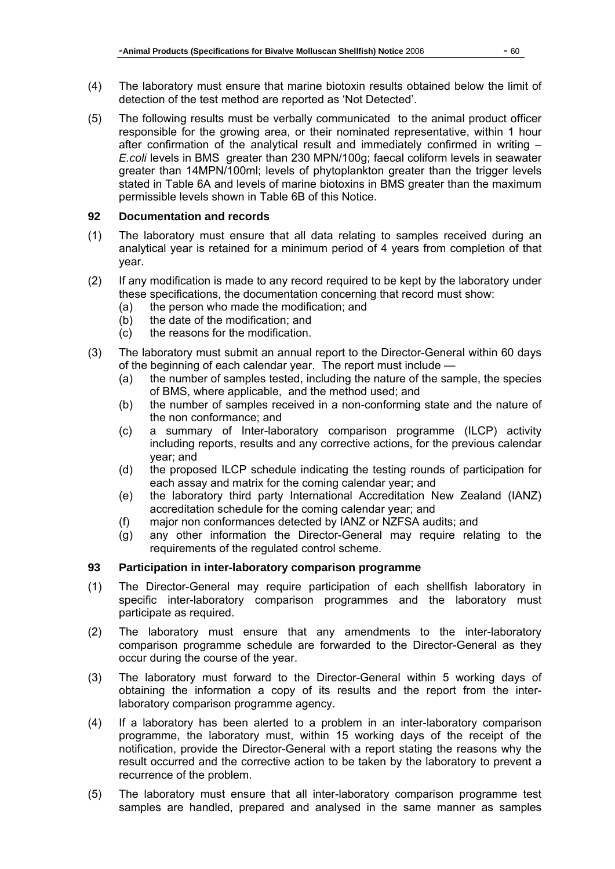- (4) The laboratory must ensure that marine biotoxin results obtained below the limit of detection of the test method are reported as 'Not Detected'.
- (5) The following results must be verbally communicated to the animal product officer responsible for the growing area, or their nominated representative, within 1 hour after confirmation of the analytical result and immediately confirmed in writing – *E.coli* levels in BMS greater than 230 MPN/100g; faecal coliform levels in seawater greater than 14MPN/100ml; levels of phytoplankton greater than the trigger levels stated in Table 6A and levels of marine biotoxins in BMS greater than the maximum permissible levels shown in Table 6B of this Notice.

#### **92 Documentation and records**

- (1) The laboratory must ensure that all data relating to samples received during an analytical year is retained for a minimum period of 4 years from completion of that year.
- (2) If any modification is made to any record required to be kept by the laboratory under these specifications, the documentation concerning that record must show:
	- (a) the person who made the modification; and
	- (b) the date of the modification; and
	- (c) the reasons for the modification.
- (3) The laboratory must submit an annual report to the Director-General within 60 days of the beginning of each calendar year. The report must include —
	- (a) the number of samples tested, including the nature of the sample, the species of BMS, where applicable, and the method used; and
	- (b) the number of samples received in a non-conforming state and the nature of the non conformance; and
	- (c) a summary of Inter-laboratory comparison programme (ILCP) activity including reports, results and any corrective actions, for the previous calendar year; and
	- (d) the proposed ILCP schedule indicating the testing rounds of participation for each assay and matrix for the coming calendar year; and
	- (e) the laboratory third party International Accreditation New Zealand (IANZ) accreditation schedule for the coming calendar year; and
	- (f) major non conformances detected by IANZ or NZFSA audits; and
	- (g) any other information the Director-General may require relating to the requirements of the regulated control scheme.

### **93 Participation in inter-laboratory comparison programme**

- (1) The Director-General may require participation of each shellfish laboratory in specific inter-laboratory comparison programmes and the laboratory must participate as required.
- (2) The laboratory must ensure that any amendments to the inter-laboratory comparison programme schedule are forwarded to the Director-General as they occur during the course of the year.
- (3) The laboratory must forward to the Director-General within 5 working days of obtaining the information a copy of its results and the report from the interlaboratory comparison programme agency.
- (4) If a laboratory has been alerted to a problem in an inter-laboratory comparison programme, the laboratory must, within 15 working days of the receipt of the notification, provide the Director-General with a report stating the reasons why the result occurred and the corrective action to be taken by the laboratory to prevent a recurrence of the problem.
- (5) The laboratory must ensure that all inter-laboratory comparison programme test samples are handled, prepared and analysed in the same manner as samples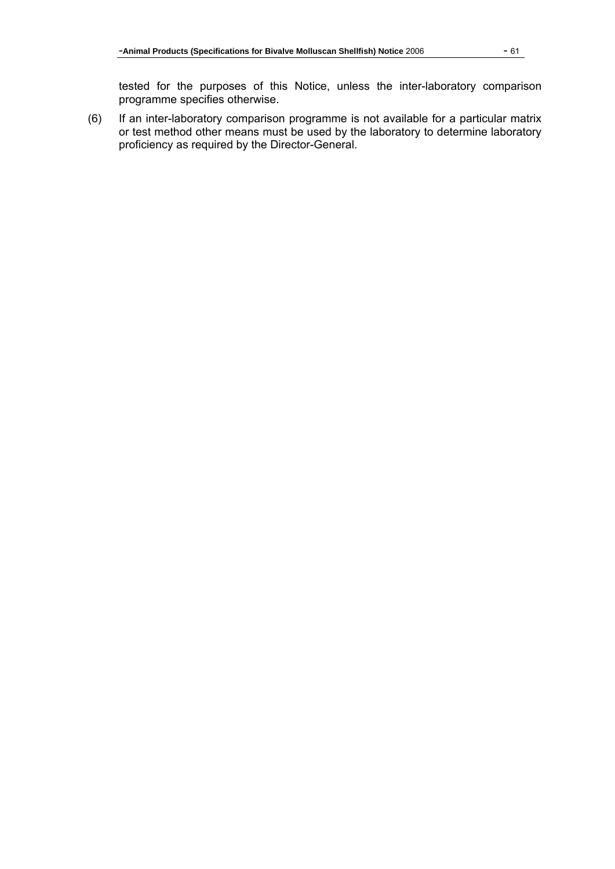tested for the purposes of this Notice, unless the inter-laboratory comparison programme specifies otherwise.

(6) If an inter-laboratory comparison programme is not available for a particular matrix or test method other means must be used by the laboratory to determine laboratory proficiency as required by the Director-General.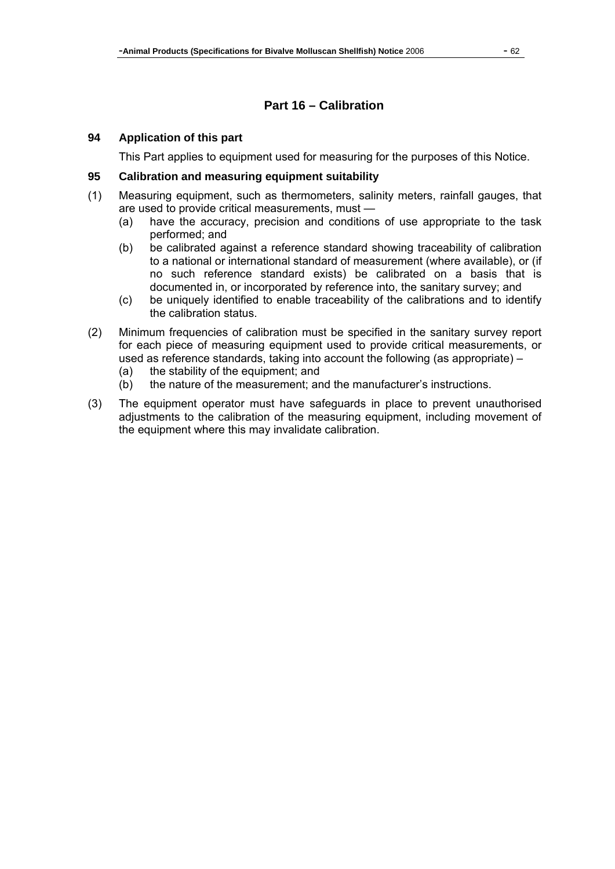# **Part 16 – Calibration**

#### **94 Application of this part**

This Part applies to equipment used for measuring for the purposes of this Notice.

### **95 Calibration and measuring equipment suitability**

- (1) Measuring equipment, such as thermometers, salinity meters, rainfall gauges, that are used to provide critical measurements, must —
	- (a) have the accuracy, precision and conditions of use appropriate to the task performed; and
	- (b) be calibrated against a reference standard showing traceability of calibration to a national or international standard of measurement (where available), or (if no such reference standard exists) be calibrated on a basis that is documented in, or incorporated by reference into, the sanitary survey; and
	- (c) be uniquely identified to enable traceability of the calibrations and to identify the calibration status.
- (2) Minimum frequencies of calibration must be specified in the sanitary survey report for each piece of measuring equipment used to provide critical measurements, or used as reference standards, taking into account the following (as appropriate) –
	- (a) the stability of the equipment; and
	- (b) the nature of the measurement; and the manufacturer's instructions.
- (3) The equipment operator must have safeguards in place to prevent unauthorised adjustments to the calibration of the measuring equipment, including movement of the equipment where this may invalidate calibration.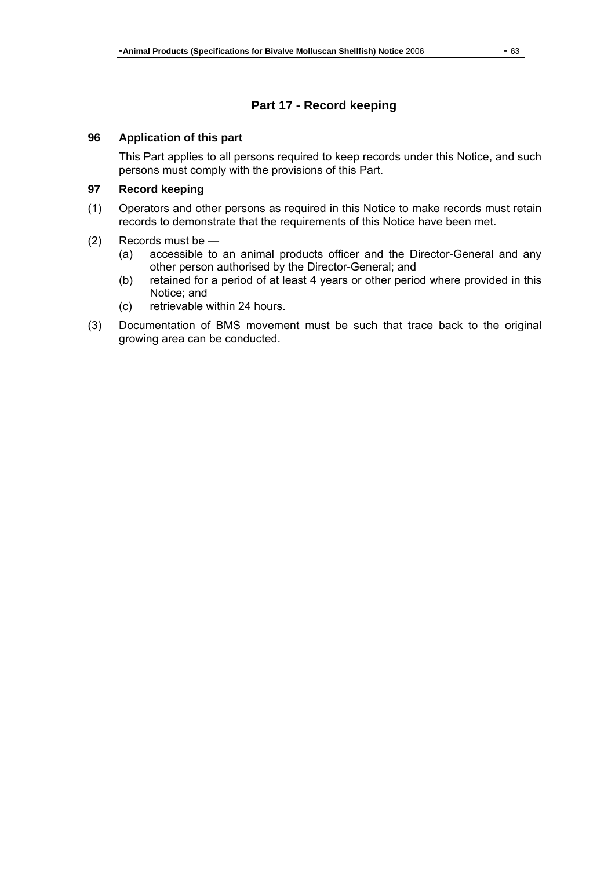# **Part 17 - Record keeping**

#### **96 Application of this part**

This Part applies to all persons required to keep records under this Notice, and such persons must comply with the provisions of this Part.

# **97 Record keeping**

- (1) Operators and other persons as required in this Notice to make records must retain records to demonstrate that the requirements of this Notice have been met.
- (2) Records must be
	- (a) accessible to an animal products officer and the Director-General and any other person authorised by the Director-General; and
	- (b) retained for a period of at least 4 years or other period where provided in this Notice; and
	- (c) retrievable within 24 hours.
- (3) Documentation of BMS movement must be such that trace back to the original growing area can be conducted.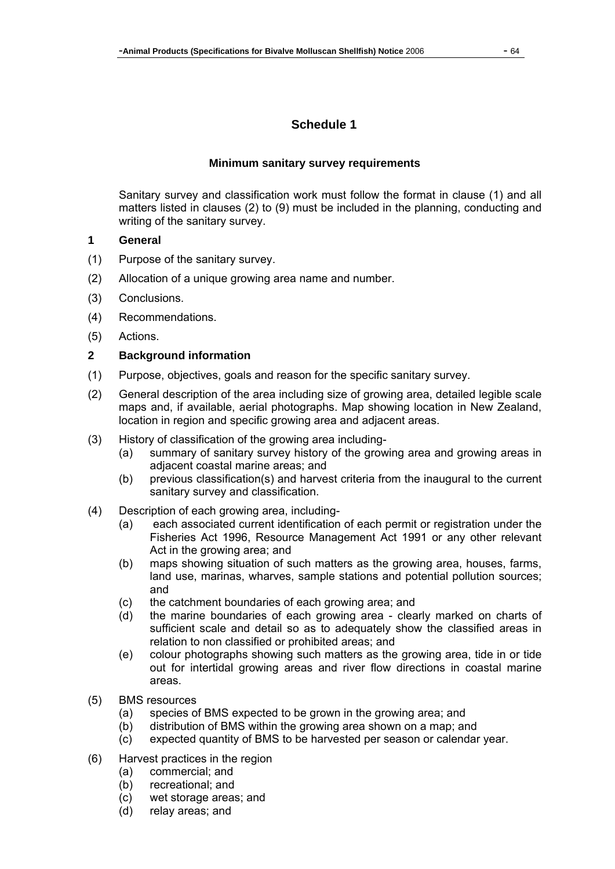# **Schedule 1**

#### **Minimum sanitary survey requirements**

Sanitary survey and classification work must follow the format in clause (1) and all matters listed in clauses (2) to (9) must be included in the planning, conducting and writing of the sanitary survey.

- **1 General**
- (1) Purpose of the sanitary survey.
- (2) Allocation of a unique growing area name and number.
- (3) Conclusions.
- (4) Recommendations.
- (5) Actions.

### **2 Background information**

- (1) Purpose, objectives, goals and reason for the specific sanitary survey.
- (2) General description of the area including size of growing area, detailed legible scale maps and, if available, aerial photographs. Map showing location in New Zealand, location in region and specific growing area and adjacent areas.
- (3) History of classification of the growing area including-
	- (a) summary of sanitary survey history of the growing area and growing areas in adjacent coastal marine areas; and
	- (b) previous classification(s) and harvest criteria from the inaugural to the current sanitary survey and classification.
- (4) Description of each growing area, including-
	- (a) each associated current identification of each permit or registration under the Fisheries Act 1996, Resource Management Act 1991 or any other relevant Act in the growing area; and
	- (b) maps showing situation of such matters as the growing area, houses, farms, land use, marinas, wharves, sample stations and potential pollution sources; and
	- (c) the catchment boundaries of each growing area; and
	- (d) the marine boundaries of each growing area clearly marked on charts of sufficient scale and detail so as to adequately show the classified areas in relation to non classified or prohibited areas; and
	- (e) colour photographs showing such matters as the growing area, tide in or tide out for intertidal growing areas and river flow directions in coastal marine areas.
- (5) BMS resources
	- (a) species of BMS expected to be grown in the growing area; and
	- (b) distribution of BMS within the growing area shown on a map; and
	- (c) expected quantity of BMS to be harvested per season or calendar year.
- (6) Harvest practices in the region
	- (a) commercial; and
	- (b) recreational; and
	- (c) wet storage areas; and
	- (d) relay areas; and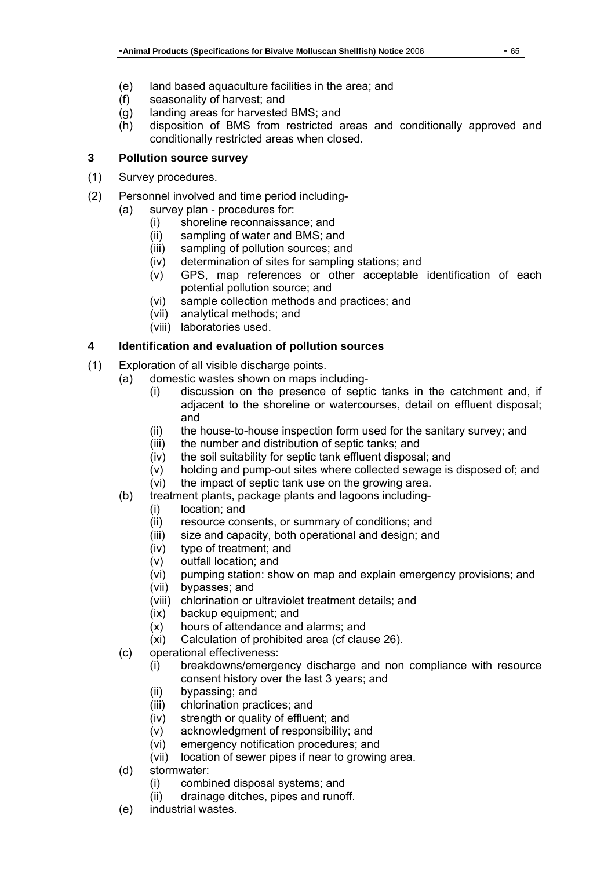- (e) land based aquaculture facilities in the area; and
- (f) seasonality of harvest; and
- (g) landing areas for harvested BMS; and
- (h) disposition of BMS from restricted areas and conditionally approved and conditionally restricted areas when closed.

# **3 Pollution source survey**

- (1) Survey procedures.
- (2) Personnel involved and time period including-
	- (a) survey plan procedures for:
		- (i) shoreline reconnaissance; and
		- (ii) sampling of water and BMS; and
		- (iii) sampling of pollution sources; and
		- (iv) determination of sites for sampling stations; and
		- (v) GPS, map references or other acceptable identification of each potential pollution source; and
		- (vi) sample collection methods and practices; and
		- (vii) analytical methods; and
		- (viii) laboratories used.

# **4 Identification and evaluation of pollution sources**

- (1) Exploration of all visible discharge points.
	- (a) domestic wastes shown on maps including-
		- (i) discussion on the presence of septic tanks in the catchment and, if adjacent to the shoreline or watercourses, detail on effluent disposal; and
		- (ii) the house-to-house inspection form used for the sanitary survey; and
		- (iii) the number and distribution of septic tanks; and
		- (iv) the soil suitability for septic tank effluent disposal; and
		- (v) holding and pump-out sites where collected sewage is disposed of; and
		- (vi) the impact of septic tank use on the growing area.
	- (b) treatment plants, package plants and lagoons including-
		- (i) location; and
		- (ii) resource consents, or summary of conditions; and
		- (iii) size and capacity, both operational and design; and
		- (iv) type of treatment; and
		- (v) outfall location; and
		- (vi) pumping station: show on map and explain emergency provisions; and
		- (vii) bypasses; and
		- (viii) chlorination or ultraviolet treatment details; and
		- (ix) backup equipment; and
		- (x) hours of attendance and alarms; and
		- (xi) Calculation of prohibited area (cf clause 26).
	- (c) operational effectiveness:
		- (i) breakdowns/emergency discharge and non compliance with resource consent history over the last 3 years; and
		- (ii) bypassing; and
		- (iii) chlorination practices; and
		- (iv) strength or quality of effluent; and
		- (v) acknowledgment of responsibility; and
		- (vi) emergency notification procedures; and
		- (vii) location of sewer pipes if near to growing area.
	- (d) stormwater:
		- (i) combined disposal systems; and
		- (ii) drainage ditches, pipes and runoff.
	- (e) industrial wastes.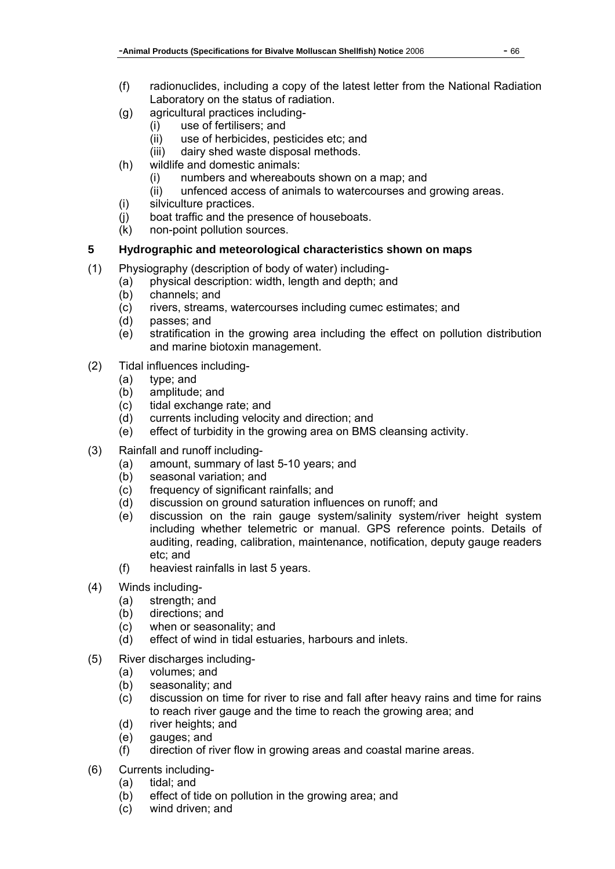- (f) radionuclides, including a copy of the latest letter from the National Radiation Laboratory on the status of radiation.
- (g) agricultural practices including-
	- (i) use of fertilisers; and
	- (ii) use of herbicides, pesticides etc; and
	- (iii) dairy shed waste disposal methods.
- (h) wildlife and domestic animals:
	- (i) numbers and whereabouts shown on a map; and
	- (ii) unfenced access of animals to watercourses and growing areas.
- (i) silviculture practices.
- (j) boat traffic and the presence of houseboats.
- (k) non-point pollution sources.

# **5 Hydrographic and meteorological characteristics shown on maps**

- (1) Physiography (description of body of water) including-
	- (a) physical description: width, length and depth; and
	- (b) channels; and
	- (c) rivers, streams, watercourses including cumec estimates; and
	- (d) passes; and
	- (e) stratification in the growing area including the effect on pollution distribution and marine biotoxin management.
- (2) Tidal influences including-
	- (a) type; and
	- (b) amplitude; and
	- (c) tidal exchange rate; and
	- (d) currents including velocity and direction; and
	- (e) effect of turbidity in the growing area on BMS cleansing activity.
- (3) Rainfall and runoff including-
	- (a) amount, summary of last 5-10 years; and
	- (b) seasonal variation; and
	- (c) frequency of significant rainfalls; and
	- (d) discussion on ground saturation influences on runoff; and
	- (e) discussion on the rain gauge system/salinity system/river height system including whether telemetric or manual. GPS reference points. Details of auditing, reading, calibration, maintenance, notification, deputy gauge readers etc; and
	- (f) heaviest rainfalls in last 5 years.
- (4) Winds including-
	- (a) strength; and
	- (b) directions; and
	- (c) when or seasonality; and
	- (d) effect of wind in tidal estuaries, harbours and inlets.
- (5) River discharges including-
	- (a) volumes; and
	- (b) seasonality; and
	- (c) discussion on time for river to rise and fall after heavy rains and time for rains to reach river gauge and the time to reach the growing area; and
	- (d) river heights; and
	- (e) gauges; and
	- (f) direction of river flow in growing areas and coastal marine areas.
- (6) Currents including-
	- (a) tidal; and
	- (b) effect of tide on pollution in the growing area; and
	- (c) wind driven; and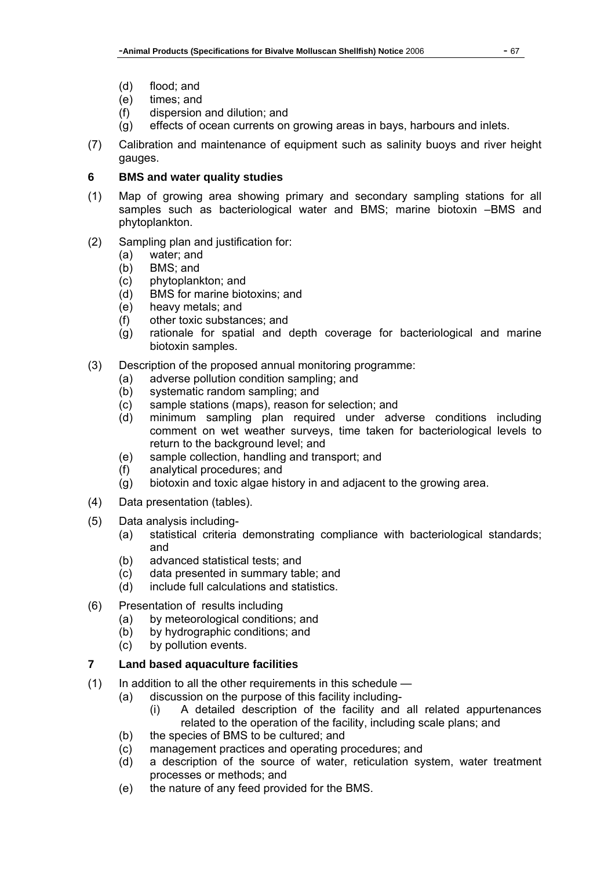- (d) flood; and
- (e) times; and
- (f) dispersion and dilution; and
- (g) effects of ocean currents on growing areas in bays, harbours and inlets.
- (7) Calibration and maintenance of equipment such as salinity buoys and river height gauges.

# **6 BMS and water quality studies**

- (1) Map of growing area showing primary and secondary sampling stations for all samples such as bacteriological water and BMS; marine biotoxin –BMS and phytoplankton.
- (2) Sampling plan and justification for:
	- (a) water; and
	- (b) BMS; and
	- (c) phytoplankton; and
	- (d) BMS for marine biotoxins; and
	- (e) heavy metals; and
	- (f) other toxic substances; and
	- (g) rationale for spatial and depth coverage for bacteriological and marine biotoxin samples.
- (3) Description of the proposed annual monitoring programme:
	- (a) adverse pollution condition sampling; and
	- (b) systematic random sampling; and
	- (c) sample stations (maps), reason for selection; and
	- (d) minimum sampling plan required under adverse conditions including comment on wet weather surveys, time taken for bacteriological levels to return to the background level; and
	- (e) sample collection, handling and transport; and
	- (f) analytical procedures; and
	- (g) biotoxin and toxic algae history in and adjacent to the growing area.
- (4) Data presentation (tables).
- (5) Data analysis including-
	- (a) statistical criteria demonstrating compliance with bacteriological standards; and
	- (b) advanced statistical tests; and
	- (c) data presented in summary table; and
	- (d) include full calculations and statistics.
- (6) Presentation of results including
	- (a) by meteorological conditions; and
	- (b) by hydrographic conditions; and
	- (c) by pollution events.

# **7 Land based aquaculture facilities**

- (1) In addition to all the other requirements in this schedule
	- (a) discussion on the purpose of this facility including-
		- (i) A detailed description of the facility and all related appurtenances related to the operation of the facility, including scale plans; and
		- (b) the species of BMS to be cultured; and
		- (c) management practices and operating procedures; and
		- (d) a description of the source of water, reticulation system, water treatment processes or methods; and
		- (e) the nature of any feed provided for the BMS.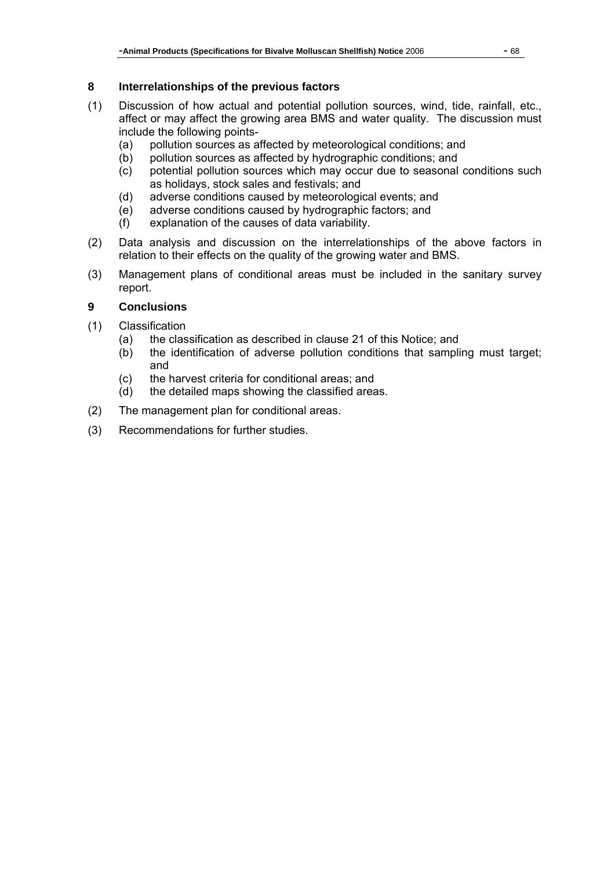# **8 Interrelationships of the previous factors**

- (1) Discussion of how actual and potential pollution sources, wind, tide, rainfall, etc., affect or may affect the growing area BMS and water quality. The discussion must include the following points-
	- (a) pollution sources as affected by meteorological conditions; and
	- (b) pollution sources as affected by hydrographic conditions; and
	- (c) potential pollution sources which may occur due to seasonal conditions such as holidays, stock sales and festivals; and
	- (d) adverse conditions caused by meteorological events; and
	- (e) adverse conditions caused by hydrographic factors; and
	- (f) explanation of the causes of data variability.
- (2) Data analysis and discussion on the interrelationships of the above factors in relation to their effects on the quality of the growing water and BMS.
- (3) Management plans of conditional areas must be included in the sanitary survey report.

# **9 Conclusions**

- (1) Classification
	- (a) the classification as described in clause 21 of this Notice; and
	- (b) the identification of adverse pollution conditions that sampling must target; and
	- (c) the harvest criteria for conditional areas; and
	- (d) the detailed maps showing the classified areas.
- (2) The management plan for conditional areas.
- (3) Recommendations for further studies.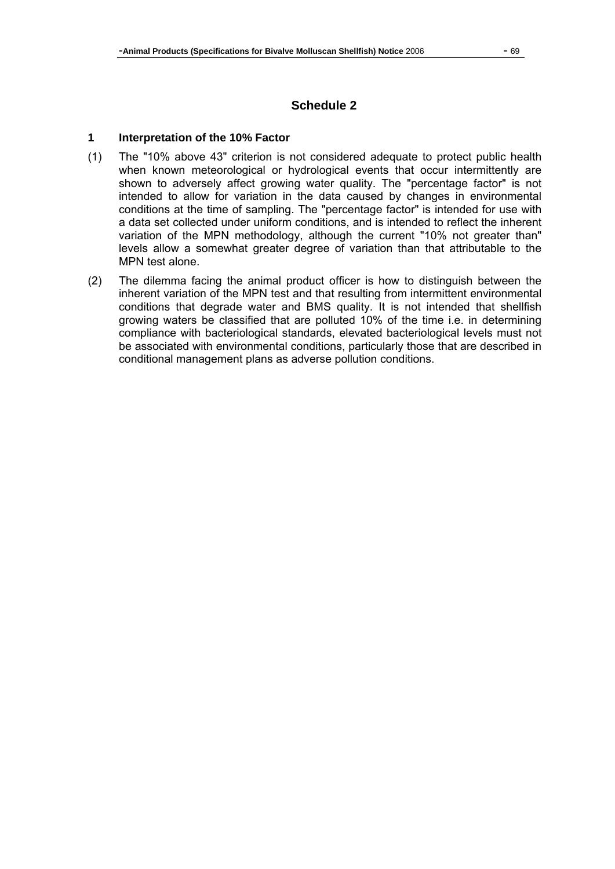## **Schedule 2**

#### **1 Interpretation of the 10% Factor**

- (1) The "10% above 43" criterion is not considered adequate to protect public health when known meteorological or hydrological events that occur intermittently are shown to adversely affect growing water quality. The "percentage factor" is not intended to allow for variation in the data caused by changes in environmental conditions at the time of sampling. The "percentage factor" is intended for use with a data set collected under uniform conditions, and is intended to reflect the inherent variation of the MPN methodology, although the current "10% not greater than" levels allow a somewhat greater degree of variation than that attributable to the MPN test alone.
- (2) The dilemma facing the animal product officer is how to distinguish between the inherent variation of the MPN test and that resulting from intermittent environmental conditions that degrade water and BMS quality. It is not intended that shellfish growing waters be classified that are polluted 10% of the time i.e. in determining compliance with bacteriological standards, elevated bacteriological levels must not be associated with environmental conditions, particularly those that are described in conditional management plans as adverse pollution conditions.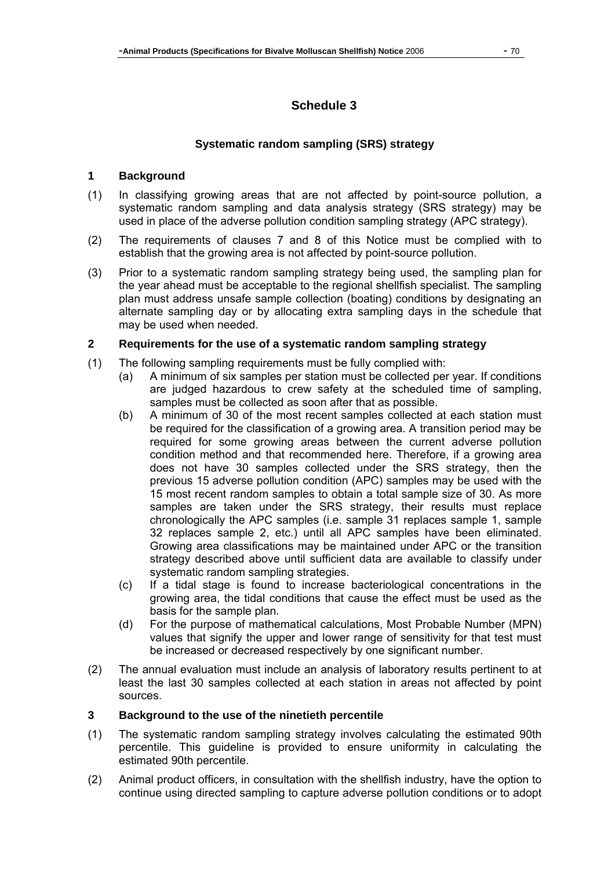# **Schedule 3**

## **Systematic random sampling (SRS) strategy**

## **1 Background**

- (1) In classifying growing areas that are not affected by point-source pollution, a systematic random sampling and data analysis strategy (SRS strategy) may be used in place of the adverse pollution condition sampling strategy (APC strategy).
- (2) The requirements of clauses 7 and 8 of this Notice must be complied with to establish that the growing area is not affected by point-source pollution.
- (3) Prior to a systematic random sampling strategy being used, the sampling plan for the year ahead must be acceptable to the regional shellfish specialist. The sampling plan must address unsafe sample collection (boating) conditions by designating an alternate sampling day or by allocating extra sampling days in the schedule that may be used when needed.

### **2 Requirements for the use of a systematic random sampling strategy**

- (1) The following sampling requirements must be fully complied with:
	- (a) A minimum of six samples per station must be collected per year. If conditions are judged hazardous to crew safety at the scheduled time of sampling, samples must be collected as soon after that as possible.
	- (b) A minimum of 30 of the most recent samples collected at each station must be required for the classification of a growing area. A transition period may be required for some growing areas between the current adverse pollution condition method and that recommended here. Therefore, if a growing area does not have 30 samples collected under the SRS strategy, then the previous 15 adverse pollution condition (APC) samples may be used with the 15 most recent random samples to obtain a total sample size of 30. As more samples are taken under the SRS strategy, their results must replace chronologically the APC samples (i.e. sample 31 replaces sample 1, sample 32 replaces sample 2, etc.) until all APC samples have been eliminated. Growing area classifications may be maintained under APC or the transition strategy described above until sufficient data are available to classify under systematic random sampling strategies.
	- (c) If a tidal stage is found to increase bacteriological concentrations in the growing area, the tidal conditions that cause the effect must be used as the basis for the sample plan.
	- (d) For the purpose of mathematical calculations, Most Probable Number (MPN) values that signify the upper and lower range of sensitivity for that test must be increased or decreased respectively by one significant number.
- (2) The annual evaluation must include an analysis of laboratory results pertinent to at least the last 30 samples collected at each station in areas not affected by point sources.

#### **3 Background to the use of the ninetieth percentile**

- (1) The systematic random sampling strategy involves calculating the estimated 90th percentile. This guideline is provided to ensure uniformity in calculating the estimated 90th percentile.
- (2) Animal product officers, in consultation with the shellfish industry, have the option to continue using directed sampling to capture adverse pollution conditions or to adopt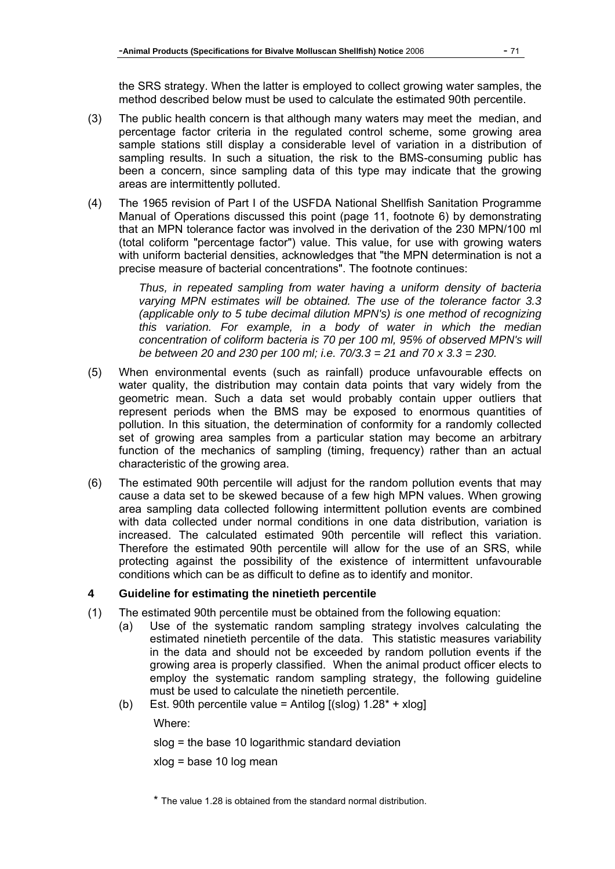the SRS strategy. When the latter is employed to collect growing water samples, the method described below must be used to calculate the estimated 90th percentile.

- (3) The public health concern is that although many waters may meet the median, and percentage factor criteria in the regulated control scheme, some growing area sample stations still display a considerable level of variation in a distribution of sampling results. In such a situation, the risk to the BMS-consuming public has been a concern, since sampling data of this type may indicate that the growing areas are intermittently polluted.
- (4) The 1965 revision of Part I of the USFDA National Shellfish Sanitation Programme Manual of Operations discussed this point (page 11, footnote 6) by demonstrating that an MPN tolerance factor was involved in the derivation of the 230 MPN/100 ml (total coliform "percentage factor") value. This value, for use with growing waters with uniform bacterial densities, acknowledges that "the MPN determination is not a precise measure of bacterial concentrations". The footnote continues:

*Thus, in repeated sampling from water having a uniform density of bacteria varying MPN estimates will be obtained. The use of the tolerance factor 3.3 (applicable only to 5 tube decimal dilution MPN's) is one method of recognizing this variation. For example, in a body of water in which the median concentration of coliform bacteria is 70 per 100 ml, 95% of observed MPN's will be between 20 and 230 per 100 ml; i.e. 70/3.3 = 21 and 70 x 3.3 = 230.* 

- (5) When environmental events (such as rainfall) produce unfavourable effects on water quality, the distribution may contain data points that vary widely from the geometric mean. Such a data set would probably contain upper outliers that represent periods when the BMS may be exposed to enormous quantities of pollution. In this situation, the determination of conformity for a randomly collected set of growing area samples from a particular station may become an arbitrary function of the mechanics of sampling (timing, frequency) rather than an actual characteristic of the growing area.
- (6) The estimated 90th percentile will adjust for the random pollution events that may cause a data set to be skewed because of a few high MPN values. When growing area sampling data collected following intermittent pollution events are combined with data collected under normal conditions in one data distribution, variation is increased. The calculated estimated 90th percentile will reflect this variation. Therefore the estimated 90th percentile will allow for the use of an SRS, while protecting against the possibility of the existence of intermittent unfavourable conditions which can be as difficult to define as to identify and monitor.

## **4 Guideline for estimating the ninetieth percentile**

- (1) The estimated 90th percentile must be obtained from the following equation:
	- (a) Use of the systematic random sampling strategy involves calculating the estimated ninetieth percentile of the data. This statistic measures variability in the data and should not be exceeded by random pollution events if the growing area is properly classified. When the animal product officer elects to employ the systematic random sampling strategy, the following guideline must be used to calculate the ninetieth percentile.
	- (b) Est. 90th percentile value = Antilog  $[(slog) 1.28^* + xlog]$

Where:

slog = the base 10 logarithmic standard deviation

xlog = base 10 log mean

\* The value 1.28 is obtained from the standard normal distribution.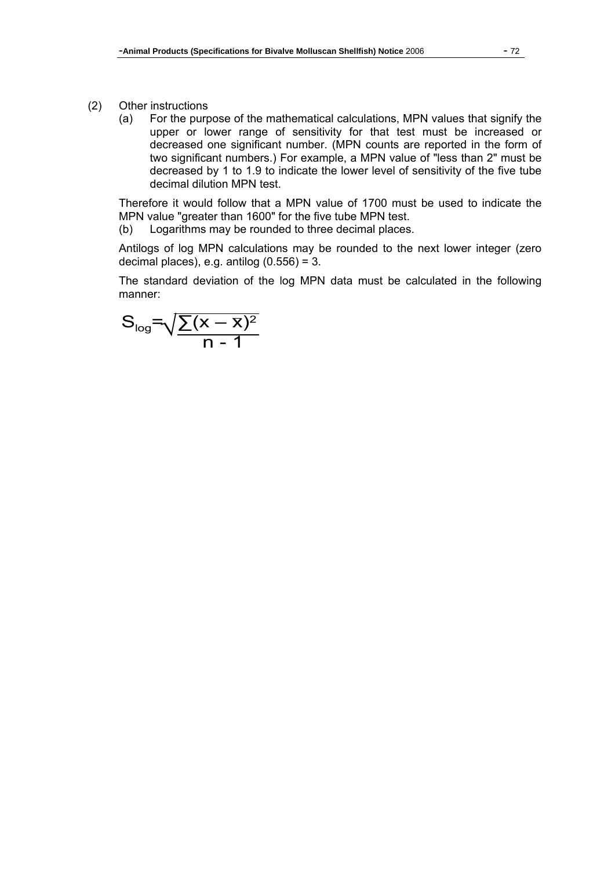- (2) Other instructions
	- (a) For the purpose of the mathematical calculations, MPN values that signify the upper or lower range of sensitivity for that test must be increased or decreased one significant number. (MPN counts are reported in the form of two significant numbers.) For example, a MPN value of "less than 2" must be decreased by 1 to 1.9 to indicate the lower level of sensitivity of the five tube decimal dilution MPN test.

Therefore it would follow that a MPN value of 1700 must be used to indicate the MPN value "greater than 1600" for the five tube MPN test.

(b) Logarithms may be rounded to three decimal places.

Antilogs of log MPN calculations may be rounded to the next lower integer (zero decimal places), e.g. antilog  $(0.556) = 3$ .

The standard deviation of the log MPN data must be calculated in the following manner:

$$
S_{log} = \sqrt{\frac{\sum (x - \overline{x})^2}{n - 1}}
$$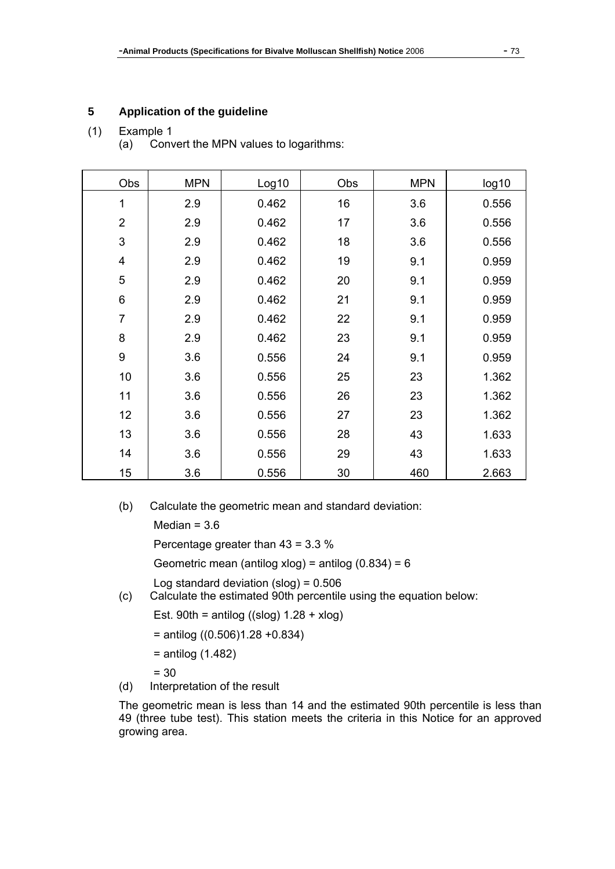# **5 Application of the guideline**

## (1) Example 1

(a) Convert the MPN values to logarithms:

| Obs            | <b>MPN</b> | Log10 | Obs | <b>MPN</b> | log10 |
|----------------|------------|-------|-----|------------|-------|
| 1              | 2.9        | 0.462 | 16  | 3.6        | 0.556 |
| $\overline{2}$ | 2.9        | 0.462 | 17  | 3.6        | 0.556 |
| 3              | 2.9        | 0.462 | 18  | 3.6        | 0.556 |
| 4              | 2.9        | 0.462 | 19  | 9.1        | 0.959 |
| 5              | 2.9        | 0.462 | 20  | 9.1        | 0.959 |
| 6              | 2.9        | 0.462 | 21  | 9.1        | 0.959 |
| 7              | 2.9        | 0.462 | 22  | 9.1        | 0.959 |
| 8              | 2.9        | 0.462 | 23  | 9.1        | 0.959 |
| 9              | 3.6        | 0.556 | 24  | 9.1        | 0.959 |
| 10             | 3.6        | 0.556 | 25  | 23         | 1.362 |
| 11             | 3.6        | 0.556 | 26  | 23         | 1.362 |
| 12             | 3.6        | 0.556 | 27  | 23         | 1.362 |
| 13             | 3.6        | 0.556 | 28  | 43         | 1.633 |
| 14             | 3.6        | 0.556 | 29  | 43         | 1.633 |
| 15             | 3.6        | 0.556 | 30  | 460        | 2.663 |

(b) Calculate the geometric mean and standard deviation:

Median  $= 3.6$ 

Percentage greater than 43 = 3.3 %

Geometric mean (antilog xlog) = antilog  $(0.834) = 6$ 

Log standard deviation  $(slog) = 0.506$ 

(c) Calculate the estimated 90th percentile using the equation below:

Est. 90th = antilog  $((slog) 1.28 + xlog)$ 

= antilog ((0.506)1.28 +0.834)

= antilog (1.482)

= 30

(d) Interpretation of the result

The geometric mean is less than 14 and the estimated 90th percentile is less than 49 (three tube test). This station meets the criteria in this Notice for an approved growing area.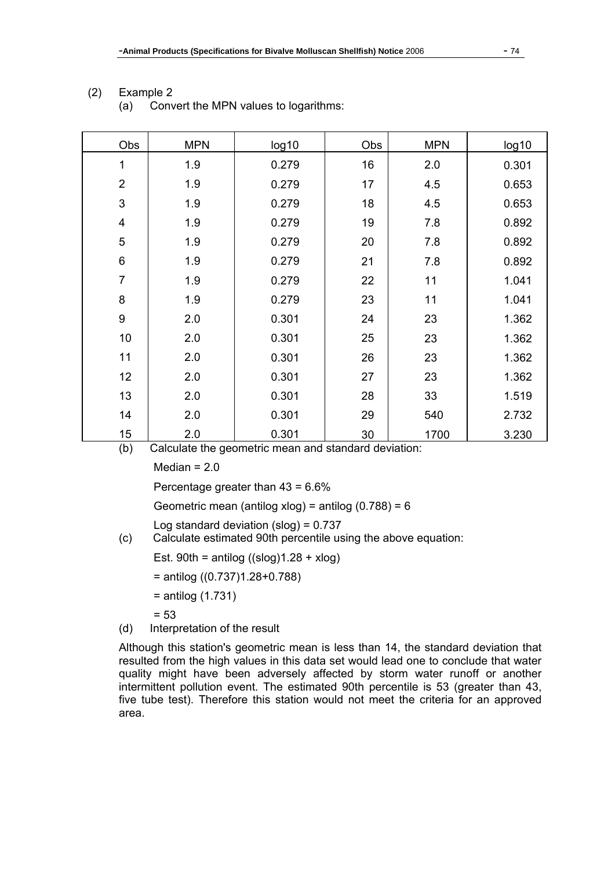| Obs                     | <b>MPN</b> | log10 | Obs | <b>MPN</b> | log10 |  |  |
|-------------------------|------------|-------|-----|------------|-------|--|--|
| 1                       | 1.9        | 0.279 | 16  | 2.0        | 0.301 |  |  |
| $\overline{2}$          | 1.9        | 0.279 | 17  | 4.5        | 0.653 |  |  |
| 3                       | 1.9        | 0.279 | 18  | 4.5        | 0.653 |  |  |
| $\overline{\mathbf{4}}$ | 1.9        | 0.279 | 19  | 7.8        | 0.892 |  |  |
| $\mathbf 5$             | 1.9        | 0.279 | 20  | 7.8        | 0.892 |  |  |
| $\,6$                   | 1.9        | 0.279 | 21  | 7.8        | 0.892 |  |  |
| $\overline{7}$          | 1.9        | 0.279 | 22  | 11         | 1.041 |  |  |
| $\bf 8$                 | 1.9        | 0.279 | 23  | 11         | 1.041 |  |  |
| $\boldsymbol{9}$        | 2.0        | 0.301 | 24  | 23         | 1.362 |  |  |
| 10                      | 2.0        | 0.301 | 25  | 23         | 1.362 |  |  |
| 11                      | 2.0        | 0.301 | 26  | 23         | 1.362 |  |  |
| 12                      | 2.0        | 0.301 | 27  | 23         | 1.362 |  |  |
| 13                      | 2.0        | 0.301 | 28  | 33         | 1.519 |  |  |
| 14                      | 2.0        | 0.301 | 29  | 540        | 2.732 |  |  |
| 15                      | 2.0        | 0.301 | 30  | 1700       | 3.230 |  |  |

## (2) Example 2

(a) Convert the MPN values to logarithms:

(b) Calculate the geometric mean and standard deviation:

Median  $= 2.0$ 

Percentage greater than 43 = 6.6%

Geometric mean (antilog xlog) = antilog (0.788) = 6

Log standard deviation  $(slog) = 0.737$ 

(c) Calculate estimated 90th percentile using the above equation:

Est.  $90th = antilog ((slog)1.28 + xlog)$ 

= antilog ((0.737)1.28+0.788)

= antilog (1.731)

 $= 53$ 

(d) Interpretation of the result

Although this station's geometric mean is less than 14, the standard deviation that resulted from the high values in this data set would lead one to conclude that water quality might have been adversely affected by storm water runoff or another intermittent pollution event. The estimated 90th percentile is 53 (greater than 43, five tube test). Therefore this station would not meet the criteria for an approved area.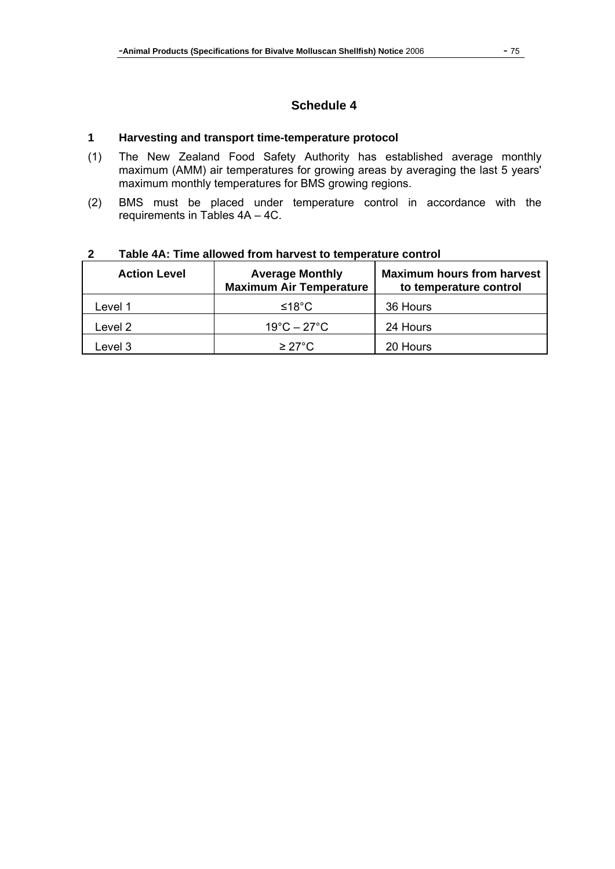# **Schedule 4**

#### **1 Harvesting and transport time-temperature protocol**

- (1) The New Zealand Food Safety Authority has established average monthly maximum (AMM) air temperatures for growing areas by averaging the last 5 years' maximum monthly temperatures for BMS growing regions.
- (2) BMS must be placed under temperature control in accordance with the requirements in Tables 4A – 4C.

| <b>Action Level</b> | <b>Average Monthly</b><br><b>Maximum Air Temperature</b> | <b>Maximum hours from harvest</b><br>to temperature control |  |  |  |  |
|---------------------|----------------------------------------------------------|-------------------------------------------------------------|--|--|--|--|
| Level 1             | ≤18°C                                                    | 36 Hours                                                    |  |  |  |  |
| Level 2             | $19^{\circ}$ C – 27 $^{\circ}$ C                         | 24 Hours                                                    |  |  |  |  |
| Level 3             | $\geq$ 27°C.                                             | 20 Hours                                                    |  |  |  |  |

#### **2 Table 4A: Time allowed from harvest to temperature control**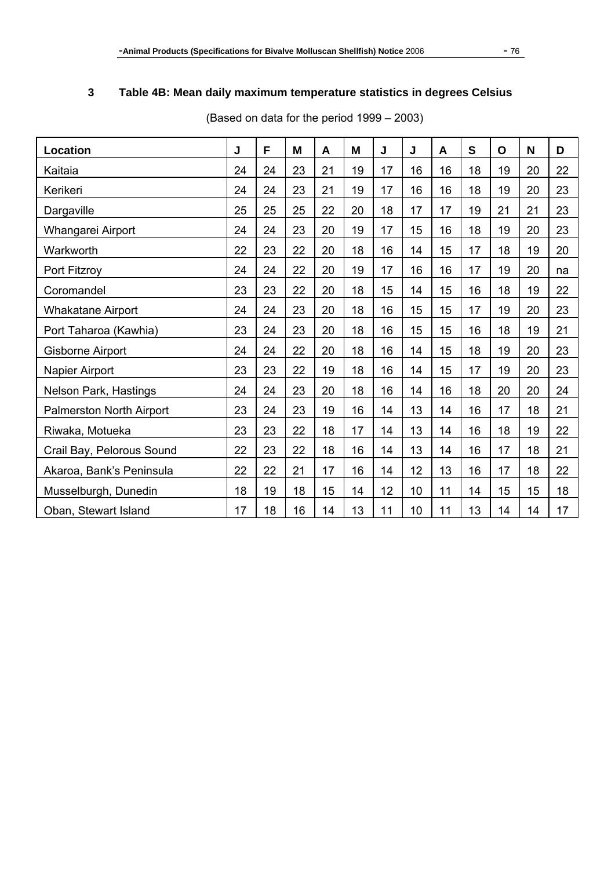# **3 Table 4B: Mean daily maximum temperature statistics in degrees Celsius**

| Location                  | J  | F  | M  | A  | M  | J  | J  | A  | $\mathbf S$ | $\mathbf{o}$ | N  | D  |
|---------------------------|----|----|----|----|----|----|----|----|-------------|--------------|----|----|
|                           | 24 |    |    |    |    |    |    |    |             |              |    |    |
| Kaitaia                   |    | 24 | 23 | 21 | 19 | 17 | 16 | 16 | 18          | 19           | 20 | 22 |
| Kerikeri                  | 24 | 24 | 23 | 21 | 19 | 17 | 16 | 16 | 18          | 19           | 20 | 23 |
| Dargaville                | 25 | 25 | 25 | 22 | 20 | 18 | 17 | 17 | 19          | 21           | 21 | 23 |
| Whangarei Airport         | 24 | 24 | 23 | 20 | 19 | 17 | 15 | 16 | 18          | 19           | 20 | 23 |
| Warkworth                 | 22 | 23 | 22 | 20 | 18 | 16 | 14 | 15 | 17          | 18           | 19 | 20 |
| Port Fitzroy              | 24 | 24 | 22 | 20 | 19 | 17 | 16 | 16 | 17          | 19           | 20 | na |
| Coromandel                | 23 | 23 | 22 | 20 | 18 | 15 | 14 | 15 | 16          | 18           | 19 | 22 |
| Whakatane Airport         | 24 | 24 | 23 | 20 | 18 | 16 | 15 | 15 | 17          | 19           | 20 | 23 |
| Port Taharoa (Kawhia)     | 23 | 24 | 23 | 20 | 18 | 16 | 15 | 15 | 16          | 18           | 19 | 21 |
| Gisborne Airport          | 24 | 24 | 22 | 20 | 18 | 16 | 14 | 15 | 18          | 19           | 20 | 23 |
| Napier Airport            | 23 | 23 | 22 | 19 | 18 | 16 | 14 | 15 | 17          | 19           | 20 | 23 |
| Nelson Park, Hastings     | 24 | 24 | 23 | 20 | 18 | 16 | 14 | 16 | 18          | 20           | 20 | 24 |
| Palmerston North Airport  | 23 | 24 | 23 | 19 | 16 | 14 | 13 | 14 | 16          | 17           | 18 | 21 |
| Riwaka, Motueka           | 23 | 23 | 22 | 18 | 17 | 14 | 13 | 14 | 16          | 18           | 19 | 22 |
| Crail Bay, Pelorous Sound | 22 | 23 | 22 | 18 | 16 | 14 | 13 | 14 | 16          | 17           | 18 | 21 |
| Akaroa, Bank's Peninsula  | 22 | 22 | 21 | 17 | 16 | 14 | 12 | 13 | 16          | 17           | 18 | 22 |
| Musselburgh, Dunedin      |    | 19 | 18 | 15 | 14 | 12 | 10 | 11 | 14          | 15           | 15 | 18 |
| Oban, Stewart Island      |    | 18 | 16 | 14 | 13 | 11 | 10 | 11 | 13          | 14           | 14 | 17 |

(Based on data for the period 1999 – 2003)